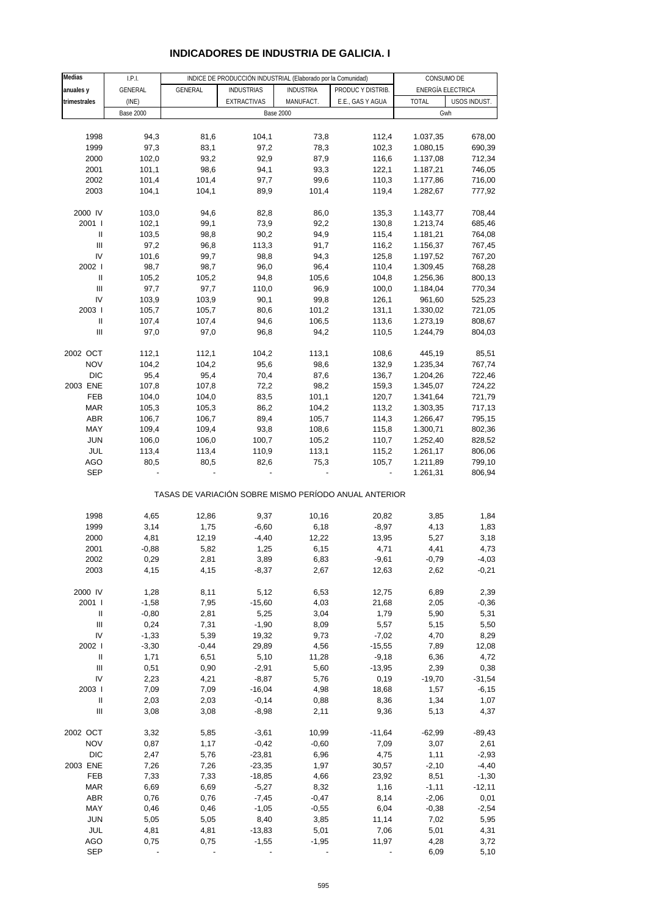## **INDICADORES DE INDUSTRIA DE GALICIA. I**

| Medias                             | I.P.I.           |         | INDICE DE PRODUCCIÓN INDUSTRIAL (Elaborado por la Comunidad) |                  |                                                       | CONSUMO DE        |              |
|------------------------------------|------------------|---------|--------------------------------------------------------------|------------------|-------------------------------------------------------|-------------------|--------------|
| anuales y                          | GENERAL          | GENERAL | <b>INDUSTRIAS</b>                                            | <b>INDUSTRIA</b> | PRODUC Y DISTRIB.                                     | ENERGÍA ELECTRICA |              |
| trimestrales                       | (INE)            |         | <b>EXTRACTIVAS</b>                                           | MANUFACT.        | E.E., GAS Y AGUA                                      | <b>TOTAL</b>      | USOS INDUST. |
|                                    | <b>Base 2000</b> |         |                                                              | <b>Base 2000</b> |                                                       | Gwh               |              |
|                                    |                  |         |                                                              |                  |                                                       |                   |              |
| 1998                               | 94,3             | 81,6    | 104,1                                                        | 73,8             | 112,4                                                 | 1.037,35          | 678,00       |
| 1999                               | 97,3             | 83,1    | 97,2                                                         | 78,3             | 102,3                                                 | 1.080,15          | 690,39       |
| 2000                               | 102,0            | 93,2    | 92,9                                                         | 87,9             | 116,6                                                 | 1.137,08          | 712,34       |
| 2001                               | 101,1            | 98,6    | 94,1                                                         | 93,3             | 122,1                                                 | 1.187,21          | 746,05       |
| 2002                               | 101,4            | 101,4   | 97,7                                                         | 99,6             | 110,3                                                 | 1.177,86          | 716,00       |
| 2003                               | 104,1            | 104,1   | 89,9                                                         | 101,4            | 119,4                                                 | 1.282,67          | 777,92       |
|                                    |                  |         |                                                              |                  |                                                       |                   |              |
| 2000 IV                            | 103,0            | 94,6    | 82,8                                                         | 86,0             | 135,3                                                 | 1.143,77          | 708,44       |
| 2001 l                             | 102,1            | 99,1    | 73,9                                                         | 92,2             | 130,8                                                 | 1.213,74          | 685,46       |
| $\ensuremath{\mathsf{II}}$         | 103,5            | 98,8    | 90,2                                                         | 94,9             | 115,4                                                 | 1.181,21          | 764,08       |
| $\ensuremath{\mathsf{III}}\xspace$ | 97,2             | 96,8    | 113,3                                                        | 91,7             | 116,2                                                 | 1.156,37          | 767,45       |
| IV                                 | 101,6            | 99,7    | 98,8                                                         | 94,3             | 125,8                                                 | 1.197,52          | 767,20       |
| 2002                               | 98,7             | 98,7    | 96,0                                                         | 96,4             | 110,4                                                 | 1.309,45          | 768,28       |
| Ш                                  | 105,2            | 105,2   | 94,8                                                         | 105,6            | 104,8                                                 | 1.256,36          | 800,13       |
| Ш                                  | 97,7             | 97,7    | 110,0                                                        | 96,9             | 100,0                                                 | 1.184,04          | 770,34       |
| IV                                 | 103,9            | 103,9   | 90,1                                                         | 99,8             | 126,1                                                 | 961,60            | 525,23       |
| 2003                               | 105,7            | 105,7   | 80,6                                                         | 101,2            | 131,1                                                 | 1.330,02          | 721,05       |
| $\ensuremath{\mathsf{II}}$         | 107,4            | 107,4   | 94,6                                                         | 106,5            | 113,6                                                 | 1.273,19          | 808,67       |
| Ш                                  | 97,0             | 97,0    | 96,8                                                         | 94,2             | 110,5                                                 | 1.244,79          | 804,03       |
|                                    |                  |         |                                                              |                  |                                                       |                   |              |
| 2002 OCT                           | 112,1            | 112,1   | 104,2                                                        | 113,1            | 108,6                                                 | 445,19            | 85,51        |
| <b>NOV</b>                         | 104,2            | 104,2   | 95,6                                                         | 98,6             | 132,9                                                 | 1.235,34          | 767,74       |
| <b>DIC</b>                         | 95,4             | 95,4    | 70,4                                                         | 87,6             | 136,7                                                 | 1.204,26          | 722,46       |
| 2003 ENE                           | 107,8            | 107,8   | 72,2                                                         | 98,2             | 159,3                                                 | 1.345,07          | 724,22       |
| FEB                                | 104,0            | 104,0   | 83,5                                                         | 101,1            | 120,7                                                 | 1.341,64          | 721,79       |
| <b>MAR</b>                         | 105,3            | 105,3   | 86,2                                                         | 104,2            | 113,2                                                 | 1.303,35          | 717,13       |
| ABR                                | 106,7            | 106,7   | 89,4                                                         | 105,7            | 114,3                                                 | 1.266,47          | 795,15       |
| MAY                                | 109,4            | 109,4   | 93,8                                                         | 108,6            | 115,8                                                 | 1.300,71          | 802,36       |
| <b>JUN</b>                         | 106,0            | 106,0   | 100,7                                                        | 105,2            | 110,7                                                 | 1.252,40          | 828,52       |
| JUL                                | 113,4            | 113,4   | 110,9                                                        | 113,1            | 115,2                                                 | 1.261,17          | 806,06       |
| AGO                                | 80,5             | 80,5    | 82,6                                                         | 75,3             | 105,7                                                 | 1.211,89          | 799,10       |
| <b>SEP</b>                         |                  |         |                                                              |                  |                                                       | 1.261,31          | 806,94       |
|                                    |                  |         |                                                              |                  | TASAS DE VARIACIÓN SOBRE MISMO PERÍODO ANUAL ANTERIOR |                   |              |
| 1998                               | 4,65             | 12,86   | 9,37                                                         | 10,16            | 20,82                                                 | 3,85              | 1,84         |
| 1999                               | 3,14             | 1,75    | $-6,60$                                                      | 6,18             | $-8,97$                                               | 4,13              | 1,83         |
| 2000                               | 4,81             | 12,19   | $-4,40$                                                      | 12,22            | 13,95                                                 | 5,27              | 3,18         |
| 2001                               | $-0,88$          | 5,82    | 1,25                                                         | 6,15             | 4,71                                                  | 4,41              | 4,73         |
| 2002                               | 0,29             | 2,81    | 3,89                                                         | 6,83             | $-9,61$                                               | $-0,79$           | $-4,03$      |
| 2003                               | 4,15             | 4,15    | $-8,37$                                                      | 2,67             | 12,63                                                 | 2,62              | $-0,21$      |
|                                    |                  |         |                                                              |                  |                                                       |                   |              |
| 2000 IV                            | 1,28             | 8,11    | 5,12                                                         | 6,53             | 12,75                                                 | 6,89              | 2,39         |
| 2001 l                             | $-1,58$          | 7,95    | $-15,60$                                                     | 4,03             | 21,68                                                 | 2,05              | $-0,36$      |
| Ш                                  | $-0,80$          | 2,81    | 5,25                                                         | 3,04             | 1,79                                                  | 5,90              | 5,31         |
| Ш                                  | 0,24             | 7,31    | $-1,90$                                                      | 8,09             | 5,57                                                  | 5,15              | 5,50         |
| IV                                 | $-1,33$          | 5,39    | 19,32                                                        | 9,73             | $-7,02$                                               | 4,70              | 8,29         |
| 2002                               | $-3,30$          | $-0,44$ | 29,89                                                        | 4,56             | $-15,55$                                              | 7,89              | 12,08        |
| Ш                                  | 1,71             | 6,51    | 5,10                                                         | 11,28            | $-9,18$                                               | 6,36              | 4,72         |
| Ш                                  | 0,51             | 0,90    | $-2,91$                                                      | 5,60             | $-13,95$                                              | 2,39              | 0,38         |
| IV                                 | 2,23             | 4,21    | $-8,87$                                                      | 5,76             | 0, 19                                                 | $-19,70$          | $-31,54$     |
| 2003                               | 7,09             | 7,09    | $-16,04$                                                     | 4,98             | 18,68                                                 | 1,57              | $-6,15$      |
| Ш                                  | 2,03             | 2,03    | $-0,14$                                                      | 0,88             | 8,36                                                  | 1,34              | 1,07         |
| Ш                                  | 3,08             | 3,08    | $-8,98$                                                      | 2,11             | 9,36                                                  | 5,13              | 4,37         |
|                                    |                  |         |                                                              |                  |                                                       |                   |              |
| 2002 OCT                           | 3,32             | 5,85    | $-3,61$                                                      | 10,99            | $-11,64$                                              | $-62,99$          | $-89,43$     |
| <b>NOV</b>                         | 0,87             | 1,17    | $-0,42$                                                      | $-0,60$          | 7,09                                                  | 3,07              | 2,61         |
| <b>DIC</b>                         | 2,47             | 5,76    | $-23,81$                                                     | 6,96             | 4,75                                                  | 1,11              | $-2,93$      |
| 2003 ENE                           | 7,26             | 7,26    | $-23,35$                                                     | 1,97             | 30,57                                                 | $-2,10$           | $-4,40$      |
| FEB                                | 7,33             | 7,33    | $-18,85$                                                     | 4,66             | 23,92                                                 | 8,51              | $-1,30$      |
| <b>MAR</b>                         | 6,69             | 6,69    | $-5,27$                                                      | 8,32             | 1,16                                                  | $-1,11$           | $-12,11$     |
| <b>ABR</b>                         | 0,76             | 0,76    | $-7,45$                                                      | $-0,47$          | 8,14                                                  | $-2,06$           | 0,01         |
| MAY                                | 0,46             | 0,46    | $-1,05$                                                      | $-0,55$          | 6,04                                                  | $-0,38$           | $-2,54$      |
| <b>JUN</b>                         | 5,05             | 5,05    | 8,40                                                         | 3,85             | 11,14                                                 | 7,02              | 5,95         |
| JUL                                | 4,81             | 4,81    | $-13,83$                                                     | 5,01             | 7,06                                                  | 5,01              | 4,31         |
| AGO                                | 0,75             | 0,75    | $-1,55$                                                      | $-1,95$          | 11,97                                                 | 4,28              | 3,72         |
| <b>SEP</b>                         |                  |         |                                                              |                  |                                                       | 6,09              | 5,10         |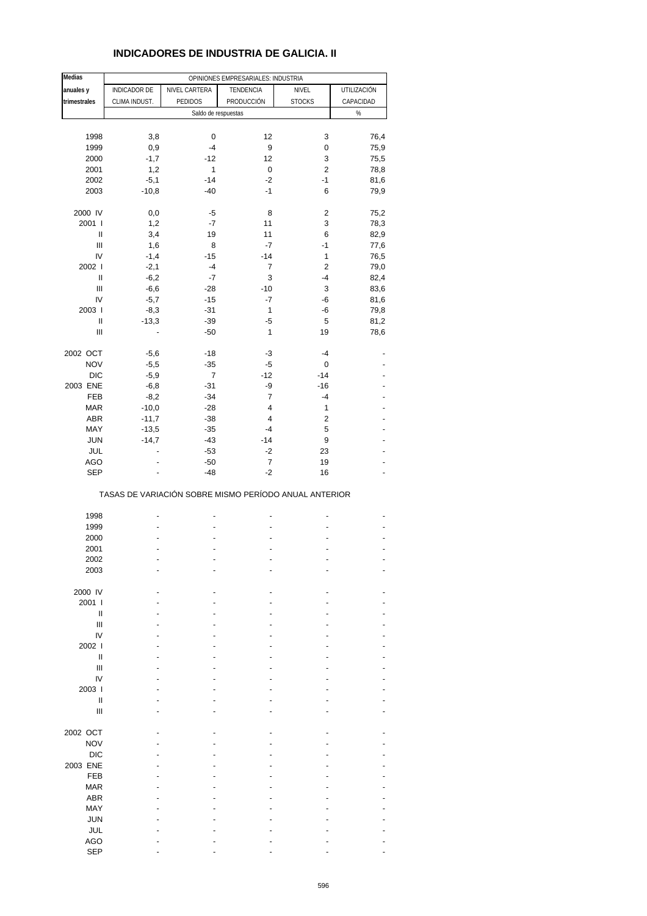## **INDICADORES DE INDUSTRIA DE GALICIA. II**

| <b>Medias</b>                      |               |                | OPINIONES EMPRESARIALES: INDUSTRIA                    |                         |              |
|------------------------------------|---------------|----------------|-------------------------------------------------------|-------------------------|--------------|
| anuales y                          | INDICADOR DE  | NIVEL CARTERA  | TENDENCIA                                             | NIVEL                   | UTILIZACIÓN  |
| trimestrales                       | CLIMA INDUST. | PEDIDOS        | PRODUCCIÓN                                            | <b>STOCKS</b>           | CAPACIDAD    |
|                                    |               |                | Saldo de respuestas                                   |                         | %            |
|                                    |               |                |                                                       |                         |              |
|                                    |               |                | 12                                                    |                         |              |
| 1998                               | 3,8<br>0,9    | 0<br>$-4$      | 9                                                     | 3<br>0                  | 76,4<br>75,9 |
| 1999                               |               |                |                                                       |                         |              |
| 2000                               | $-1,7$        | -12            | 12                                                    | 3                       | 75,5         |
| 2001                               | 1,2           | 1              | $\pmb{0}$                                             | $\overline{c}$          | 78,8         |
| 2002                               | $-5,1$        | $-14$          | $-2$                                                  | $-1$                    | 81,6         |
| 2003                               | $-10,8$       | $-40$          | $-1$                                                  | 6                       | 79,9         |
| 2000 IV                            | 0,0           | -5             | 8                                                     | 2                       | 75,2         |
| 2001 l                             | 1,2           | -7             | 11                                                    | 3                       |              |
| $\sf II$                           | 3,4           |                | 11                                                    |                         | 78,3         |
| $\ensuremath{\mathsf{III}}\xspace$ |               | 19             | $-7$                                                  | 6<br>$-1$               | 82,9         |
|                                    | 1,6           | 8              |                                                       |                         | 77,6         |
| IV                                 | $-1,4$        | $-15$          | $-14$                                                 | $\mathbf{1}$            | 76,5         |
| 2002                               | $-2,1$        | $-4$           | 7                                                     | $\overline{\mathbf{c}}$ | 79,0         |
| Ш                                  | $-6,2$        | $-7$           | 3                                                     | $-4$                    | 82,4         |
| Ш                                  | $-6,6$        | $-28$          | $-10$                                                 | 3                       | 83,6         |
| IV                                 | $-5,7$        | $-15$          | $-7$                                                  | -6                      | 81,6         |
| 2003                               | $-8,3$        | $-31$          | $\mathbf{1}$                                          | -6                      | 79,8         |
| Ш                                  | $-13,3$       | $-39$          | $-5$                                                  | 5                       | 81,2         |
| $\begin{array}{c} \Pi \end{array}$ |               | $-50$          | $\mathbf{1}$                                          | 19                      | 78,6         |
|                                    |               |                |                                                       |                         |              |
| 2002 OCT                           | $-5,6$        | $-18$          | -3                                                    | $-4$                    |              |
| <b>NOV</b>                         | $-5,5$        | $-35$          | -5                                                    | 0                       |              |
| <b>DIC</b>                         | $-5,9$        | $\overline{7}$ | $-12$                                                 | $-14$                   |              |
| 2003 ENE                           | $-6,8$        | $-31$          | -9                                                    | $-16$                   |              |
| FEB                                | $-8,2$        | $-34$          | 7                                                     | $-4$                    |              |
| <b>MAR</b>                         | $-10,0$       | $-28$          | 4                                                     | $\mathbf{1}$            |              |
| ABR                                | $-11,7$       | $-38$          | 4                                                     | $\overline{\mathbf{c}}$ |              |
| MAY                                | $-13,5$       | $-35$          | $-4$                                                  | 5                       |              |
| <b>JUN</b>                         | $-14,7$       | $-43$          | $-14$                                                 | 9                       |              |
| JUL                                |               | $-53$          | $-2$                                                  | 23                      |              |
| <b>AGO</b>                         |               | $-50$          | $\boldsymbol{7}$                                      | 19                      |              |
| <b>SEP</b>                         |               | $-48$          | $-2$                                                  | 16                      |              |
|                                    |               |                | TASAS DE VARIACIÓN SOBRE MISMO PERÍODO ANUAL ANTERIOR |                         |              |
|                                    |               |                |                                                       |                         |              |
| 1998                               |               |                |                                                       |                         |              |
| 1999                               |               |                |                                                       |                         |              |
| 2000                               |               |                |                                                       |                         |              |
| 2001                               |               | ÷              |                                                       |                         |              |
| 2002                               |               |                |                                                       |                         |              |
| 2003                               |               |                |                                                       |                         |              |
|                                    |               |                |                                                       |                         |              |
| 2000 IV                            |               |                |                                                       |                         |              |
| 2001 l                             |               |                |                                                       |                         |              |
| Ш                                  |               |                |                                                       |                         |              |
| Ш                                  |               |                |                                                       |                         |              |
| IV                                 |               |                |                                                       |                         |              |
| 2002 l                             |               |                |                                                       |                         |              |
| Ш                                  |               |                |                                                       |                         |              |
| Ш                                  |               |                |                                                       |                         |              |
| IV                                 |               |                |                                                       |                         |              |
| 2003                               |               |                |                                                       |                         |              |
| $\mathbf{I}$                       |               |                |                                                       |                         |              |
| Ш                                  |               |                |                                                       |                         |              |
|                                    |               |                |                                                       |                         |              |
| 2002 OCT                           |               |                |                                                       |                         |              |
| <b>NOV</b>                         |               |                |                                                       |                         |              |
| <b>DIC</b>                         |               |                |                                                       |                         |              |
| 2003 ENE                           |               |                |                                                       |                         |              |
| <b>FEB</b>                         |               |                |                                                       |                         |              |
| <b>MAR</b>                         |               |                |                                                       |                         |              |
| <b>ABR</b>                         |               |                |                                                       |                         |              |
| MAY                                |               |                |                                                       |                         |              |
| <b>JUN</b>                         |               |                |                                                       |                         |              |
| <b>JUL</b>                         |               |                |                                                       |                         |              |
| <b>AGO</b>                         |               |                |                                                       |                         |              |
| <b>SEP</b>                         |               |                |                                                       |                         |              |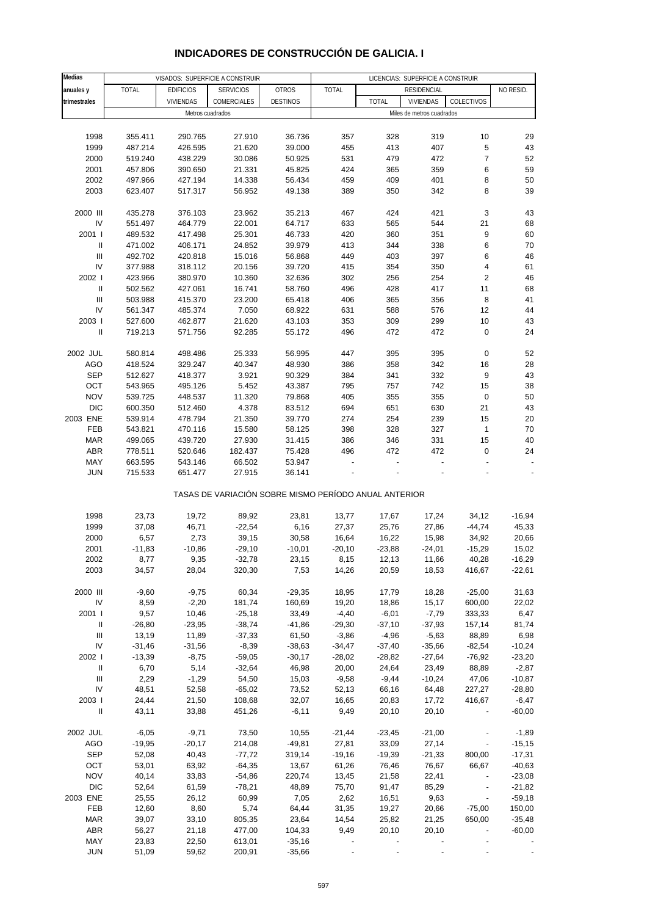| <b>Medias</b>                      | VISADOS: SUPERFICIE A CONSTRUIR<br>LICENCIAS: SUPERFICIE A CONSTRUIR |                  |                                                       |                 |              |              |                           |                          |           |
|------------------------------------|----------------------------------------------------------------------|------------------|-------------------------------------------------------|-----------------|--------------|--------------|---------------------------|--------------------------|-----------|
| anuales y                          | <b>TOTAL</b>                                                         | <b>EDIFICIOS</b> | <b>SERVICIOS</b>                                      | <b>OTROS</b>    | <b>TOTAL</b> |              | RESIDENCIAL               |                          | NO RESID. |
| trimestrales                       |                                                                      | <b>VIVIENDAS</b> | COMERCIALES                                           | <b>DESTINOS</b> |              | <b>TOTAL</b> | <b>VIVIENDAS</b>          | COLECTIVOS               |           |
|                                    |                                                                      |                  | Metros cuadrados                                      |                 |              |              | Miles de metros cuadrados |                          |           |
|                                    |                                                                      |                  |                                                       |                 |              |              |                           |                          |           |
|                                    |                                                                      |                  |                                                       |                 |              |              |                           |                          |           |
| 1998                               | 355.411                                                              | 290.765          | 27.910                                                | 36.736          | 357          | 328          | 319                       | 10                       | 29        |
| 1999                               | 487.214                                                              | 426.595          | 21.620                                                | 39.000          | 455          | 413          | 407                       | $\,$ 5 $\,$              | 43        |
| 2000                               | 519.240                                                              | 438.229          | 30.086                                                | 50.925          | 531          | 479          | 472                       | $\overline{7}$           | 52        |
| 2001                               | 457.806                                                              | 390.650          | 21.331                                                | 45.825          | 424          | 365          | 359                       | 6                        | 59        |
| 2002                               | 497.966                                                              | 427.194          | 14.338                                                | 56.434          | 459          | 409          | 401                       | $\bf 8$                  | 50        |
| 2003                               | 623.407                                                              | 517.317          | 56.952                                                | 49.138          | 389          | 350          | 342                       | 8                        | 39        |
|                                    |                                                                      |                  |                                                       |                 |              |              |                           |                          |           |
| 2000 III                           | 435.278                                                              | 376.103          | 23.962                                                | 35.213          | 467          | 424          | 421                       | $\sqrt{3}$               | 43        |
| IV                                 | 551.497                                                              | 464.779          | 22.001                                                | 64.717          | 633          | 565          | 544                       | 21                       | 68        |
| 2001 l                             | 489.532                                                              | 417.498          | 25.301                                                | 46.733          | 420          | 360          | 351                       | 9                        | 60        |
| $\ensuremath{\mathsf{II}}$         | 471.002                                                              | 406.171          | 24.852                                                | 39.979          | 413          | 344          | 338                       | $\,6\,$                  | 70        |
| $\ensuremath{\mathsf{III}}\xspace$ | 492.702                                                              | 420.818          | 15.016                                                | 56.868          | 449          | 403          | 397                       | 6                        | 46        |
| IV                                 | 377.988                                                              | 318.112          | 20.156                                                | 39.720          | 415          | 354          | 350                       | $\sqrt{4}$               | 61        |
| 2002 l                             | 423.966                                                              | 380.970          | 10.360                                                | 32.636          | 302          | 256          | 254                       | $\sqrt{2}$               | 46        |
| $\, \parallel$                     | 502.562                                                              | 427.061          | 16.741                                                | 58.760          | 496          | 428          | 417                       | 11                       | 68        |
| $\ensuremath{\mathsf{III}}\xspace$ | 503.988                                                              | 415.370          | 23.200                                                | 65.418          | 406          | 365          | 356                       | 8                        | 41        |
| IV                                 | 561.347                                                              | 485.374          | 7.050                                                 | 68.922          | 631          | 588          | 576                       | 12                       | 44        |
| 2003                               |                                                                      |                  |                                                       |                 |              |              |                           |                          | 43        |
|                                    | 527.600                                                              | 462.877          | 21.620                                                | 43.103          | 353          | 309          | 299                       | 10                       |           |
| $\sf II$                           | 719.213                                                              | 571.756          | 92.285                                                | 55.172          | 496          | 472          | 472                       | $\mathbf 0$              | 24        |
|                                    |                                                                      |                  |                                                       |                 |              |              |                           |                          |           |
| 2002 JUL                           | 580.814                                                              | 498.486          | 25.333                                                | 56.995          | 447          | 395          | 395                       | 0                        | 52        |
| <b>AGO</b>                         | 418.524                                                              | 329.247          | 40.347                                                | 48.930          | 386          | 358          | 342                       | 16                       | 28        |
| <b>SEP</b>                         | 512.627                                                              | 418.377          | 3.921                                                 | 90.329          | 384          | 341          | 332                       | 9                        | 43        |
| OCT                                | 543.965                                                              | 495.126          | 5.452                                                 | 43.387          | 795          | 757          | 742                       | 15                       | 38        |
| <b>NOV</b>                         | 539.725                                                              | 448.537          | 11.320                                                | 79.868          | 405          | 355          | 355                       | 0                        | 50        |
| <b>DIC</b>                         | 600.350                                                              | 512.460          | 4.378                                                 | 83.512          | 694          | 651          | 630                       | 21                       | 43        |
| 2003 ENE                           | 539.914                                                              | 478.794          | 21.350                                                | 39.770          | 274          | 254          | 239                       | 15                       | $20\,$    |
| FEB                                | 543.821                                                              | 470.116          | 15.580                                                | 58.125          | 398          | 328          | 327                       | $\mathbf{1}$             | 70        |
| <b>MAR</b>                         | 499.065                                                              | 439.720          | 27.930                                                | 31.415          | 386          | 346          | 331                       | 15                       | 40        |
| <b>ABR</b>                         | 778.511                                                              | 520.646          | 182.437                                               | 75.428          | 496          | 472          | 472                       | 0                        | 24        |
| MAY                                | 663.595                                                              | 543.146          | 66.502                                                | 53.947          |              |              |                           |                          |           |
| <b>JUN</b>                         | 715.533                                                              | 651.477          | 27.915                                                | 36.141          |              |              |                           |                          |           |
|                                    |                                                                      |                  |                                                       |                 |              |              |                           |                          |           |
|                                    |                                                                      |                  | TASAS DE VARIACIÓN SOBRE MISMO PERÍODO ANUAL ANTERIOR |                 |              |              |                           |                          |           |
|                                    |                                                                      |                  |                                                       |                 |              |              |                           |                          |           |
| 1998                               | 23,73                                                                | 19,72            | 89,92                                                 | 23,81           | 13,77        | 17,67        | 17,24                     | 34,12                    | $-16,94$  |
| 1999                               | 37,08                                                                | 46,71            | $-22,54$                                              | 6,16            | 27,37        | 25,76        | 27,86                     | $-44,74$                 | 45,33     |
|                                    |                                                                      | 2,73             |                                                       |                 | 16,64        |              | 15,98                     |                          |           |
| 2000                               | 6,57                                                                 |                  | 39,15                                                 | 30,58           |              | 16,22        |                           | 34,92                    | 20,66     |
| 2001                               | $-11,83$                                                             | $-10,86$         | $-29,10$                                              | $-10,01$        | $-20,10$     | $-23,88$     | $-24,01$                  | $-15,29$                 | 15,02     |
| 2002                               | 8,77                                                                 | 9,35             | $-32,78$                                              | 23,15           | 8,15         | 12,13        | 11,66                     | 40,28                    | -16,29    |
| 2003                               | 34,57                                                                | 28,04            | 320,30                                                | 7,53            | 14,26        | 20,59        | 18,53                     | 416,67                   | $-22,61$  |
|                                    |                                                                      |                  |                                                       |                 |              |              |                           |                          |           |
| 2000 III                           | $-9,60$                                                              | $-9,75$          | 60,34                                                 | $-29,35$        | 18,95        | 17,79        | 18,28                     | $-25,00$                 | 31,63     |
| IV                                 | 8,59                                                                 | $-2,20$          | 181,74                                                | 160,69          | 19,20        | 18,86        | 15,17                     | 600,00                   | 22,02     |
| 2001 l                             | 9,57                                                                 | 10,46            | $-25,18$                                              | 33,49           | $-4,40$      | $-6,01$      | $-7,79$                   | 333,33                   | 6,47      |
| Ш                                  | $-26,80$                                                             | $-23,95$         | $-38,74$                                              | $-41,86$        | $-29,30$     | $-37,10$     | $-37,93$                  | 157,14                   | 81,74     |
| $\mathbf{III}$                     | 13,19                                                                | 11,89            | $-37,33$                                              | 61,50           | $-3,86$      | $-4,96$      | $-5,63$                   | 88,89                    | 6,98      |
| IV                                 | $-31,46$                                                             | $-31,56$         | $-8,39$                                               | $-38,63$        | $-34,47$     | $-37,40$     | $-35,66$                  | $-82,54$                 | $-10,24$  |
| 2002 l                             | $-13,39$                                                             | $-8,75$          | $-59,05$                                              | $-30,17$        | $-28,02$     | $-28,82$     | $-27,64$                  | $-76,92$                 | $-23,20$  |
| $\mathbf{II}$                      | 6,70                                                                 | 5,14             | $-32,64$                                              | 46,98           | 20,00        | 24,64        | 23,49                     | 88,89                    | $-2,87$   |
| Ш                                  | 2,29                                                                 | $-1,29$          | 54,50                                                 | 15,03           | $-9,58$      | $-9,44$      | $-10,24$                  | 47,06                    | $-10,87$  |
| IV                                 | 48,51                                                                | 52,58            | $-65,02$                                              | 73,52           | 52,13        | 66,16        | 64,48                     | 227,27                   | $-28,80$  |
| 2003                               | 24,44                                                                | 21,50            | 108,68                                                | 32,07           | 16,65        | 20,83        | 17,72                     | 416,67                   | $-6,47$   |
| $\, \parallel$                     | 43,11                                                                | 33,88            | 451,26                                                | $-6,11$         | 9,49         | 20,10        | 20,10                     |                          | $-60,00$  |
|                                    |                                                                      |                  |                                                       |                 |              |              |                           |                          |           |
| 2002 JUL                           | $-6,05$                                                              | $-9,71$          | 73,50                                                 | 10,55           | $-21,44$     | $-23,45$     | $-21,00$                  |                          | $-1,89$   |
| <b>AGO</b>                         | $-19,95$                                                             | $-20,17$         | 214,08                                                | $-49,81$        | 27,81        | 33,09        | 27,14                     | $\overline{\phantom{a}}$ | $-15,15$  |
| <b>SEP</b>                         |                                                                      |                  |                                                       |                 |              |              |                           |                          |           |
|                                    | 52,08                                                                | 40,43            | $-77,72$                                              | 319,14          | $-19,16$     | $-19,39$     | $-21,33$                  | 800,00                   | $-17,31$  |
| OCT                                | 53,01                                                                | 63,92            | $-64,35$                                              | 13,67           | 61,26        | 76,46        | 76,67                     | 66,67                    | $-40,63$  |
| <b>NOV</b>                         | 40,14                                                                | 33,83            | $-54,86$                                              | 220,74          | 13,45        | 21,58        | 22,41                     |                          | $-23,08$  |
| <b>DIC</b>                         | 52,64                                                                | 61,59            | $-78,21$                                              | 48,89           | 75,70        | 91,47        | 85,29                     |                          | $-21,82$  |
| 2003 ENE                           | 25,55                                                                | 26,12            | 60,99                                                 | 7,05            | 2,62         | 16,51        | 9,63                      | $\blacksquare$           | $-59,18$  |
| FEB                                | 12,60                                                                | 8,60             | 5,74                                                  | 64,44           | 31,35        | 19,27        | 20,66                     | $-75,00$                 | 150,00    |
| <b>MAR</b>                         | 39,07                                                                | 33,10            | 805,35                                                | 23,64           | 14,54        | 25,82        | 21,25                     | 650,00                   | $-35,48$  |
| <b>ABR</b>                         | 56,27                                                                | 21,18            | 477,00                                                | 104,33          | 9,49         | 20,10        | 20,10                     | $\overline{\phantom{a}}$ | $-60,00$  |
| MAY                                | 23,83                                                                | 22,50            | 613,01                                                | $-35,16$        |              |              |                           |                          |           |

### **INDICADORES DE CONSTRUCCIÓN DE GALICIA. I**

JUN 51,09 59,62 200,91 -35,66 - - - - -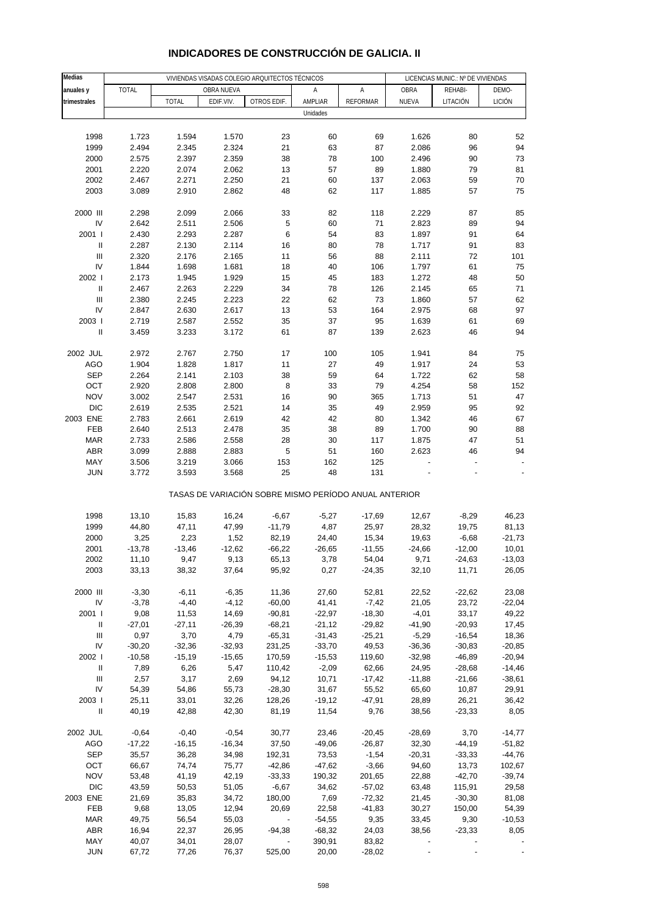| <b>Medias</b>                      |              |              | VIVIENDAS VISADAS COLEGIO ARQUITECTOS TÉCNICOS |                                                       |                     | LICENCIAS MUNIC.: Nº DE VIVIENDAS |                |                  |               |
|------------------------------------|--------------|--------------|------------------------------------------------|-------------------------------------------------------|---------------------|-----------------------------------|----------------|------------------|---------------|
|                                    | <b>TOTAL</b> |              | OBRA NUEVA                                     |                                                       | Α                   | Α                                 | OBRA           | REHABI-          | DEMO-         |
| anuales y                          |              |              |                                                | OTROS EDIF.                                           |                     |                                   |                |                  |               |
| trimestrales                       |              | <b>TOTAL</b> | EDIF.VIV.                                      |                                                       | AMPLIAR<br>Unidades | <b>REFORMAR</b>                   | NUEVA          | LITACIÓN         | <b>LICIÓN</b> |
|                                    |              |              |                                                |                                                       |                     |                                   |                |                  |               |
|                                    |              |              |                                                |                                                       |                     |                                   |                |                  |               |
| 1998                               | 1.723        | 1.594        | 1.570                                          | 23                                                    | 60                  | 69                                | 1.626          | 80               | 52            |
| 1999                               | 2.494        | 2.345        | 2.324                                          | 21                                                    | 63                  | 87                                | 2.086          | 96               | 94            |
| 2000                               | 2.575        | 2.397        | 2.359                                          | 38                                                    | 78                  | 100                               | 2.496          | 90               | 73            |
| 2001                               | 2.220        | 2.074        | 2.062                                          | 13                                                    | 57                  | 89                                | 1.880          | 79               | 81            |
| 2002                               | 2.467        | 2.271        | 2.250                                          | 21                                                    | 60                  | 137                               | 2.063          | 59               | 70            |
| 2003                               | 3.089        | 2.910        | 2.862                                          | 48                                                    | 62                  | 117                               | 1.885          | 57               | 75            |
|                                    |              |              |                                                |                                                       |                     |                                   |                |                  |               |
| 2000 III                           | 2.298        | 2.099        | 2.066                                          | 33                                                    | 82                  | 118                               | 2.229          | 87               | 85            |
| IV                                 | 2.642        | 2.511        | 2.506                                          | 5                                                     | 60                  | 71                                | 2.823          | 89               | 94            |
| 2001 l                             | 2.430        | 2.293        | 2.287                                          | 6                                                     | 54                  | 83                                | 1.897          | 91               | 64            |
| $\sf II$                           | 2.287        | 2.130        | 2.114                                          | 16                                                    | 80                  | 78                                | 1.717          | 91               | 83            |
| Ш                                  | 2.320        | 2.176        | 2.165                                          | 11                                                    | 56                  | 88                                | 2.111          | 72               | 101           |
| IV                                 | 1.844        | 1.698        | 1.681                                          | 18                                                    | 40                  | 106                               | 1.797          | 61               | 75            |
| 2002 l                             | 2.173        | 1.945        | 1.929                                          | 15                                                    | 45                  | 183                               | 1.272          | 48               | 50            |
| $\ensuremath{\mathsf{II}}$         | 2.467        | 2.263        | 2.229                                          | 34                                                    | 78                  | 126                               | 2.145          | 65               | 71            |
| $\ensuremath{\mathsf{III}}\xspace$ | 2.380        | 2.245        | 2.223                                          | 22                                                    | 62                  | 73                                | 1.860          | 57               | 62            |
| IV                                 | 2.847        | 2.630        | 2.617                                          | 13                                                    | 53                  | 164                               | 2.975          | 68               | 97            |
| 2003                               | 2.719        | 2.587        | 2.552                                          | 35                                                    | 37                  | 95                                | 1.639          | 61               | 69            |
| $\sf II$                           | 3.459        | 3.233        | 3.172                                          | 61                                                    | 87                  | 139                               | 2.623          | 46               | 94            |
|                                    |              |              |                                                |                                                       |                     |                                   |                |                  |               |
| 2002 JUL                           | 2.972        | 2.767        | 2.750                                          | 17                                                    | 100                 | 105                               | 1.941          | 84               | 75            |
| <b>AGO</b>                         | 1.904        | 1.828        | 1.817                                          | 11                                                    | 27                  | 49                                | 1.917          | 24               | 53            |
| <b>SEP</b>                         | 2.264        | 2.141        | 2.103                                          | 38                                                    | 59                  | 64                                | 1.722          | 62               | 58            |
| OCT                                | 2.920        | 2.808        | 2.800                                          | 8                                                     | 33                  | 79                                | 4.254          | 58               | 152           |
| <b>NOV</b>                         | 3.002        | 2.547        | 2.531                                          | 16                                                    | 90                  | 365                               | 1.713          | 51               | 47            |
| <b>DIC</b>                         | 2.619        | 2.535        | 2.521                                          | 14                                                    | 35                  | 49                                | 2.959          | 95               | 92            |
| 2003 ENE                           | 2.783        | 2.661        | 2.619                                          | 42                                                    | 42                  | 80                                | 1.342          | 46               | 67            |
|                                    |              |              | 2.478                                          |                                                       |                     |                                   | 1.700          |                  |               |
| FEB                                | 2.640        | 2.513        |                                                | 35                                                    | 38                  | 89                                |                | 90               | 88            |
| <b>MAR</b>                         | 2.733        | 2.586        | 2.558                                          | 28                                                    | 30                  | 117                               | 1.875          | 47               | 51            |
| <b>ABR</b>                         | 3.099        | 2.888        | 2.883                                          | 5                                                     | 51                  | 160                               | 2.623          | 46               | 94            |
| MAY                                | 3.506        | 3.219        | 3.066                                          | 153                                                   | 162                 | 125                               |                |                  |               |
| <b>JUN</b>                         | 3.772        | 3.593        | 3.568                                          | 25                                                    | 48                  | 131                               |                |                  |               |
|                                    |              |              |                                                | TASAS DE VARIACIÓN SOBRE MISMO PERÍODO ANUAL ANTERIOR |                     |                                   |                |                  |               |
| 1998                               | 13,10        | 15,83        | 16,24                                          | $-6,67$                                               |                     | $-17,69$                          |                |                  | 46,23         |
| 1999                               | 44,80        | 47,11        | 47,99                                          | $-11,79$                                              | $-5,27$<br>4,87     | 25,97                             | 12,67<br>28,32 | $-8,29$<br>19,75 | 81,13         |
|                                    |              |              |                                                |                                                       |                     |                                   |                |                  |               |
| 2000                               | 3,25         | 2,23         | 1,52                                           | 82,19                                                 | 24,40               | 15,34                             | 19,63          | $-6,68$          | $-21,73$      |
| 2001                               | $-13,78$     | $-13,46$     | $-12,62$                                       | $-66,22$                                              | $-26,65$            | $-11,55$                          | $-24,66$       | $-12,00$         | 10,01         |
| 2002                               | 11,10        | 9,47         | 9,13                                           | 65,13                                                 | 3,78                | 54,04                             | 9,71           | $-24,63$         | $-13,03$      |
| 2003                               | 33,13        | 38,32        | 37,64                                          | 95,92                                                 | 0,27                | $-24,35$                          | 32,10          | 11,71            | 26,05         |
|                                    |              |              |                                                |                                                       |                     |                                   |                |                  |               |
| 2000 III                           | $-3,30$      | $-6,11$      | $-6,35$                                        | 11,36                                                 | 27,60               | 52,81                             | 22,52          | $-22,62$         | 23,08         |
| IV                                 | $-3,78$      | $-4,40$      | $-4, 12$                                       | $-60,00$                                              | 41,41               | $-7,42$                           | 21,05          | 23,72            | $-22,04$      |
| 2001 l                             | 9,08         | 11,53        | 14,69                                          | $-90,81$                                              | $-22,97$            | $-18,30$                          | $-4,01$        | 33,17            | 49,22         |
| Ш                                  | $-27,01$     | $-27,11$     | $-26,39$                                       | $-68,21$                                              | $-21,12$            | $-29,82$                          | $-41,90$       | $-20,93$         | 17,45         |
| Ш                                  | 0,97         | 3,70         | 4,79                                           | $-65,31$                                              | $-31,43$            | $-25,21$                          | $-5,29$        | $-16,54$         | 18,36         |
| IV                                 | $-30,20$     | $-32,36$     | $-32,93$                                       | 231,25                                                | $-33,70$            | 49,53                             | $-36,36$       | $-30,83$         | $-20,85$      |
| 2002                               | $-10,58$     | $-15,19$     | $-15,65$                                       | 170,59                                                | $-15,53$            | 119,60                            | $-32,98$       | $-46,89$         | $-20,94$      |
| $\, \parallel$                     | 7,89         | 6,26         | 5,47                                           | 110,42                                                | $-2,09$             | 62,66                             | 24,95          | $-28,68$         | $-14,46$      |
| Ш                                  | 2,57         | 3,17         | 2,69                                           | 94,12                                                 | 10,71               | $-17,42$                          | $-11,88$       | $-21,66$         | $-38,61$      |
| IV                                 | 54,39        | 54,86        | 55,73                                          | $-28,30$                                              | 31,67               | 55,52                             | 65,60          | 10,87            | 29,91         |
| 2003                               | 25,11        | 33,01        | 32,26                                          | 128,26                                                | $-19,12$            | $-47,91$                          | 28,89          | 26,21            | 36,42         |
| $\ensuremath{\mathsf{II}}$         | 40,19        | 42,88        | 42,30                                          | 81,19                                                 | 11,54               | 9,76                              | 38,56          | $-23,33$         | 8,05          |
|                                    |              |              |                                                |                                                       |                     |                                   |                |                  |               |
| 2002 JUL                           | $-0,64$      | $-0,40$      | $-0,54$                                        | 30,77                                                 | 23,46               | $-20,45$                          | $-28,69$       | 3,70             | $-14,77$      |
| <b>AGO</b>                         | $-17,22$     | $-16, 15$    | $-16,34$                                       | 37,50                                                 | $-49,06$            | $-26,87$                          | 32,30          | $-44,19$         | $-51,82$      |
| <b>SEP</b>                         | 35,57        | 36,28        | 34,98                                          | 192,31                                                | 73,53               | $-1,54$                           | $-20,31$       | $-33,33$         | $-44,76$      |
| OCT                                | 66,67        | 74,74        | 75,77                                          | $-42,86$                                              | $-47,62$            | $-3,66$                           | 94,60          | 13,73            | 102,67        |
| <b>NOV</b>                         | 53,48        | 41,19        | 42,19                                          | $-33,33$                                              | 190,32              | 201,65                            | 22,88          | $-42,70$         | $-39,74$      |
| <b>DIC</b>                         | 43,59        | 50,53        | 51,05                                          | $-6,67$                                               | 34,62               | $-57,02$                          | 63,48          | 115,91           | 29,58         |
| 2003 ENE                           | 21,69        | 35,83        | 34,72                                          | 180,00                                                | 7,69                | $-72,32$                          | 21,45          | $-30,30$         | 81,08         |
| FEB                                | 9,68         | 13,05        | 12,94                                          | 20,69                                                 | 22,58               | $-41,83$                          | 30,27          | 150,00           | 54,39         |
| MAR                                | 49,75        | 56,54        | 55,03                                          |                                                       | $-54,55$            | 9,35                              | 33,45          | 9,30             | $-10,53$      |
| ABR                                | 16,94        | 22,37        | 26,95                                          | $-94,38$                                              | $-68,32$            | 24,03                             | 38,56          | $-23,33$         | 8,05          |
| MAY                                | 40,07        | 34,01        | 28,07                                          |                                                       | 390,91              | 83,82                             |                |                  |               |
| <b>JUN</b>                         | 67,72        | 77,26        | 76,37                                          | 525,00                                                | 20,00               | $-28,02$                          |                |                  |               |

### **INDICADORES DE CONSTRUCCIÓN DE GALICIA. II**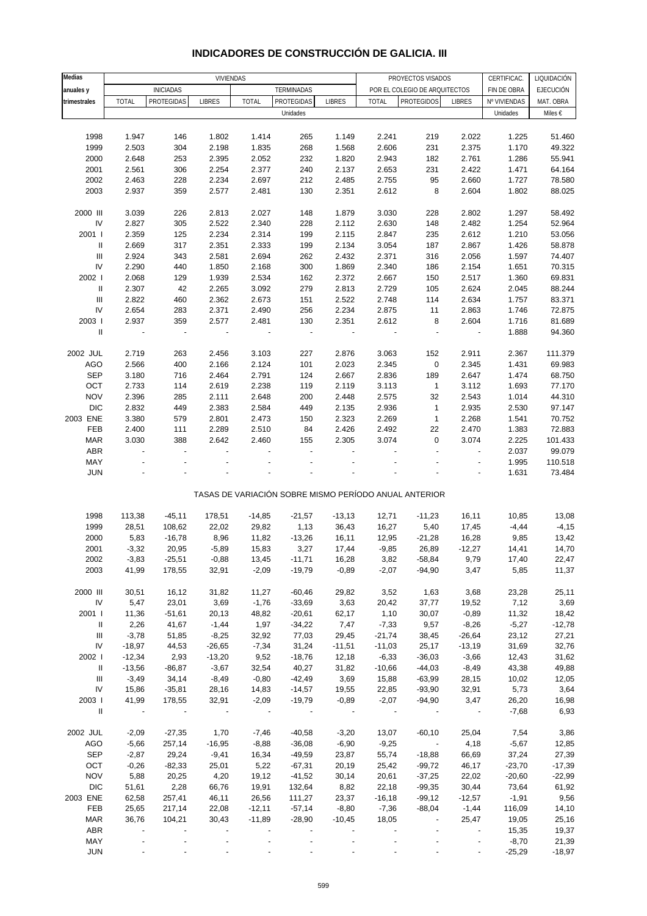| Medias                             |                | VIVIENDAS                |                |                          |                          |                          | PROYECTOS VISADOS<br>CERTIFICAC. |                                                       |                          |              | LIQUIDACIÓN      |
|------------------------------------|----------------|--------------------------|----------------|--------------------------|--------------------------|--------------------------|----------------------------------|-------------------------------------------------------|--------------------------|--------------|------------------|
| anuales y                          |                | <b>INICIADAS</b>         |                |                          | TERMINADAS               |                          |                                  | POR EL COLEGIO DE ARQUITECTOS                         |                          | FIN DE OBRA  | <b>EJECUCIÓN</b> |
| trimestrales                       | <b>TOTAL</b>   | PROTEGIDAS               | <b>LIBRES</b>  | <b>TOTAL</b>             | PROTEGIDAS               | <b>LIBRES</b>            | <b>TOTAL</b>                     | <b>PROTEGIDOS</b>                                     | <b>LIBRES</b>            | Nº VIVIENDAS | MAT. OBRA        |
|                                    |                |                          |                |                          | Unidades                 |                          |                                  |                                                       |                          | Unidades     | Miles €          |
|                                    |                |                          |                |                          |                          |                          |                                  |                                                       |                          |              |                  |
| 1998                               | 1.947          | 146                      | 1.802          | 1.414                    | 265                      | 1.149                    | 2.241                            | 219                                                   | 2.022                    | 1.225        | 51.460           |
| 1999                               | 2.503          | 304                      | 2.198          |                          |                          |                          | 2.606                            | 231                                                   |                          | 1.170        |                  |
|                                    |                |                          |                | 1.835                    | 268                      | 1.568                    |                                  |                                                       | 2.375                    |              | 49.322           |
| 2000                               | 2.648          | 253                      | 2.395          | 2.052                    | 232                      | 1.820                    | 2.943                            | 182                                                   | 2.761                    | 1.286        | 55.941           |
| 2001                               | 2.561          | 306                      | 2.254          | 2.377                    | 240                      | 2.137                    | 2.653                            | 231                                                   | 2.422                    | 1.471        | 64.164           |
| 2002                               | 2.463          | 228                      | 2.234          | 2.697                    | 212                      | 2.485                    | 2.755                            | 95                                                    | 2.660                    | 1.727        | 78.580           |
| 2003                               | 2.937          | 359                      | 2.577          | 2.481                    | 130                      | 2.351                    | 2.612                            | 8                                                     | 2.604                    | 1.802        | 88.025           |
|                                    |                |                          |                |                          |                          |                          |                                  |                                                       |                          |              |                  |
| 2000 III                           | 3.039          | 226                      | 2.813          | 2.027                    | 148                      | 1.879                    | 3.030                            | 228                                                   | 2.802                    | 1.297        | 58.492           |
| ${\sf IV}$                         | 2.827          | 305                      | 2.522          | 2.340                    | 228                      | 2.112                    | 2.630                            | 148                                                   | 2.482                    | 1.254        | 52.964           |
| 2001 l                             | 2.359          | 125                      | 2.234          | 2.314                    | 199                      | 2.115                    | 2.847                            | 235                                                   | 2.612                    | 1.210        | 53.056           |
| Ш                                  | 2.669          | 317                      | 2.351          | 2.333                    | 199                      | 2.134                    | 3.054                            | 187                                                   | 2.867                    | 1.426        | 58.878           |
| $\ensuremath{\mathsf{III}}\xspace$ | 2.924          | 343                      | 2.581          | 2.694                    | 262                      | 2.432                    | 2.371                            | 316                                                   | 2.056                    | 1.597        | 74.407           |
| ${\sf IV}$                         | 2.290          | 440                      | 1.850          | 2.168                    | 300                      | 1.869                    | 2.340                            | 186                                                   | 2.154                    | 1.651        | 70.315           |
| 2002                               | 2.068          | 129                      | 1.939          | 2.534                    | 162                      | 2.372                    | 2.667                            | 150                                                   | 2.517                    | 1.360        | 69.831           |
| $\, \parallel$                     | 2.307          | 42                       | 2.265          | 3.092                    | 279                      | 2.813                    | 2.729                            | 105                                                   | 2.624                    | 2.045        | 88.244           |
| $\ensuremath{\mathsf{III}}\xspace$ | 2.822          | 460                      | 2.362          | 2.673                    | 151                      | 2.522                    | 2.748                            | 114                                                   | 2.634                    | 1.757        | 83.371           |
| IV                                 | 2.654          | 283                      | 2.371          | 2.490                    | 256                      | 2.234                    | 2.875                            | 11                                                    | 2.863                    | 1.746        | 72.875           |
| 2003                               | 2.937          | 359                      | 2.577          | 2.481                    | 130                      | 2.351                    | 2.612                            | 8                                                     | 2.604                    | 1.716        | 81.689           |
| $\, \parallel$                     | $\blacksquare$ | $\sim$                   | $\blacksquare$ | $\overline{\phantom{a}}$ | $\overline{\phantom{a}}$ | $\overline{\phantom{a}}$ | $\blacksquare$                   | $\overline{a}$                                        | $\blacksquare$           | 1.888        | 94.360           |
|                                    |                |                          |                |                          |                          |                          |                                  |                                                       |                          |              |                  |
| 2002 JUL                           | 2.719          | 263                      | 2.456          | 3.103                    | 227                      | 2.876                    | 3.063                            | 152                                                   | 2.911                    | 2.367        | 111.379          |
| <b>AGO</b>                         | 2.566          | 400                      | 2.166          | 2.124                    | 101                      | 2.023                    | 2.345                            | $\pmb{0}$                                             | 2.345                    | 1.431        | 69.983           |
| <b>SEP</b>                         | 3.180          | 716                      | 2.464          | 2.791                    | 124                      | 2.667                    | 2.836                            | 189                                                   | 2.647                    | 1.474        | 68.750           |
| OCT                                | 2.733          | 114                      | 2.619          | 2.238                    | 119                      | 2.119                    | 3.113                            | $\mathbf{1}$                                          | 3.112                    | 1.693        | 77.170           |
| <b>NOV</b>                         | 2.396          | 285                      | 2.111          | 2.648                    | 200                      | 2.448                    | 2.575                            | 32                                                    | 2.543                    | 1.014        | 44.310           |
| <b>DIC</b>                         | 2.832          | 449                      | 2.383          | 2.584                    | 449                      | 2.135                    | 2.936                            | $\mathbf{1}$                                          | 2.935                    | 2.530        | 97.147           |
| 2003 ENE                           | 3.380          | 579                      | 2.801          | 2.473                    | 150                      | 2.323                    | 2.269                            | $\mathbf{1}$                                          | 2.268                    | 1.541        | 70.752           |
| FEB                                | 2.400          | 111                      | 2.289          | 2.510                    | 84                       | 2.426                    | 2.492                            | 22                                                    | 2.470                    | 1.383        | 72.883           |
| <b>MAR</b>                         | 3.030          | 388                      | 2.642          | 2.460                    | 155                      | 2.305                    | 3.074                            | 0                                                     | 3.074                    | 2.225        | 101.433          |
| ABR                                |                | $\overline{a}$           |                |                          |                          |                          |                                  |                                                       | $\overline{a}$           | 2.037        | 99.079           |
| MAY                                |                |                          |                |                          |                          |                          |                                  |                                                       | ÷,                       |              | 110.518          |
| <b>JUN</b>                         |                |                          |                |                          |                          |                          |                                  |                                                       |                          | 1.995        |                  |
|                                    |                |                          |                |                          |                          |                          |                                  |                                                       |                          | 1.631        | 73.484           |
|                                    |                |                          |                |                          |                          |                          |                                  | TASAS DE VARIACIÓN SOBRE MISMO PERÍODO ANUAL ANTERIOR |                          |              |                  |
|                                    |                |                          |                |                          |                          |                          |                                  |                                                       |                          |              |                  |
| 1998                               | 113,38         | $-45,11$                 | 178,51         | $-14,85$                 | $-21,57$                 | $-13,13$                 | 12,71                            | $-11,23$                                              | 16,11                    | 10,85        | 13,08            |
| 1999                               | 28,51          | 108,62                   | 22,02          | 29,82                    | 1,13                     | 36,43                    | 16,27                            | 5,40                                                  | 17,45                    | $-4,44$      | $-4,15$          |
| 2000                               | 5,83           | $-16,78$                 | 8,96           | 11,82                    | $-13,26$                 | 16,11                    | 12,95                            | $-21,28$                                              | 16,28                    | 9,85         | 13,42            |
| 2001                               | $-3,32$        | 20,95                    | $-5,89$        | 15,83                    | 3,27                     | 17,44                    | $-9,85$                          | 26,89                                                 | $-12,27$                 | 14,41        | 14,70            |
| 2002                               | $-3,83$        | $-25,51$                 | $-0,88$        | 13,45                    | $-11,71$                 | 16,28                    | 3,82                             | $-58,84$                                              | 9,79                     | 17,40        | 22,47            |
| 2003                               | 41,99          | 178,55                   | 32,91          | $-2,09$                  | $-19,79$                 | $-0,89$                  | $-2,07$                          | $-94,90$                                              | 3,47                     | 5,85         | 11,37            |
|                                    |                |                          |                |                          |                          |                          |                                  |                                                       |                          |              |                  |
| 2000 III                           | 30,51          | 16,12                    | 31,82          | 11,27                    | $-60,46$                 | 29,82                    | 3,52                             | 1,63                                                  | 3,68                     | 23,28        | 25,11            |
| ${\sf IV}$                         | 5,47           | 23,01                    | 3,69           | $-1,76$                  | $-33,69$                 | 3,63                     | 20,42                            | 37,77                                                 | 19,52                    | 7,12         | 3,69             |
| 2001 l                             | 11,36          | $-51,61$                 | 20,13          | 48,82                    | $-20,61$                 | 62,17                    | 1,10                             | 30,07                                                 | $-0,89$                  | 11,32        | 18,42            |
| Ш                                  | 2,26           | 41,67                    | $-1,44$        | 1,97                     | $-34,22$                 | 7,47                     | $-7,33$                          | 9,57                                                  | $-8,26$                  | $-5,27$      | $-12,78$         |
| Ш                                  | $-3,78$        | 51,85                    | $-8,25$        | 32,92                    | 77,03                    | 29,45                    | $-21,74$                         | 38,45                                                 | $-26,64$                 | 23,12        | 27,21            |
| IV                                 | $-18,97$       | 44,53                    | $-26,65$       | $-7,34$                  | 31,24                    | $-11,51$                 | $-11,03$                         | 25,17                                                 | $-13,19$                 | 31,69        | 32,76            |
| 2002                               | $-12,34$       | 2,93                     | $-13,20$       | 9,52                     | $-18,76$                 | 12,18                    | $-6,33$                          | $-36,03$                                              | $-3,66$                  | 12,43        | 31,62            |
| $\, \parallel$                     | $-13,56$       | $-86, 87$                | $-3,67$        | 32,54                    | 40,27                    | 31,82                    | $-10,66$                         | $-44,03$                                              | $-8,49$                  | 43,38        | 49,88            |
| Ш                                  | $-3,49$        | 34,14                    | $-8,49$        | $-0,80$                  | $-42,49$                 | 3,69                     | 15,88                            | $-63,99$                                              | 28,15                    | 10,02        | 12,05            |
| IV                                 | 15,86          | $-35,81$                 | 28,16          | 14,83                    | $-14,57$                 | 19,55                    | 22,85                            | $-93,90$                                              | 32,91                    | 5,73         | 3,64             |
| 2003                               | 41,99          | 178,55                   | 32,91          | $-2,09$                  | $-19,79$                 | $-0,89$                  | $-2,07$                          | $-94,90$                                              | 3,47                     | 26,20        | 16,98            |
| $\mathbf{II}$                      | $\sim$         | $\overline{\phantom{a}}$ | $\sim$         |                          |                          |                          |                                  |                                                       | $\overline{\phantom{a}}$ | $-7,68$      | 6,93             |
|                                    |                |                          |                |                          |                          |                          |                                  |                                                       |                          |              |                  |
| 2002 JUL                           | $-2,09$        | $-27,35$                 | 1,70           | $-7,46$                  | $-40,58$                 | $-3,20$                  | 13,07                            | $-60,10$                                              | 25,04                    | 7,54         | 3,86             |
| AGO                                | $-5,66$        | 257,14                   | $-16,95$       | $-8,88$                  | $-36,08$                 | $-6,90$                  | $-9,25$                          | $\overline{\phantom{a}}$                              | 4,18                     | $-5,67$      | 12,85            |
| <b>SEP</b>                         | $-2,87$        | 29,24                    | $-9,41$        | 16,34                    | $-49,59$                 | 23,87                    | 55,74                            | $-18,88$                                              | 66,69                    | 37,24        | 27,39            |
| OCT                                | $-0,26$        | $-82,33$                 | 25,01          | 5,22                     | $-67,31$                 | 20,19                    | 25,42                            | $-99,72$                                              | 46,17                    | $-23,70$     | $-17,39$         |
| <b>NOV</b>                         | 5,88           | 20,25                    | 4,20           | 19,12                    | $-41,52$                 | 30,14                    | 20,61                            | $-37,25$                                              | 22,02                    | $-20,60$     | $-22,99$         |
| <b>DIC</b>                         | 51,61          | 2,28                     | 66,76          | 19,91                    | 132,64                   | 8,82                     | 22,18                            | $-99,35$                                              | 30,44                    | 73,64        | 61,92            |
| 2003 ENE                           | 62,58          | 257,41                   | 46,11          | 26,56                    | 111,27                   | 23,37                    | $-16,18$                         | $-99,12$                                              | $-12,57$                 | $-1,91$      | 9,56             |
| FEB                                | 25,65          | 217,14                   | 22,08          | $-12,11$                 | $-57,14$                 | $-8,80$                  | $-7,36$                          | $-88,04$                                              | $-1,44$                  | 116,09       | 14,10            |
| <b>MAR</b>                         | 36,76          | 104,21                   | 30,43          | $-11,89$                 | $-28,90$                 | $-10,45$                 | 18,05                            | $\overline{\phantom{a}}$                              | 25,47                    | 19,05        | 25,16            |
| ABR                                |                |                          |                |                          |                          |                          |                                  |                                                       |                          | 15,35        | 19,37            |
| MAY                                |                |                          |                |                          |                          |                          |                                  |                                                       |                          | $-8,70$      | 21,39            |
| <b>JUN</b>                         |                |                          |                |                          |                          |                          |                                  |                                                       |                          | $-25,29$     | $-18,97$         |

#### **INDICADORES DE CONSTRUCCIÓN DE GALICIA. III**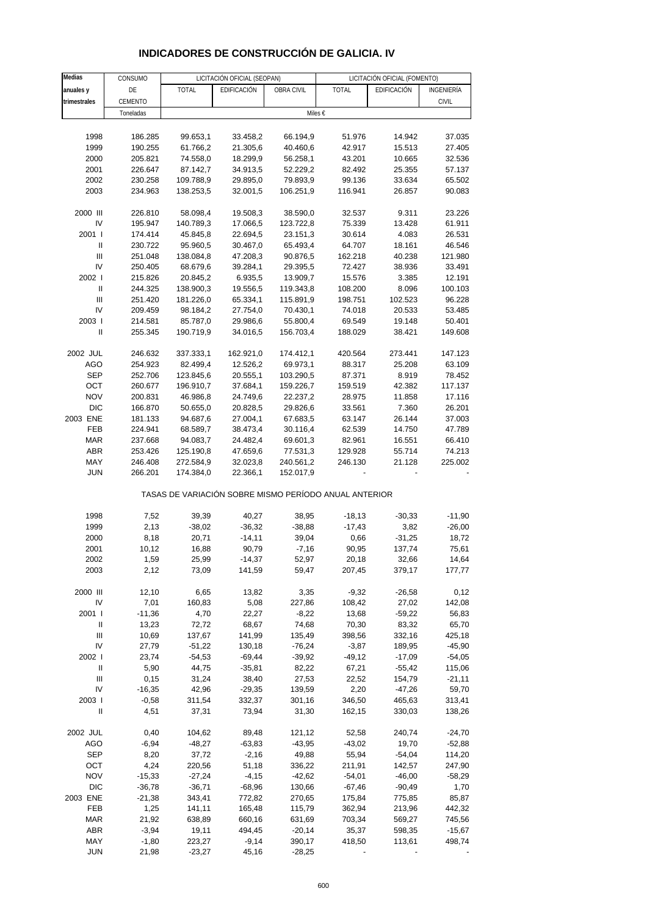| Medias                     | CONSUMO          |                    | LICITACIÓN OFICIAL (SEOPAN)                           |                    |                    | LICITACIÓN OFICIAL (FOMENTO) |                    |
|----------------------------|------------------|--------------------|-------------------------------------------------------|--------------------|--------------------|------------------------------|--------------------|
| anuales y                  | DE               | <b>TOTAL</b>       | EDIFICACIÓN                                           | OBRA CIVIL         | <b>TOTAL</b>       | EDIFICACIÓN                  | INGENIERÍA         |
| trimestrales               | CEMENTO          |                    |                                                       |                    |                    |                              | <b>CIVIL</b>       |
|                            | Toneladas        |                    |                                                       |                    | Miles €            |                              |                    |
|                            |                  |                    |                                                       |                    |                    |                              |                    |
| 1998                       | 186.285          | 99.653,1           | 33.458,2                                              | 66.194,9           | 51.976             | 14.942                       | 37.035             |
| 1999                       | 190.255          | 61.766,2           | 21.305,6                                              | 40.460,6           | 42.917             | 15.513                       | 27.405             |
| 2000                       | 205.821          | 74.558,0           | 18.299,9                                              | 56.258,1           | 43.201             | 10.665                       | 32.536             |
| 2001                       | 226.647          | 87.142,7           | 34.913,5                                              | 52.229,2           | 82.492             | 25.355                       | 57.137             |
| 2002                       | 230.258          | 109.788,9          | 29.895,0                                              | 79.893,9           | 99.136             | 33.634                       | 65.502             |
| 2003                       | 234.963          | 138.253,5          | 32.001,5                                              | 106.251,9          | 116.941            | 26.857                       | 90.083             |
| 2000 III                   | 226.810          | 58.098,4           | 19.508,3                                              | 38.590,0           | 32.537             | 9.311                        | 23.226             |
| IV                         | 195.947          | 140.789,3          | 17.066,5                                              | 123.722,8          | 75.339             | 13.428                       | 61.911             |
| 2001 l                     | 174.414          | 45.845,8           | 22.694,5                                              | 23.151,3           | 30.614             | 4.083                        | 26.531             |
| $\ensuremath{\mathsf{II}}$ | 230.722          | 95.960,5           | 30.467,0                                              | 65.493,4           | 64.707             | 18.161                       | 46.546             |
| Ш                          | 251.048          | 138.084,8          | 47.208,3                                              | 90.876,5           | 162.218            | 40.238                       | 121.980            |
| IV                         | 250.405          | 68.679,6           | 39.284,1                                              | 29.395,5           | 72.427             | 38.936                       | 33.491             |
| 2002                       | 215.826          | 20.845,2           | 6.935,5                                               | 13.909,7           | 15.576             | 3.385                        | 12.191             |
| $\ensuremath{\mathsf{II}}$ | 244.325          | 138.900,3          | 19.556,5                                              | 119.343,8          | 108.200            | 8.096                        | 100.103            |
| Ш                          | 251.420          | 181.226,0          | 65.334,1                                              | 115.891,9          | 198.751            | 102.523                      | 96.228             |
| IV                         | 209.459          | 98.184,2           | 27.754,0                                              | 70.430,1           | 74.018             | 20.533                       | 53.485             |
| 2003                       | 214.581          | 85.787,0           | 29.986,6                                              | 55.800,4           | 69.549             | 19.148                       | 50.401             |
| Ш                          | 255.345          | 190.719,9          | 34.016,5                                              | 156.703,4          | 188.029            | 38.421                       | 149.608            |
| 2002 JUL                   | 246.632          | 337.333,1          | 162.921,0                                             | 174.412,1          | 420.564            | 273.441                      | 147.123            |
| AGO                        | 254.923          | 82.499,4           | 12.526,2                                              | 69.973,1           | 88.317             | 25.208                       | 63.109             |
| <b>SEP</b>                 | 252.706          | 123.845,6          | 20.555,1                                              | 103.290,5          | 87.371             | 8.919                        | 78.452             |
| OCT                        | 260.677          | 196.910,7          | 37.684,1                                              | 159.226,7          | 159.519            | 42.382                       | 117.137            |
| <b>NOV</b>                 | 200.831          | 46.986,8           | 24.749,6                                              | 22.237,2           | 28.975             | 11.858                       | 17.116             |
| <b>DIC</b>                 | 166.870          | 50.655,0           | 20.828,5                                              | 29.826,6           | 33.561             | 7.360                        | 26.201             |
| 2003 ENE                   | 181.133          | 94.687,6           | 27.004,1                                              | 67.683,5           | 63.147             | 26.144                       | 37.003             |
| FEB                        | 224.941          | 68.589,7           | 38.473,4                                              | 30.116,4           | 62.539             | 14.750                       | 47.789             |
| <b>MAR</b>                 | 237.668          | 94.083,7           | 24.482,4                                              | 69.601,3           | 82.961             | 16.551                       | 66.410             |
| ABR                        | 253.426          | 125.190,8          | 47.659,6                                              | 77.531,3           | 129.928            | 55.714                       | 74.213             |
| MAY                        | 246.408          | 272.584,9          | 32.023,8                                              | 240.561,2          | 246.130            | 21.128                       | 225.002            |
| JUN                        | 266.201          | 174.384,0          | 22.366,1                                              | 152.017,9          |                    |                              |                    |
|                            |                  |                    | TASAS DE VARIACIÓN SOBRE MISMO PERÍODO ANUAL ANTERIOR |                    |                    |                              |                    |
| 1998                       | 7,52             | 39,39              | 40,27                                                 | 38,95              | $-18,13$           | $-30,33$                     | $-11,90$           |
| 1999                       | 2,13             | $-38,02$           | $-36,32$                                              | $-38,88$           | $-17,43$           | 3,82                         | $-26,00$           |
| 2000                       | 8,18             | 20,71              | $-14, 11$                                             | 39,04              | 0,66               | $-31,25$                     | 18,72              |
| 2001                       | 10,12            | 16,88              | 90,79                                                 | $-7,16$            | 90,95              | 137,74                       | 75,61              |
| 2002                       | 1,59             | 25,99              | -14,37                                                | 52,97              | 20,18              | 32,66                        | 14,64              |
| 2003                       | 2,12             | 73,09              | 141,59                                                | 59,47              | 207,45             | 379,17                       | 177,77             |
| 2000 III                   | 12,10            | 6,65               | 13,82                                                 | 3,35               | $-9,32$            | $-26,58$                     | 0,12               |
| IV                         | 7,01             | 160,83             | 5,08                                                  | 227,86             | 108,42             | 27,02                        | 142,08             |
| 2001 l                     | $-11,36$         | 4,70               | 22,27                                                 | $-8,22$            | 13,68              | $-59,22$                     | 56,83              |
| Ш                          | 13,23            | 72,72              | 68,67                                                 | 74,68              | 70,30              | 83,32                        | 65,70              |
| Ш                          | 10,69            | 137,67             | 141,99                                                | 135,49             | 398,56             | 332,16                       | 425,18             |
| IV                         | 27,79            | $-51,22$           | 130,18                                                | $-76,24$           | $-3,87$            | 189,95                       | $-45,90$           |
| 2002                       | 23,74            | $-54,53$           | $-69,44$                                              | $-39,92$           | $-49,12$           | $-17,09$                     | $-54,05$           |
| Ш                          | 5,90             | 44,75              | $-35,81$                                              | 82,22              | 67,21              | $-55,42$                     | 115,06             |
| Ш                          | 0,15             | 31,24              | 38,40                                                 | 27,53              | 22,52              | 154,79                       | $-21,11$           |
| IV                         | $-16,35$         | 42,96              | $-29,35$                                              | 139,59             | 2,20               | $-47,26$                     | 59,70              |
| 2003  <br>Ш                | $-0,58$<br>4,51  | 311,54<br>37,31    | 332,37<br>73,94                                       | 301,16<br>31,30    | 346,50<br>162,15   | 465,63<br>330,03             | 313,41<br>138,26   |
|                            |                  |                    |                                                       |                    |                    |                              |                    |
| 2002 JUL                   | 0,40             | 104,62             | 89,48                                                 | 121,12             | 52,58              | 240,74                       | $-24,70$           |
| AGO                        | $-6,94$          | $-48,27$           | $-63,83$                                              | $-43,95$           | $-43,02$           | 19,70                        | $-52,88$           |
| <b>SEP</b>                 | 8,20             | 37,72              | $-2,16$                                               | 49,88              | 55,94              | $-54,04$                     | 114,20             |
| OCT<br><b>NOV</b>          | 4,24<br>$-15,33$ | 220,56<br>$-27,24$ | 51,18<br>$-4, 15$                                     | 336,22<br>$-42,62$ | 211,91<br>$-54,01$ | 142,57<br>$-46,00$           | 247,90<br>$-58,29$ |
| <b>DIC</b>                 | $-36,78$         | $-36,71$           | $-68,96$                                              | 130,66             | $-67,46$           | $-90,49$                     | 1,70               |

#### **INDICADORES DE CONSTRUCCIÓN DE GALICIA. IV**

2003 ENE -21,38 343,41 772,82 270,65 175,84 775,85 85,87 FEB 1,25 141,11 165,48 115,79 362,94 213,96 442,32 MAR 21,92 638,89 660,16 631,69 703,34 569,27 745,56 ABR -3,94 19,11 494,45 -20,14 35,37 598,35 -15,67 MAY -1,80 223,27 -9,14 390,17 418,50 113,61 498,74 JUN 21,98 -23,27 45,16 -28,25 - - -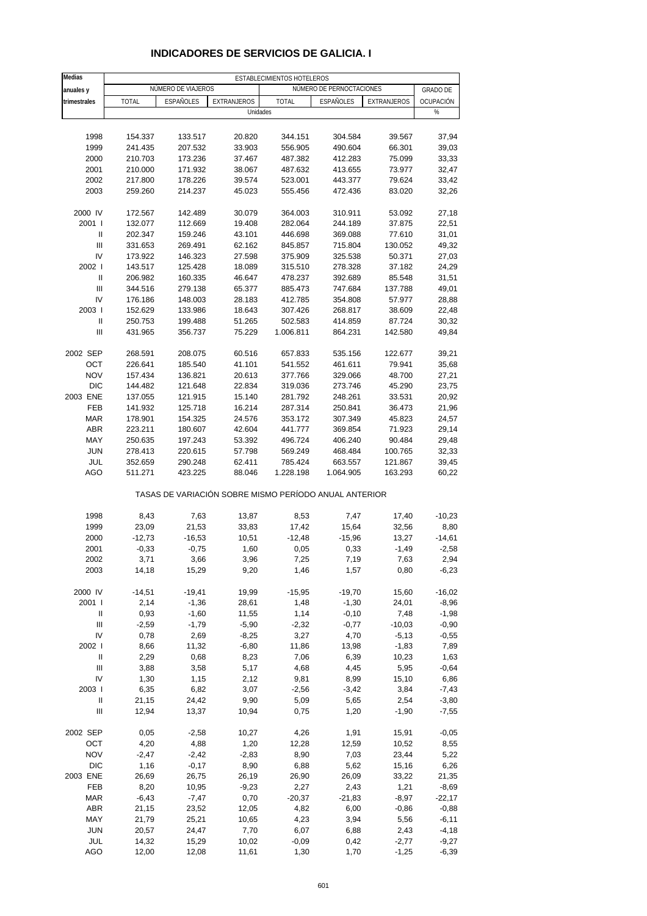| Medias         | ESTABLECIMIENTOS HOTELEROS |                    |                                                       |              |                          |                    |                  |  |  |
|----------------|----------------------------|--------------------|-------------------------------------------------------|--------------|--------------------------|--------------------|------------------|--|--|
| anuales y      |                            | NÚMERO DE VIAJEROS |                                                       |              | NÚMERO DE PERNOCTACIONES |                    | <b>GRADO DE</b>  |  |  |
| trimestrales   | <b>TOTAL</b>               | <b>ESPAÑOLES</b>   | <b>EXTRANJEROS</b>                                    | <b>TOTAL</b> | ESPAÑOLES                | <b>EXTRANJEROS</b> | <b>OCUPACIÓN</b> |  |  |
|                |                            |                    | Unidades                                              |              |                          |                    | %                |  |  |
|                |                            |                    |                                                       |              |                          |                    |                  |  |  |
|                |                            |                    |                                                       |              |                          |                    |                  |  |  |
| 1998           | 154.337                    | 133.517            | 20.820                                                | 344.151      | 304.584                  | 39.567             | 37,94            |  |  |
| 1999           | 241.435                    | 207.532            | 33.903                                                | 556.905      | 490.604                  | 66.301             | 39,03            |  |  |
| 2000           | 210.703                    | 173.236            | 37.467                                                | 487.382      | 412.283                  | 75.099             | 33,33            |  |  |
| 2001           | 210.000                    | 171.932            | 38.067                                                | 487.632      | 413.655                  | 73.977             | 32,47            |  |  |
| 2002           | 217.800                    | 178.226            | 39.574                                                | 523.001      | 443.377                  | 79.624             | 33,42            |  |  |
| 2003           | 259.260                    | 214.237            | 45.023                                                | 555.456      | 472.436                  | 83.020             | 32,26            |  |  |
| 2000 IV        | 172.567                    | 142.489            | 30.079                                                | 364.003      | 310.911                  | 53.092             | 27,18            |  |  |
| 2001 l         | 132.077                    | 112.669            | 19.408                                                | 282.064      | 244.189                  | 37.875             | 22,51            |  |  |
| Ш              | 202.347                    | 159.246            | 43.101                                                | 446.698      | 369.088                  | 77.610             | 31,01            |  |  |
| Ш              | 331.653                    | 269.491            | 62.162                                                | 845.857      | 715.804                  | 130.052            | 49,32            |  |  |
| IV             | 173.922                    | 146.323            | 27.598                                                | 375.909      | 325.538                  | 50.371             | 27,03            |  |  |
| 2002 l         | 143.517                    | 125.428            | 18.089                                                | 315.510      | 278.328                  | 37.182             | 24,29            |  |  |
| $\mathbf{I}$   | 206.982                    | 160.335            | 46.647                                                | 478.237      | 392.689                  | 85.548             | 31,51            |  |  |
| Ш              |                            |                    |                                                       | 885.473      |                          |                    |                  |  |  |
|                | 344.516                    | 279.138            | 65.377                                                |              | 747.684                  | 137.788            | 49,01            |  |  |
| IV             | 176.186                    | 148.003            | 28.183                                                | 412.785      | 354.808                  | 57.977             | 28,88            |  |  |
| 2003           | 152.629                    | 133.986            | 18.643                                                | 307.426      | 268.817                  | 38.609             | 22,48            |  |  |
| $\sf II$       | 250.753                    | 199.488            | 51.265                                                | 502.583      | 414.859                  | 87.724             | 30,32            |  |  |
| $\mathbf{III}$ | 431.965                    | 356.737            | 75.229                                                | 1.006.811    | 864.231                  | 142.580            | 49,84            |  |  |
| 2002 SEP       | 268.591                    | 208.075            | 60.516                                                | 657.833      | 535.156                  | 122.677            | 39,21            |  |  |
| OCT            | 226.641                    | 185.540            | 41.101                                                | 541.552      | 461.611                  | 79.941             | 35,68            |  |  |
| <b>NOV</b>     | 157.434                    | 136.821            | 20.613                                                | 377.766      | 329.066                  | 48.700             | 27,21            |  |  |
| <b>DIC</b>     | 144.482                    | 121.648            | 22.834                                                | 319.036      | 273.746                  | 45.290             | 23,75            |  |  |
| 2003 ENE       | 137.055                    | 121.915            | 15.140                                                | 281.792      | 248.261                  | 33.531             | 20,92            |  |  |
| FEB            | 141.932                    | 125.718            | 16.214                                                | 287.314      | 250.841                  | 36.473             | 21,96            |  |  |
| <b>MAR</b>     | 178.901                    |                    |                                                       |              | 307.349                  | 45.823             | 24,57            |  |  |
|                |                            | 154.325            | 24.576                                                | 353.172      |                          |                    |                  |  |  |
| <b>ABR</b>     | 223.211                    | 180.607            | 42.604                                                | 441.777      | 369.854                  | 71.923             | 29,14            |  |  |
| MAY            | 250.635                    | 197.243            | 53.392                                                | 496.724      | 406.240                  | 90.484             | 29,48            |  |  |
| <b>JUN</b>     | 278.413                    | 220.615            | 57.798                                                | 569.249      | 468.484                  | 100.765            | 32,33            |  |  |
| JUL            | 352.659                    | 290.248            | 62.411                                                | 785.424      | 663.557                  | 121.867            | 39,45            |  |  |
| AGO            | 511.271                    | 423.225            | 88.046                                                | 1.228.198    | 1.064.905                | 163.293            | 60,22            |  |  |
|                |                            |                    | TASAS DE VARIACIÓN SOBRE MISMO PERÍODO ANUAL ANTERIOR |              |                          |                    |                  |  |  |
| 1998           | 8,43                       | 7,63               | 13,87                                                 | 8,53         | 7,47                     | 17,40              | $-10,23$         |  |  |
| 1999           | 23,09                      | 21,53              | 33,83                                                 | 17,42        | 15,64                    | 32,56              | 8,80             |  |  |
| 2000           | $-12,73$                   | $-16,53$           | 10,51                                                 | $-12,48$     | $-15,96$                 | 13,27              | $-14,61$         |  |  |
| 2001           | $-0,33$                    | $-0,75$            | 1,60                                                  | 0,05         | 0,33                     | $-1,49$            | $-2,58$          |  |  |
| 2002           | 3,71                       |                    | 3,96                                                  |              | 7,19                     |                    |                  |  |  |
| 2003           | 14,18                      | 3,66<br>15,29      | 9,20                                                  | 7,25<br>1,46 | 1,57                     | 7,63<br>0,80       | 2,94<br>$-6,23$  |  |  |
|                |                            |                    |                                                       |              |                          |                    |                  |  |  |
| 2000 IV        | $-14,51$                   | $-19,41$           | 19,99                                                 | $-15,95$     | $-19,70$                 | 15,60              | $-16,02$         |  |  |
| 2001 l         | 2,14                       | $-1,36$            | 28,61                                                 | 1,48         | $-1,30$                  | 24,01              | $-8,96$          |  |  |
| Ш              | 0,93                       | $-1,60$            | 11,55                                                 | 1,14         | $-0,10$                  | 7,48               | $-1,98$          |  |  |
| Ш              | $-2,59$                    | $-1,79$            | $-5,90$                                               | $-2,32$      | $-0,77$                  | $-10,03$           | $-0,90$          |  |  |
| IV             | 0,78                       | 2,69               | $-8,25$                                               | 3,27         | 4,70                     | $-5,13$            | $-0,55$          |  |  |
| 2002           | 8,66                       | 11,32              | $-6,80$                                               | 11,86        | 13,98                    | $-1,83$            | 7,89             |  |  |
| Ш              | 2,29                       | 0,68               | 8,23                                                  | 7,06         | 6,39                     | 10,23              | 1,63             |  |  |
| Ш              | 3,88                       | 3,58               | 5,17                                                  | 4,68         | 4,45                     | 5,95               | $-0,64$          |  |  |
| IV             | 1,30                       | 1,15               | 2,12                                                  | 9,81         | 8,99                     | 15,10              | 6,86             |  |  |
| 2003           | 6,35                       | 6,82               | 3,07                                                  | $-2,56$      | $-3,42$                  | 3,84               | $-7,43$          |  |  |
| Ш              | 21,15                      | 24,42              | 9,90                                                  | 5,09         | 5,65                     | 2,54               | $-3,80$          |  |  |
| Ш              | 12,94                      | 13,37              | 10,94                                                 | 0,75         | 1,20                     | $-1,90$            | $-7,55$          |  |  |
|                |                            |                    |                                                       |              |                          |                    |                  |  |  |
| 2002 SEP       | 0,05                       | $-2,58$            | 10,27                                                 | 4,26         | 1,91                     | 15,91              | $-0,05$          |  |  |
| OCT            | 4,20                       | 4,88               | 1,20                                                  | 12,28        | 12,59                    | 10,52              | 8,55             |  |  |
| <b>NOV</b>     | $-2,47$                    | $-2,42$            | $-2,83$                                               | 8,90         | 7,03                     | 23,44              | 5,22             |  |  |
| <b>DIC</b>     | 1,16                       | $-0,17$            | 8,90                                                  | 6,88         | 5,62                     | 15,16              | 6,26             |  |  |
| 2003 ENE       | 26,69                      | 26,75              | 26,19                                                 | 26,90        | 26,09                    | 33,22              | 21,35            |  |  |
| FEB            | 8,20                       | 10,95              | $-9,23$                                               | 2,27         | 2,43                     | 1,21               | $-8,69$          |  |  |
| <b>MAR</b>     | $-6,43$                    | $-7,47$            | 0,70                                                  | $-20,37$     | $-21,83$                 | $-8,97$            | $-22,17$         |  |  |
| <b>ABR</b>     | 21,15                      | 23,52              | 12,05                                                 | 4,82         | 6,00                     | $-0,86$            | $-0,88$          |  |  |
| MAY            | 21,79                      | 25,21              | 10,65                                                 | 4,23         | 3,94                     | 5,56               | $-6,11$          |  |  |
| <b>JUN</b>     | 20,57                      | 24,47              | 7,70                                                  | 6,07         | 6,88                     | 2,43               | $-4,18$          |  |  |
| JUL            | 14,32                      | 15,29              | 10,02                                                 | $-0,09$      | 0,42                     | $-2,77$            | $-9,27$          |  |  |
| AGO            | 12,00                      | 12,08              | 11,61                                                 | 1,30         | 1,70                     | $-1,25$            | $-6,39$          |  |  |

## **INDICADORES DE SERVICIOS DE GALICIA. I**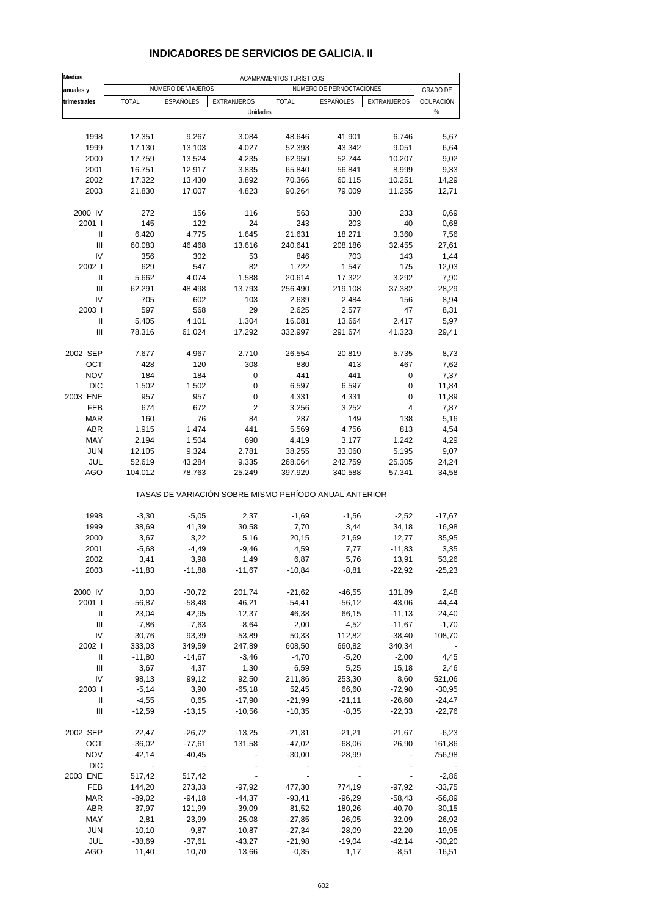| Medias         | ACAMPAMENTOS TURÍSTICOS  |                    |                                                       |                  |                          |                   |                 |  |
|----------------|--------------------------|--------------------|-------------------------------------------------------|------------------|--------------------------|-------------------|-----------------|--|
| anuales y      |                          | NÚMERO DE VIAJEROS |                                                       |                  | NÚMERO DE PERNOCTACIONES |                   | <b>GRADO DE</b> |  |
| trimestrales   | <b>TOTAL</b>             | <b>ESPAÑOLES</b>   | EXTRANJEROS                                           | <b>TOTAL</b>     | <b>ESPAÑOLES</b>         | EXTRANJEROS       | OCUPACIÓN       |  |
|                |                          |                    | Unidades                                              |                  |                          |                   | %               |  |
|                |                          |                    |                                                       |                  |                          |                   |                 |  |
| 1998           | 12.351                   | 9.267              | 3.084                                                 | 48.646           | 41.901                   | 6.746             | 5,67            |  |
| 1999           | 17.130                   | 13.103             | 4.027                                                 | 52.393           | 43.342                   | 9.051             | 6,64            |  |
| 2000           | 17.759                   | 13.524             | 4.235                                                 | 62.950           | 52.744                   | 10.207            | 9,02            |  |
| 2001           | 16.751                   | 12.917             | 3.835                                                 | 65.840           | 56.841                   | 8.999             | 9,33            |  |
| 2002           | 17.322                   | 13.430             | 3.892                                                 | 70.366           | 60.115                   | 10.251            | 14,29           |  |
| 2003           | 21.830                   | 17.007             | 4.823                                                 | 90.264           | 79.009                   | 11.255            | 12,71           |  |
|                |                          |                    |                                                       |                  |                          |                   |                 |  |
| 2000 IV        | 272                      | 156                | 116                                                   | 563              | 330                      | 233               | 0,69            |  |
| 2001 l         | 145                      | 122                | 24                                                    | 243              | 203                      | 40                | 0,68            |  |
| Ш              | 6.420                    | 4.775              | 1.645                                                 | 21.631           | 18.271                   | 3.360             | 7,56            |  |
| $\mathbf{III}$ | 60.083                   | 46.468             | 13.616                                                | 240.641          | 208.186                  | 32.455            | 27,61           |  |
| IV             | 356                      | 302                | 53                                                    | 846              | 703                      | 143               | 1,44            |  |
| 2002 l         | 629                      | 547                | 82                                                    | 1.722            | 1.547                    | 175               | 12,03           |  |
| Ш              | 5.662                    | 4.074              | 1.588                                                 | 20.614           | 17.322                   | 3.292             | 7,90            |  |
| Ш              | 62.291                   | 48.498             | 13.793                                                | 256.490          | 219.108                  | 37.382            | 28,29           |  |
| IV             | 705                      | 602                | 103                                                   | 2.639            | 2.484                    | 156               | 8,94            |  |
| 2003           | 597                      | 568                | 29                                                    | 2.625            | 2.577                    | 47                | 8,31            |  |
| Ш              | 5.405                    | 4.101              | 1.304                                                 | 16.081           | 13.664                   | 2.417             | 5,97            |  |
| Ш              | 78.316                   | 61.024             | 17.292                                                | 332.997          | 291.674                  | 41.323            | 29,41           |  |
|                |                          |                    |                                                       |                  |                          |                   |                 |  |
| 2002 SEP       | 7.677                    | 4.967              | 2.710                                                 | 26.554           | 20.819                   | 5.735             | 8,73            |  |
| OCT            | 428                      | 120                | 308                                                   | 880              | 413                      | 467               | 7,62            |  |
| <b>NOV</b>     | 184                      | 184                | 0                                                     | 441              | 441                      | 0                 | 7,37            |  |
| <b>DIC</b>     | 1.502                    | 1.502              | 0                                                     | 6.597            | 6.597                    | 0                 | 11,84           |  |
| 2003 ENE       | 957                      | 957                | 0                                                     | 4.331            | 4.331                    | 0                 | 11,89           |  |
| <b>FEB</b>     | 674                      | 672                | $\overline{c}$                                        | 3.256            | 3.252                    | 4                 | 7,87            |  |
| <b>MAR</b>     | 160                      | 76                 | 84                                                    | 287              | 149                      | 138               | 5,16            |  |
| <b>ABR</b>     | 1.915                    | 1.474              | 441                                                   | 5.569            | 4.756                    | 813               | 4,54            |  |
| MAY            | 2.194                    | 1.504              | 690                                                   | 4.419            | 3.177                    | 1.242             | 4,29            |  |
| <b>JUN</b>     | 12.105                   | 9.324              | 2.781                                                 | 38.255           | 33.060                   | 5.195             | 9,07            |  |
| JUL            | 52.619                   | 43.284             | 9.335                                                 | 268.064          | 242.759                  | 25.305            | 24,24           |  |
| AGO            | 104.012                  | 78.763             | 25.249                                                | 397.929          | 340.588                  | 57.341            | 34,58           |  |
|                |                          |                    | TASAS DE VARIACIÓN SOBRE MISMO PERÍODO ANUAL ANTERIOR |                  |                          |                   |                 |  |
| 1998           | $-3,30$                  | $-5,05$            | 2,37                                                  | $-1,69$          | $-1,56$                  | $-2,52$           | $-17,67$        |  |
| 1999           | 38,69                    | 41,39              | 30,58                                                 | 7,70             | 3,44                     | 34,18             | 16,98           |  |
| 2000           | 3,67                     | 3,22               | 5,16                                                  | 20,15            | 21,69                    | 12,77             | 35,95           |  |
| 2001           | $-5,68$                  | $-4,49$            | $-9,46$                                               | 4,59             | 7,77                     | -11,83            | 3,35            |  |
| 2002           | 3,41                     | 3,98               | 1,49                                                  |                  |                          |                   | 53,26           |  |
| 2003           | $-11,83$                 | $-11,88$           | $-11,67$                                              | 6,87<br>$-10,84$ | 5,76<br>$-8,81$          | 13,91<br>$-22,92$ | $-25,23$        |  |
|                |                          |                    |                                                       |                  |                          |                   |                 |  |
| 2000 IV        | 3,03                     | $-30,72$           | 201,74                                                | $-21,62$         | $-46,55$                 | 131,89            | 2,48            |  |
| 2001 l         | $-56,87$                 | $-58,48$           | $-46,21$                                              | $-54,41$         | $-56,12$                 | $-43,06$          | $-44,44$        |  |
| Ш              | 23,04                    | 42,95              | $-12,37$                                              | 46,38            | 66,15                    | $-11,13$          | 24,40           |  |
| Ш              | $-7,86$                  | $-7,63$            | $-8,64$                                               | 2,00             | 4,52                     | $-11,67$          | $-1,70$         |  |
| IV             | 30,76                    | 93,39              | $-53,89$                                              | 50,33            | 112,82                   | $-38,40$          | 108,70          |  |
| 2002           | 333,03                   | 349,59             | 247,89                                                | 608,50           | 660,82                   | 340,34            |                 |  |
| Ш              | $-11,80$                 | $-14,67$           | $-3,46$                                               | $-4,70$          | $-5,20$                  | $-2,00$           | 4,45            |  |
| III            | 3,67                     | 4,37               | 1,30                                                  | 6,59             | 5,25                     | 15,18             | 2,46            |  |
| IV             | 98,13                    | 99,12              | 92,50                                                 | 211,86           | 253,30                   | 8,60              | 521,06          |  |
| 2003           | $-5,14$                  | 3,90               | $-65,18$                                              | 52,45            | 66,60                    | $-72,90$          | $-30,95$        |  |
| Ш              | $-4,55$                  | 0,65               | $-17,90$                                              | $-21,99$         | $-21,11$                 | $-26,60$          | $-24,47$        |  |
| Ш              | $-12,59$                 | $-13,15$           | $-10,56$                                              | $-10,35$         | $-8,35$                  | $-22,33$          | $-22,76$        |  |
| 2002 SEP       | $-22,47$                 | $-26,72$           | $-13,25$                                              | $-21,31$         | $-21,21$                 | $-21,67$          | $-6,23$         |  |
| OCT            | $-36,02$                 | $-77,61$           | 131,58                                                | $-47,02$         | $-68,06$                 | 26,90             | 161,86          |  |
| <b>NOV</b>     | $-42,14$                 | $-40,45$           |                                                       | $-30,00$         | $-28,99$                 |                   | 756,98          |  |
| DIC            | $\overline{\phantom{a}}$ |                    |                                                       |                  |                          |                   |                 |  |
| 2003 ENE       | 517,42                   | 517,42             |                                                       |                  |                          |                   | $-2,86$         |  |
| FEB            | 144,20                   | 273,33             | $-97,92$                                              | 477,30           | 774,19                   | $-97,92$          | $-33,75$        |  |
| <b>MAR</b>     | $-89,02$                 | $-94,18$           | $-44,37$                                              | $-93,41$         | $-96,29$                 | $-58,43$          | $-56,89$        |  |
| ABR            | 37,97                    | 121,99             | $-39,09$                                              | 81,52            | 180,26                   | $-40,70$          | $-30,15$        |  |
| MAY            | 2,81                     | 23,99              | $-25,08$                                              | $-27,85$         | $-26,05$                 | $-32,09$          | $-26,92$        |  |
| <b>JUN</b>     | $-10, 10$                | $-9,87$            | $-10,87$                                              | $-27,34$         | $-28,09$                 | $-22,20$          | $-19,95$        |  |
| JUL            | $-38,69$                 | $-37,61$           | $-43,27$                                              | $-21,98$         | $-19,04$                 | $-42,14$          | $-30,20$        |  |
| AGO            | 11,40                    | 10,70              | 13,66                                                 | $-0,35$          | 1,17                     | $-8,51$           | $-16,51$        |  |

#### **INDICADORES DE SERVICIOS DE GALICIA. II**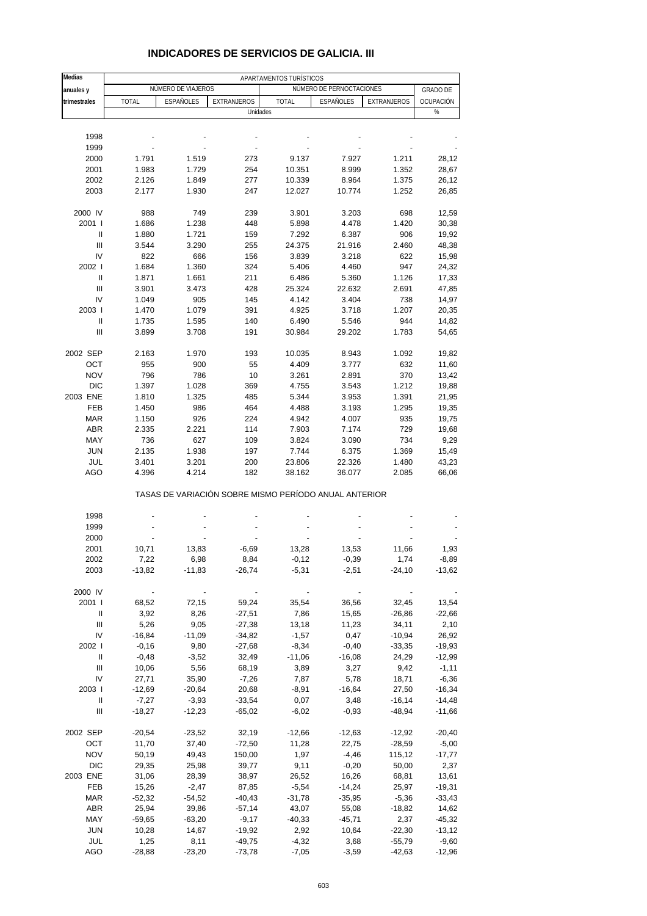| <b>Medias</b> | APARTAMENTOS TURÍSTICOS |                          |                                                       |              |                          |             |                 |  |  |
|---------------|-------------------------|--------------------------|-------------------------------------------------------|--------------|--------------------------|-------------|-----------------|--|--|
| anuales y     |                         | NÚMERO DE VIAJEROS       |                                                       |              | NÚMERO DE PERNOCTACIONES |             | <b>GRADO DE</b> |  |  |
| trimestrales  | <b>TOTAL</b>            | <b>ESPAÑOLES</b>         | EXTRANJEROS                                           | <b>TOTAL</b> | ESPAÑOLES                | EXTRANJEROS | OCUPACIÓN       |  |  |
|               |                         |                          | Unidades                                              |              |                          |             | %               |  |  |
|               |                         |                          |                                                       |              |                          |             |                 |  |  |
| 1998          |                         |                          |                                                       |              |                          |             |                 |  |  |
| 1999          |                         |                          |                                                       |              |                          |             |                 |  |  |
| 2000          | 1.791                   | 1.519                    | 273                                                   | 9.137        | 7.927                    | 1.211       | 28,12           |  |  |
| 2001          | 1.983                   | 1.729                    | 254                                                   | 10.351       | 8.999                    | 1.352       | 28,67           |  |  |
| 2002          | 2.126                   | 1.849                    | 277                                                   | 10.339       | 8.964                    | 1.375       | 26,12           |  |  |
| 2003          | 2.177                   | 1.930                    | 247                                                   | 12.027       | 10.774                   | 1.252       | 26,85           |  |  |
| 2000 IV       | 988                     | 749                      | 239                                                   | 3.901        | 3.203                    | 698         | 12,59           |  |  |
| 2001          | 1.686                   | 1.238                    | 448                                                   | 5.898        | 4.478                    | 1.420       | 30,38           |  |  |
| Ш             | 1.880                   | 1.721                    | 159                                                   | 7.292        | 6.387                    | 906         | 19,92           |  |  |
| Ш             | 3.544                   | 3.290                    | 255                                                   | 24.375       | 21.916                   | 2.460       | 48,38           |  |  |
| IV            | 822                     | 666                      | 156                                                   | 3.839        | 3.218                    | 622         | 15,98           |  |  |
| 2002 l        | 1.684                   | 1.360                    | 324                                                   | 5.406        | 4.460                    | 947         | 24,32           |  |  |
| Ш             | 1.871                   | 1.661                    | 211                                                   | 6.486        | 5.360                    | 1.126       | 17,33           |  |  |
| Ш             | 3.901                   | 3.473                    | 428                                                   | 25.324       | 22.632                   | 2.691       | 47,85           |  |  |
| IV            | 1.049                   | 905                      | 145                                                   | 4.142        | 3.404                    | 738         | 14,97           |  |  |
| 2003          | 1.470                   | 1.079                    | 391                                                   | 4.925        | 3.718                    | 1.207       | 20,35           |  |  |
| Ш             | 1.735                   | 1.595                    | 140                                                   | 6.490        | 5.546                    | 944         | 14,82           |  |  |
| Ш             | 3.899                   | 3.708                    | 191                                                   | 30.984       | 29.202                   | 1.783       | 54,65           |  |  |
|               |                         |                          |                                                       |              |                          |             |                 |  |  |
| 2002 SEP      | 2.163                   | 1.970                    | 193                                                   | 10.035       | 8.943                    | 1.092       | 19,82           |  |  |
| OCT           | 955                     | 900                      | 55                                                    | 4.409        | 3.777                    | 632         | 11,60           |  |  |
| <b>NOV</b>    | 796                     | 786                      | 10                                                    | 3.261        | 2.891                    | 370         | 13,42           |  |  |
| <b>DIC</b>    | 1.397                   | 1.028                    | 369                                                   | 4.755        | 3.543                    | 1.212       | 19,88           |  |  |
| 2003 ENE      | 1.810                   | 1.325                    | 485                                                   | 5.344        | 3.953                    | 1.391       | 21,95           |  |  |
| <b>FEB</b>    | 1.450                   | 986                      | 464                                                   | 4.488        | 3.193                    | 1.295       | 19,35           |  |  |
| <b>MAR</b>    | 1.150                   | 926                      | 224                                                   | 4.942        | 4.007                    | 935         | 19,75           |  |  |
| <b>ABR</b>    | 2.335                   | 2.221                    | 114                                                   | 7.903        | 7.174                    | 729         | 19,68           |  |  |
| MAY           | 736                     | 627                      | 109                                                   | 3.824        | 3.090                    | 734         | 9,29            |  |  |
| <b>JUN</b>    | 2.135                   | 1.938                    | 197                                                   | 7.744        | 6.375                    | 1.369       | 15,49           |  |  |
| JUL           | 3.401                   | 3.201                    | 200                                                   | 23.806       | 22.326                   | 1.480       | 43,23           |  |  |
| AGO           | 4.396                   | 4.214                    | 182                                                   | 38.162       | 36.077                   | 2.085       | 66,06           |  |  |
|               |                         |                          | TASAS DE VARIACIÓN SOBRE MISMO PERÍODO ANUAL ANTERIOR |              |                          |             |                 |  |  |
| 1998          |                         |                          |                                                       |              |                          |             |                 |  |  |
| 1999          |                         |                          |                                                       |              |                          |             |                 |  |  |
| 2000          |                         |                          |                                                       |              |                          |             |                 |  |  |
| 2001          | 10,71                   | 13,83                    | $-6,69$                                               | 13,28        | 13,53                    | 11,66       | 1,93            |  |  |
| 2002          | 7,22                    | 6,98                     | 8,84                                                  | -0,12        | -0,39                    | 1,74        | -8,89           |  |  |
| 2003          | $-13,82$                | $-11,83$                 | $-26,74$                                              | $-5,31$      | $-2,51$                  | $-24,10$    | $-13,62$        |  |  |
| 2000 IV       |                         | $\overline{\phantom{a}}$ |                                                       |              |                          |             |                 |  |  |
| 2001 l        | 68,52                   | 72,15                    | 59,24                                                 | 35,54        | 36,56                    | 32,45       | 13,54           |  |  |
| Ш             | 3,92                    | 8,26                     | $-27,51$                                              | 7,86         | 15,65                    | $-26,86$    | $-22,66$        |  |  |
| Ш             | 5,26                    | 9,05                     | $-27,38$                                              | 13,18        | 11,23                    | 34,11       | 2,10            |  |  |
| IV            | $-16,84$                | $-11,09$                 | $-34,82$                                              | $-1,57$      | 0,47                     | $-10,94$    | 26,92           |  |  |
| 2002          | $-0,16$                 | 9,80                     | $-27,68$                                              | $-8,34$      | $-0,40$                  | $-33,35$    | $-19,93$        |  |  |
| Ш             | $-0,48$                 | $-3,52$                  | 32,49                                                 | $-11,06$     | $-16,08$                 | 24,29       | $-12,99$        |  |  |
| Ш             | 10,06                   | 5,56                     | 68,19                                                 | 3,89         | 3,27                     | 9,42        | $-1,11$         |  |  |
| IV            | 27,71                   | 35,90                    | $-7,26$                                               | 7,87         | 5,78                     | 18,71       | $-6,36$         |  |  |
| 2003          | $-12,69$                | $-20,64$                 | 20,68                                                 | $-8,91$      | $-16,64$                 | 27,50       | $-16,34$        |  |  |
| Ш             | $-7,27$                 | $-3,93$                  | $-33,54$                                              | 0,07         | 3,48                     | $-16,14$    | $-14,48$        |  |  |
| Ш             | $-18,27$                | $-12,23$                 | $-65,02$                                              | $-6,02$      | $-0,93$                  | $-48,94$    | $-11,66$        |  |  |
| 2002 SEP      | $-20,54$                | $-23,52$                 | 32,19                                                 | $-12,66$     | $-12,63$                 | $-12,92$    | $-20,40$        |  |  |
| OCT           | 11,70                   | 37,40                    | $-72,50$                                              | 11,28        | 22,75                    | $-28,59$    | $-5,00$         |  |  |
| <b>NOV</b>    | 50,19                   | 49,43                    | 150,00                                                | 1,97         | $-4,46$                  | 115,12      | $-17,77$        |  |  |
| DIC           | 29,35                   | 25,98                    | 39,77                                                 | 9,11         | $-0,20$                  | 50,00       | 2,37            |  |  |
| 2003 ENE      | 31,06                   | 28,39                    | 38,97                                                 | 26,52        | 16,26                    | 68,81       | 13,61           |  |  |
| FEB           | 15,26                   | $-2,47$                  | 87,85                                                 | $-5,54$      | $-14,24$                 | 25,97       | $-19,31$        |  |  |
| <b>MAR</b>    | $-52,32$                | $-54,52$                 | $-40,43$                                              | $-31,78$     | $-35,95$                 | $-5,36$     | $-33,43$        |  |  |
| ABR           | 25,94                   | 39,86                    | $-57,14$                                              | 43,07        | 55,08                    | $-18,82$    | 14,62           |  |  |
| MAY           | $-59,65$                | $-63,20$                 | $-9,17$                                               | $-40,33$     | $-45,71$                 | 2,37        | $-45,32$        |  |  |
| <b>JUN</b>    | 10,28                   | 14,67                    | $-19,92$                                              | 2,92         | 10,64                    | $-22,30$    | $-13,12$        |  |  |
| JUL           | 1,25                    | 8,11                     | $-49,75$                                              | $-4,32$      | 3,68                     | $-55,79$    | $-9,60$         |  |  |
| AGO           | $-28,88$                | $-23,20$                 | $-73,78$                                              | $-7,05$      | $-3,59$                  | $-42,63$    | $-12,96$        |  |  |

### **INDICADORES DE SERVICIOS DE GALICIA. III**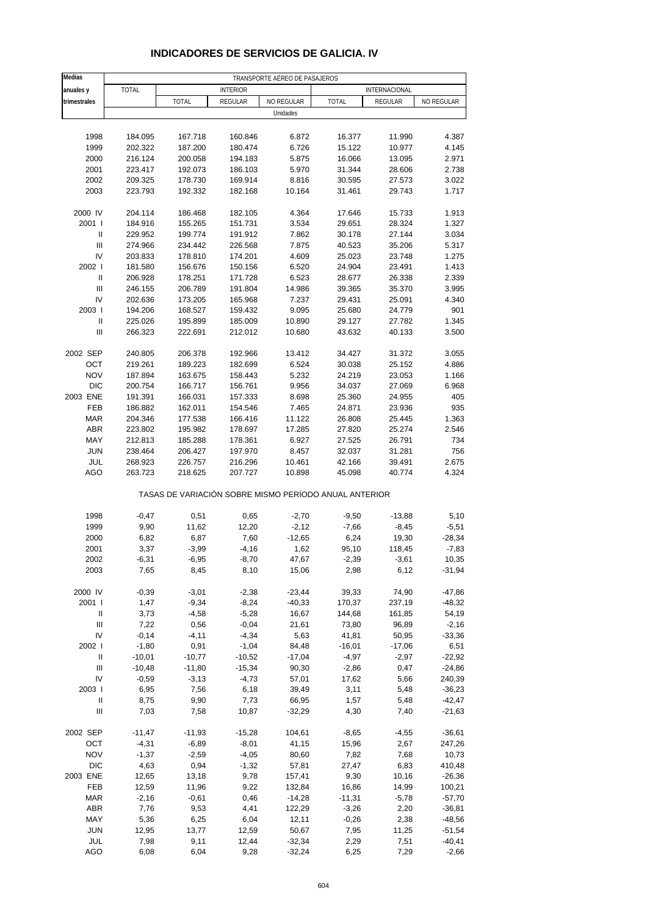| <b>Medias</b>                      | TRANSPORTE AÉREO DE PASAJEROS |                                                       |                 |            |              |               |            |  |
|------------------------------------|-------------------------------|-------------------------------------------------------|-----------------|------------|--------------|---------------|------------|--|
| anuales y                          | <b>TOTAL</b>                  |                                                       | <b>INTERIOR</b> |            |              | INTERNACIONAL |            |  |
| trimestrales                       |                               | <b>TOTAL</b>                                          | REGULAR         | NO REGULAR | <b>TOTAL</b> | REGULAR       | NO REGULAR |  |
|                                    |                               |                                                       |                 | Unidades   |              |               |            |  |
|                                    |                               |                                                       |                 |            |              |               |            |  |
| 1998                               | 184.095                       | 167.718                                               | 160.846         | 6.872      | 16.377       | 11.990        | 4.387      |  |
| 1999                               | 202.322                       | 187.200                                               | 180.474         | 6.726      | 15.122       | 10.977        | 4.145      |  |
| 2000                               | 216.124                       | 200.058                                               | 194.183         | 5.875      | 16.066       | 13.095        | 2.971      |  |
| 2001                               | 223.417                       | 192.073                                               | 186.103         | 5.970      | 31.344       | 28.606        | 2.738      |  |
| 2002                               | 209.325                       | 178.730                                               | 169.914         | 8.816      | 30.595       | 27.573        | 3.022      |  |
| 2003                               | 223.793                       | 192.332                                               | 182.168         | 10.164     | 31.461       | 29.743        | 1.717      |  |
| 2000 IV                            | 204.114                       | 186.468                                               | 182.105         | 4.364      | 17.646       | 15.733        | 1.913      |  |
| 2001 l                             | 184.916                       | 155.265                                               | 151.731         | 3.534      | 29.651       | 28.324        | 1.327      |  |
| $\mathbf{I}$                       | 229.952                       | 199.774                                               | 191.912         | 7.862      | 30.178       | 27.144        | 3.034      |  |
| $\ensuremath{\mathsf{III}}\xspace$ | 274.966                       | 234.442                                               | 226.568         | 7.875      | 40.523       | 35.206        | 5.317      |  |
| IV                                 | 203.833                       | 178.810                                               | 174.201         | 4.609      | 25.023       | 23.748        | 1.275      |  |
| 2002                               | 181.580                       | 156.676                                               | 150.156         | 6.520      | 24.904       | 23.491        | 1.413      |  |
| Ш                                  | 206.928                       | 178.251                                               | 171.728         | 6.523      | 28.677       | 26.338        | 2.339      |  |
| Ш                                  | 246.155                       | 206.789                                               | 191.804         | 14.986     | 39.365       | 35.370        | 3.995      |  |
| IV                                 | 202.636                       | 173.205                                               | 165.968         | 7.237      | 29.431       | 25.091        | 4.340      |  |
| 2003                               | 194.206                       | 168.527                                               | 159.432         | 9.095      | 25.680       | 24.779        | 901        |  |
| $\ensuremath{\mathsf{II}}$         | 225.026                       | 195.899                                               | 185.009         | 10.890     | 29.127       | 27.782        | 1.345      |  |
| Ш                                  | 266.323                       | 222.691                                               | 212.012         | 10.680     | 43.632       | 40.133        | 3.500      |  |
| 2002 SEP                           | 240.805                       | 206.378                                               | 192.966         | 13.412     | 34.427       | 31.372        | 3.055      |  |
| OCT                                | 219.261                       | 189.223                                               | 182.699         | 6.524      | 30.038       | 25.152        | 4.886      |  |
| <b>NOV</b>                         | 187.894                       | 163.675                                               | 158.443         | 5.232      | 24.219       | 23.053        | 1.166      |  |
| <b>DIC</b>                         | 200.754                       | 166.717                                               | 156.761         | 9.956      | 34.037       | 27.069        | 6.968      |  |
| 2003 ENE                           | 191.391                       | 166.031                                               | 157.333         | 8.698      | 25.360       | 24.955        | 405        |  |
| FEB                                | 186.882                       | 162.011                                               | 154.546         | 7.465      | 24.871       | 23.936        | 935        |  |
| <b>MAR</b>                         | 204.346                       | 177.538                                               | 166.416         | 11.122     | 26.808       | 25.445        | 1.363      |  |
| <b>ABR</b>                         | 223.802                       | 195.982                                               | 178.697         | 17.285     | 27.820       | 25.274        | 2.546      |  |
| MAY                                | 212.813                       | 185.288                                               | 178.361         | 6.927      | 27.525       | 26.791        | 734        |  |
| <b>JUN</b>                         | 238.464                       | 206.427                                               | 197.970         | 8.457      | 32.037       | 31.281        | 756        |  |
| JUL                                | 268.923                       | 226.757                                               | 216.296         | 10.461     | 42.166       | 39.491        | 2.675      |  |
| AGO                                | 263.723                       | 218.625                                               | 207.727         | 10.898     | 45.098       | 40.774        | 4.324      |  |
|                                    |                               | TASAS DE VARIACIÓN SOBRE MISMO PERÍODO ANUAL ANTERIOR |                 |            |              |               |            |  |
| 1998                               | $-0,47$                       | 0,51                                                  | 0,65            | $-2,70$    | $-9,50$      | $-13,88$      | 5,10       |  |
| 1999                               | 9,90                          | 11,62                                                 | 12,20           | $-2,12$    | $-7,66$      | $-8,45$       | $-5,51$    |  |
| 2000                               | 6,82                          | 6,87                                                  | 7,60            | $-12,65$   | 6,24         | 19,30         | $-28,34$   |  |
| 2001                               | 3,37                          | $-3,99$                                               | $-4,16$         | 1,62       | 95,10        | 118,45        | $-7,83$    |  |
| 2002                               | $-6,31$                       | $-6,95$                                               | $-8,70$         | 47,67      | $-2,39$      | $-3,61$       | 10,35      |  |
| 2003                               | 7,65                          | 8,45                                                  | 8,10            | 15,06      | 2,98         | 6,12          | $-31,94$   |  |
| 2000 IV                            | $-0,39$                       | $-3,01$                                               | $-2,38$         | $-23,44$   | 39,33        | 74,90         | $-47,86$   |  |
| 2001 l                             | 1,47                          | $-9,34$                                               | $-8,24$         | $-40,33$   | 170,37       | 237,19        | $-48,32$   |  |
| Ш                                  | 3,73                          | $-4,58$                                               | $-5,28$         | 16,67      | 144,68       | 161,85        | 54,19      |  |
| $\ensuremath{\mathsf{III}}\xspace$ | 7,22                          | 0,56                                                  | $-0,04$         | 21,61      | 73,80        | 96,89         | $-2,16$    |  |
| IV                                 | $-0,14$                       | $-4, 11$                                              | $-4,34$         | 5,63       | 41,81        | 50,95         | $-33,36$   |  |
| 2002 l                             | $-1,80$                       | 0,91                                                  | $-1,04$         | 84,48      | $-16,01$     | $-17,06$      | 6,51       |  |
| Ш                                  | $-10,01$                      | $-10,77$                                              | $-10,52$        | $-17,04$   | $-4,97$      | $-2,97$       | $-22,92$   |  |
| $\ensuremath{\mathsf{III}}\xspace$ | $-10,48$                      | $-11,80$                                              | $-15,34$        | 90,30      | $-2,86$      | 0,47          | $-24,86$   |  |
| IV                                 | $-0,59$                       | $-3,13$                                               | $-4,73$         | 57,01      | 17,62        | 5,66          | 240,39     |  |
| 2003                               | 6,95                          | 7,56                                                  | 6,18            | 39,49      | 3,11         | 5,48          | $-36,23$   |  |
| Ш                                  | 8,75                          | 9,90                                                  | 7,73            | 66,95      | 1,57         | 5,48          | $-42,47$   |  |
| Ш                                  | 7,03                          | 7,58                                                  | 10,87           | $-32,29$   | 4,30         | 7,40          | $-21,63$   |  |
| 2002 SEP                           | $-11,47$                      | $-11,93$                                              | $-15,28$        | 104,61     | $-8,65$      | $-4,55$       | $-36,61$   |  |
| OCT                                | $-4,31$                       | $-6,89$                                               | $-8,01$         | 41,15      | 15,96        | 2,67          | 247,26     |  |
| <b>NOV</b>                         | $-1,37$                       | $-2,59$                                               | $-4,05$         | 80,60      | 7,82         | 7,68          | 10,73      |  |
| <b>DIC</b>                         | 4,63                          | 0,94                                                  | $-1,32$         | 57,81      | 27,47        | 6,83          | 410,48     |  |
| 2003 ENE                           | 12,65                         | 13,18                                                 | 9,78            | 157,41     | 9,30         | 10,16         | $-26,36$   |  |
| FEB                                | 12,59                         | 11,96                                                 | 9,22            | 132,84     | 16,86        | 14,99         | 100,21     |  |
| <b>MAR</b>                         | $-2,16$                       | $-0,61$                                               | 0,46            | $-14,28$   | $-11,31$     | $-5,78$       | $-57,70$   |  |
| <b>ABR</b>                         | 7,76                          | 9,53                                                  | 4,41            | 122,29     | $-3,26$      | 2,20          | $-36,81$   |  |
| MAY                                | 5,36                          | 6,25                                                  | 6,04            | 12,11      | $-0,26$      | 2,38          | $-48,56$   |  |
| <b>JUN</b>                         | 12,95                         | 13,77                                                 | 12,59           | 50,67      | 7,95         | 11,25         | $-51,54$   |  |
| JUL<br>AGO                         | 7,98                          | 9,11                                                  | 12,44           | $-32,34$   | 2,29         | 7,51          | $-40,41$   |  |
|                                    | 6,08                          | 6,04                                                  | 9,28            | $-32,24$   | 6,25         | 7,29          | $-2,66$    |  |

#### **INDICADORES DE SERVICIOS DE GALICIA. IV**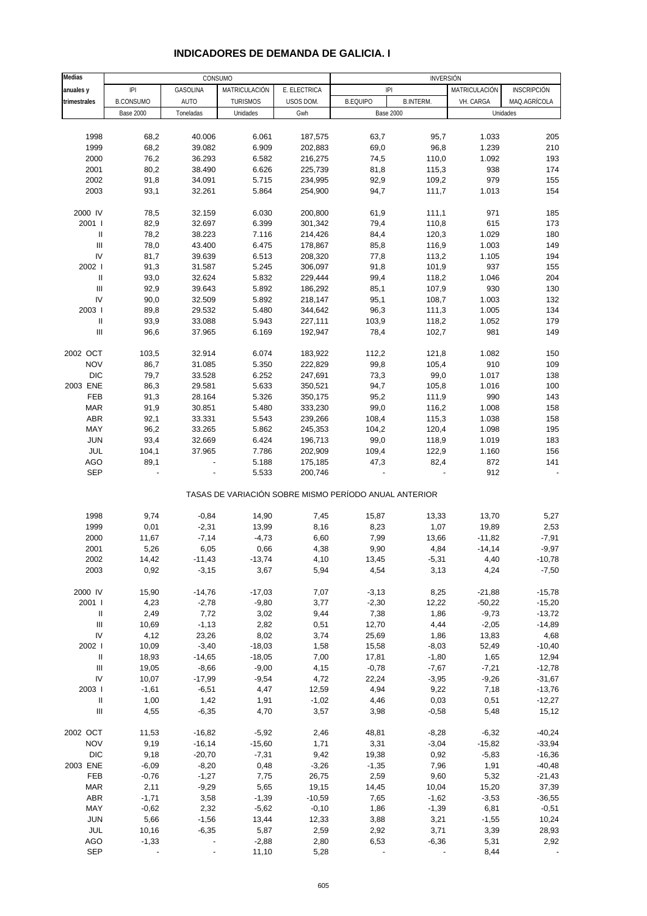#### **Medias interviewed and the consumo interviewed and the consumo interviewed in the consumo interviewed in the con anuales y I**PI | GASOLINA |MATRICULACIÓN | E. ELECTRICA | IPI | MATRICULACIÓN | INSCRIPCIÓN **trimestrales** B.CONSUMO AUTO TURISMOS USOS DOM. B.EQUIPO B.INTERM. VH. CARGA MAQ.AGRÍCOLA Base 2000 | Toneladas | Unidades | Gwh | Base 2000 | Unidades 1998 68,2 40.006 6.061 187,575 63,7 95,7 1.033 205 1999 68,2 39.082 6.909 202,883 69,0 96,8 1.239 210 2000 76,2 36.293 6.582 216,275 74,5 110,0 1.092 193 2001 80,2 38.490 6.626 225,739 81,8 115,3 938 174 2002 91,8 34.091 5.715 234,995 92,9 109,2 979 155 2003 93,1 32.261 5.864 254,900 94,7 111,7 1.013 154 2000 IV 78,5 32.159 6.030 200,800 61,9 111,1 971 185 2001 I 82,9 32.697 6.399 301,342 79,4 110,8 615 173 II 78,2 38.223 7.116 214,426 84,4 120,3 1.029 180 III 78,0 43.400 6.475 178,867 85,8 116,9 1.003 149 IV 81,7 39.639 6.513 208,320 77,8 113,2 1.105 194 2002 I 91,3 31.587 5.245 306,097 91,8 101,9 937 155 II 93,0 32.624 5.832 229,444 99,4 118,2 1.046 204 III 92,9 39.643 5.892 186,292 85,1 107,9 930 130 IV 90,0 32.509 5.892 218,147 95,1 108,7 1.003 132 2003 I 89,8 29.532 5.480 344,642 96,3 111,3 1.005 134 II 93,9 33.088 5.943 227,111 103,9 118,2 1.052 179 III 96,6 37.965 6.169 192,947 78,4 102,7 981 149 2002 OCT 103,5 32.914 6.074 183,922 112,2 121,8 1.082 150 NOV 86,7 31.085 5.350 222,829 99,8 105,4 910 109 DIC 79,7 33.528 6.252 247,691 73,3 99,0 1.017 138 2003 ENE 86,3 29.581 5.633 350,521 94,7 105,8 1.016 100 FEB 91,3 28.164 5.326 350,175 95,2 111,9 990 143 MAR 91,9 30.851 5.480 333,230 99,0 116,2 1.008 158 ABR 92,1 33.331 5.543 239,266 108,4 115,3 1.038 158 MAY 96,2 33.265 5.862 245,353 104,2 120,4 1.098 195 JUN 93,4 32.669 6.424 196,713 99,0 118,9 1.019 183 JUL 104,1 37.965 7.786 202,909 109,4 122,9 1.160 156 AGO 89,1 - 5.188 175,185 47,3 82,4 872 141 SEP - - 5.533 200,746 - - 912 - TASAS DE VARIACIÓN SOBRE MISMO PERÍODO ANUAL ANTERIOR 1998 9,74 -0,84 14,90 7,45 15,87 13,33 13,70 5,27 1999 0,01 -2,31 13,99 8,16 8,23 1,07 19,89 2,53 2000 11,67 -7,14 -4,73 6,60 7,99 13,66 -11,82 -7,91 2001 5,26 6,05 0,66 4,38 9,90 4,84 -14,14 -9,97 2002 14,42 -11,43 -13,74 4,10 13,45 -5,31 4,40 -10,78 2003 0,92 -3,15 3,67 5,94 4,54 3,13 4,24 -7,50 2000 IV 15,90 -14,76 -17,03 7,07 -3,13 8,25 -21,88 -15,78 2001 I 4,23 -2,78 -9,80 3,77 -2,30 12,22 -50,22 -15,20 II 2,49 7,72 3,02 9,44 7,38 1,86 -9,73 -13,72 III 10,69 -1,13 2,82 0,51 12,70 4,44 -2,05 -14,89 IV 4,12 23,26 8,02 3,74 25,69 1,86 13,83 4,68 2002 I 10,09 -3,40 -18,03 1,58 15,58 -8,03 52,49 -10,40 II 18,93 -14,65 -18,05 7,00 17,81 -1,80 1,65 12,94 III 19,05 -8,66 -9,00 4,15 -0,78 -7,67 -7,21 -12,78 IV 10,07 -17,99 -9,54 4,72 22,24 -3,95 -9,26 -31,67 2003 I -1,61 -6,51 4,47 12,59 4,94 9,22 7,18 -13,76 II 1,00 1,42 1,91 -1,02 4,46 0,03 0,51 -12,27 III 4,55 -6,35 4,70 3,57 3,98 -0,58 5,48 15,12 2002 OCT 11,53 -16,82 -5,92 2,46 48,81 -8,28 -6,32 -40,24 NOV 9,19 -16,14 -15,60 1,71 3,31 -3,04 -15,82 -33,94 DIC 9,18 -20,70 -7,31 9,42 19,38 0,92 -5,83 -16,36 2003 ENE -6,09 -8,20 - 0,48 -3,26 -1,35 - 7,96 - 1,91 - 40,48 FEB -0,76 -1,27 7,75 26,75 2,59 9,60 5,32 -21,43 MAR 2,11 -9,29 5,65 19,15 14,45 10,04 15,20 37,39 ABR -1,71 3,58 -1,39 -10,59 7,65 -1,62 -3,53 -36,55 MAY -0,62 2,32 -5,62 -0,10 1,86 -1,39 6,81 -0,51 JUN 5,66 -1,56 13,44 12,33 3,88 3,21 -1,55 10,24 JUL 10,16 -6,35 5,87 2,59 2,92 3,71 3,39 28,93 Base 2000 IPI

#### **INDICADORES DE DEMANDA DE GALICIA. I**

AGO -1,33 - - -2,88 2,80 6,53 -6,36 5,31 2,92 SEP - - - 11,10 5,28 - - - 8,44 -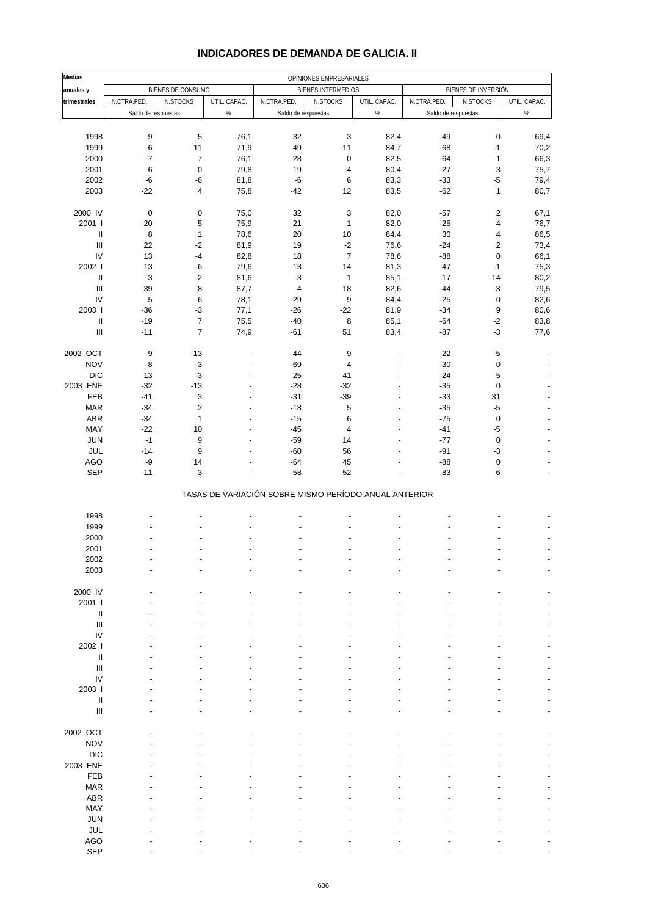| <b>Medias</b>                                                                                                                                                                                                                                                                                                                                                                                                                                                                                                                                      |                     |                         |                          |                     | OPINIONES EMPRESARIALES                               |                                  |                     |                         |                          |
|----------------------------------------------------------------------------------------------------------------------------------------------------------------------------------------------------------------------------------------------------------------------------------------------------------------------------------------------------------------------------------------------------------------------------------------------------------------------------------------------------------------------------------------------------|---------------------|-------------------------|--------------------------|---------------------|-------------------------------------------------------|----------------------------------|---------------------|-------------------------|--------------------------|
| anuales y                                                                                                                                                                                                                                                                                                                                                                                                                                                                                                                                          |                     | BIENES DE CONSUMO       |                          |                     | <b>BIENES INTERMEDIOS</b>                             |                                  |                     | BIENES DE INVERSIÓN     |                          |
| trimestrales                                                                                                                                                                                                                                                                                                                                                                                                                                                                                                                                       | N.CTRA.PED.         | N.STOCKS                | UTIL. CAPAC.             | N.CTRA.PED.         | N.STOCKS                                              | UTIL. CAPAC.                     | N.CTRA.PED.         | N.STOCKS                | UTIL. CAPAC.             |
|                                                                                                                                                                                                                                                                                                                                                                                                                                                                                                                                                    | Saldo de respuestas |                         | $\%$                     | Saldo de respuestas |                                                       | $\%$                             | Saldo de respuestas |                         | $\%$                     |
|                                                                                                                                                                                                                                                                                                                                                                                                                                                                                                                                                    |                     |                         |                          |                     |                                                       |                                  |                     |                         |                          |
| 1998                                                                                                                                                                                                                                                                                                                                                                                                                                                                                                                                               | 9                   | 5                       | 76,1                     | 32                  | $\mathsf 3$                                           | 82,4                             | $-49$               | 0                       | 69,4                     |
| 1999                                                                                                                                                                                                                                                                                                                                                                                                                                                                                                                                               | $-6$                | 11                      | 71,9                     | 49                  | $-11$                                                 | 84,7                             | $-68$               | $-1$                    | 70,2                     |
| 2000                                                                                                                                                                                                                                                                                                                                                                                                                                                                                                                                               | $-7$                | $\boldsymbol{7}$        | 76,1                     | 28                  | $\pmb{0}$                                             | 82,5                             | $-64$               | $\mathbf{1}$            | 66,3                     |
| 2001<br>2002                                                                                                                                                                                                                                                                                                                                                                                                                                                                                                                                       | 6<br>$-6$           | $\mathbf 0$<br>$-6$     | 79,8                     | 19<br>$-6$          | 4<br>6                                                | 80,4                             | $-27$<br>$-33$      | 3<br>$-5$               | 75,7                     |
| 2003                                                                                                                                                                                                                                                                                                                                                                                                                                                                                                                                               | $-22$               | $\overline{\mathbf{4}}$ | 81,8<br>75,8             | $-42$               | 12                                                    | 83,3<br>83,5                     | $-62$               | $\mathbf{1}$            | 79,4<br>80,7             |
|                                                                                                                                                                                                                                                                                                                                                                                                                                                                                                                                                    |                     |                         |                          |                     |                                                       |                                  |                     |                         |                          |
| 2000 IV                                                                                                                                                                                                                                                                                                                                                                                                                                                                                                                                            | $\pmb{0}$           | $\pmb{0}$               | 75,0                     | 32                  | $\mathsf 3$                                           | 82,0                             | $-57$               | $\overline{\mathbf{c}}$ | 67,1                     |
| 2001 l                                                                                                                                                                                                                                                                                                                                                                                                                                                                                                                                             | $-20$               | 5                       | 75,9                     | 21                  | $\mathbf{1}$                                          | 82,0                             | $-25$               | 4                       | 76,7                     |
| $\ensuremath{\mathsf{II}}$                                                                                                                                                                                                                                                                                                                                                                                                                                                                                                                         | 8                   | $\mathbf{1}$            | 78,6                     | 20                  | 10                                                    | 84,4                             | 30                  | 4                       | 86,5                     |
| $\ensuremath{\mathsf{III}}\xspace$                                                                                                                                                                                                                                                                                                                                                                                                                                                                                                                 | 22                  | $-2$                    | 81,9                     | 19                  | $-2$                                                  | 76,6                             | $-24$               | 2                       | 73,4                     |
| IV                                                                                                                                                                                                                                                                                                                                                                                                                                                                                                                                                 | 13                  | $-4$                    | 82,8                     | 18                  | $\overline{7}$                                        | 78,6                             | $-88$               | $\pmb{0}$               | 66,1                     |
| 2002                                                                                                                                                                                                                                                                                                                                                                                                                                                                                                                                               | 13                  | $-6$                    | 79,6                     | 13                  | 14                                                    | 81,3                             | $-47$               | $-1$                    | 75,3                     |
| $\ensuremath{\mathsf{II}}$<br>Ш                                                                                                                                                                                                                                                                                                                                                                                                                                                                                                                    | $-3$<br>$-39$       | $-2$<br>-8              | 81,6                     | $-3$<br>$-4$        | $\mathbf{1}$<br>18                                    | 85,1                             | $-17$<br>$-44$      | $-14$<br>$-3$           | 80,2                     |
| IV                                                                                                                                                                                                                                                                                                                                                                                                                                                                                                                                                 | $\sqrt{5}$          | $-6$                    | 87,7<br>78,1             | $-29$               | -9                                                    | 82,6<br>84,4                     | $-25$               | 0                       | 79,5<br>82,6             |
| 2003                                                                                                                                                                                                                                                                                                                                                                                                                                                                                                                                               | $-36$               | $-3$                    | 77,1                     | $-26$               | $-22$                                                 | 81,9                             | $-34$               | 9                       | 80,6                     |
| $\sf II$                                                                                                                                                                                                                                                                                                                                                                                                                                                                                                                                           | $-19$               | $\boldsymbol{7}$        | 75,5                     | $-40$               | 8                                                     | 85,1                             | $-64$               | $-2$                    | 83,8                     |
| $\ensuremath{\mathsf{III}}\xspace$                                                                                                                                                                                                                                                                                                                                                                                                                                                                                                                 | $-11$               | $\overline{7}$          | 74,9                     | $-61$               | 51                                                    | 83,4                             | $-87$               | $-3$                    | 77,6                     |
|                                                                                                                                                                                                                                                                                                                                                                                                                                                                                                                                                    |                     |                         |                          |                     |                                                       |                                  |                     |                         |                          |
| 2002 OCT                                                                                                                                                                                                                                                                                                                                                                                                                                                                                                                                           | 9                   | $-13$                   | $\overline{\phantom{a}}$ | $-44$               | $\boldsymbol{9}$                                      | $\overline{\phantom{a}}$         | $-22$               | $-5$                    |                          |
| <b>NOV</b>                                                                                                                                                                                                                                                                                                                                                                                                                                                                                                                                         | -8                  | $-3$                    | $\overline{a}$           | $-69$               | $\overline{4}$                                        | $\overline{\phantom{a}}$         | $-30$               | 0                       |                          |
| <b>DIC</b>                                                                                                                                                                                                                                                                                                                                                                                                                                                                                                                                         | 13                  | $-3$                    | ÷,                       | 25                  | $-41$                                                 | $\overline{a}$                   | $-24$               | 5                       |                          |
| 2003 ENE<br>FEB                                                                                                                                                                                                                                                                                                                                                                                                                                                                                                                                    | $-32$<br>$-41$      | $-13$<br>3              | $\overline{\phantom{a}}$ | $-28$<br>$-31$      | $-32$<br>$-39$                                        | $\overline{a}$<br>$\overline{a}$ | $-35$<br>$-33$      | 0<br>31                 |                          |
| <b>MAR</b>                                                                                                                                                                                                                                                                                                                                                                                                                                                                                                                                         | $-34$               | $\mathbf 2$             | ÷,                       | $-18$               | 5                                                     | $\overline{a}$                   | $-35$               | $-5$                    |                          |
| ABR                                                                                                                                                                                                                                                                                                                                                                                                                                                                                                                                                | $-34$               | $\mathbf{1}$            |                          | $-15$               | 6                                                     | $\overline{\phantom{a}}$         | $-75$               | $\pmb{0}$               |                          |
| MAY                                                                                                                                                                                                                                                                                                                                                                                                                                                                                                                                                | $-22$               | 10                      |                          | $-45$               | $\overline{\mathbf{4}}$                               | ÷,                               | $-41$               | $-5$                    |                          |
| <b>JUN</b>                                                                                                                                                                                                                                                                                                                                                                                                                                                                                                                                         | $-1$                | 9                       | ÷,                       | $-59$               | 14                                                    | $\overline{a}$                   | $-77$               | $\pmb{0}$               |                          |
| JUL                                                                                                                                                                                                                                                                                                                                                                                                                                                                                                                                                | $-14$               | $\boldsymbol{9}$        |                          | $-60$               | 56                                                    |                                  | $-91$               | $-3$                    |                          |
| <b>AGO</b>                                                                                                                                                                                                                                                                                                                                                                                                                                                                                                                                         | $-9$                | 14                      |                          | $-64$               | 45                                                    | ÷,                               | $-88$               | $\pmb{0}$               |                          |
| SEP                                                                                                                                                                                                                                                                                                                                                                                                                                                                                                                                                | $-11$               | $-3$                    | $\overline{\phantom{a}}$ | $-58$               | 52                                                    |                                  | $-83$               | -6                      | $\overline{\phantom{a}}$ |
|                                                                                                                                                                                                                                                                                                                                                                                                                                                                                                                                                    |                     |                         |                          |                     | TASAS DE VARIACIÓN SOBRE MISMO PERÍODO ANUAL ANTERIOR |                                  |                     |                         |                          |
| 1998                                                                                                                                                                                                                                                                                                                                                                                                                                                                                                                                               |                     |                         |                          |                     |                                                       |                                  |                     |                         |                          |
| 1999                                                                                                                                                                                                                                                                                                                                                                                                                                                                                                                                               |                     |                         |                          |                     |                                                       |                                  |                     |                         |                          |
| 2000                                                                                                                                                                                                                                                                                                                                                                                                                                                                                                                                               |                     |                         |                          |                     |                                                       | $\overline{a}$                   |                     |                         |                          |
| 2001                                                                                                                                                                                                                                                                                                                                                                                                                                                                                                                                               |                     |                         |                          |                     |                                                       | $\overline{a}$                   |                     |                         |                          |
| 2002                                                                                                                                                                                                                                                                                                                                                                                                                                                                                                                                               |                     |                         |                          |                     |                                                       |                                  |                     |                         |                          |
| 2003                                                                                                                                                                                                                                                                                                                                                                                                                                                                                                                                               |                     |                         |                          |                     |                                                       |                                  |                     |                         |                          |
| 2000 IV                                                                                                                                                                                                                                                                                                                                                                                                                                                                                                                                            |                     |                         |                          |                     |                                                       |                                  |                     |                         |                          |
| 2001 l                                                                                                                                                                                                                                                                                                                                                                                                                                                                                                                                             |                     |                         |                          |                     |                                                       |                                  |                     |                         |                          |
| $\sf II$                                                                                                                                                                                                                                                                                                                                                                                                                                                                                                                                           |                     |                         |                          |                     |                                                       |                                  |                     |                         |                          |
| $\ensuremath{\mathsf{III}}\xspace$                                                                                                                                                                                                                                                                                                                                                                                                                                                                                                                 |                     |                         |                          |                     |                                                       |                                  |                     |                         |                          |
| IV                                                                                                                                                                                                                                                                                                                                                                                                                                                                                                                                                 |                     |                         |                          |                     |                                                       |                                  |                     |                         |                          |
| 2002 l                                                                                                                                                                                                                                                                                                                                                                                                                                                                                                                                             |                     |                         |                          |                     |                                                       |                                  |                     |                         |                          |
| $\sf II$                                                                                                                                                                                                                                                                                                                                                                                                                                                                                                                                           |                     |                         |                          |                     |                                                       |                                  |                     |                         |                          |
| $\ensuremath{\mathsf{III}}\xspace$                                                                                                                                                                                                                                                                                                                                                                                                                                                                                                                 |                     |                         |                          |                     |                                                       |                                  |                     |                         |                          |
| IV                                                                                                                                                                                                                                                                                                                                                                                                                                                                                                                                                 |                     |                         |                          |                     |                                                       |                                  |                     |                         |                          |
| 2003  <br>$\mathop{\mathrm{II}}% \nolimits_{\mathop{\mathrm{II}}% \nolimits} \mathop{\mathrm{II}}% \nolimits_{\mathop{\mathrm{II}}% \nolimits} \mathop{\mathrm{II}}% \nolimits_{\mathop{\mathrm{II}}% \nolimits} \mathop{\mathrm{II}}% \nolimits_{\mathop{\mathrm{II}}% \nolimits} \mathop{\mathrm{II}}% \nolimits_{\mathop{\mathrm{II}}% \nolimits} \mathop{\mathrm{II}}% \nolimits_{\mathop{\mathrm{II}}% \nolimits} \mathop{\mathrm{II}}% \nolimits_{\mathop{\mathrm{II}}% \nolimits} \mathop{\mathrm{II}}% \nolimits_{\mathop{\mathrm{II}}% \$ |                     |                         |                          |                     |                                                       |                                  |                     |                         |                          |
| Ш                                                                                                                                                                                                                                                                                                                                                                                                                                                                                                                                                  |                     |                         |                          |                     |                                                       |                                  |                     |                         |                          |
|                                                                                                                                                                                                                                                                                                                                                                                                                                                                                                                                                    |                     |                         |                          |                     |                                                       |                                  |                     |                         |                          |
| 2002 OCT                                                                                                                                                                                                                                                                                                                                                                                                                                                                                                                                           |                     |                         |                          |                     |                                                       |                                  |                     |                         |                          |
| <b>NOV</b>                                                                                                                                                                                                                                                                                                                                                                                                                                                                                                                                         |                     |                         |                          |                     |                                                       |                                  |                     |                         |                          |
| <b>DIC</b>                                                                                                                                                                                                                                                                                                                                                                                                                                                                                                                                         |                     |                         |                          |                     |                                                       |                                  |                     |                         |                          |
| 2003 ENE                                                                                                                                                                                                                                                                                                                                                                                                                                                                                                                                           |                     |                         |                          |                     |                                                       |                                  |                     |                         |                          |
| FEB                                                                                                                                                                                                                                                                                                                                                                                                                                                                                                                                                |                     |                         |                          |                     |                                                       |                                  |                     |                         |                          |
| <b>MAR</b><br>ABR                                                                                                                                                                                                                                                                                                                                                                                                                                                                                                                                  |                     |                         |                          |                     |                                                       |                                  |                     |                         |                          |
| MAY                                                                                                                                                                                                                                                                                                                                                                                                                                                                                                                                                |                     |                         |                          |                     |                                                       |                                  |                     |                         |                          |
| <b>JUN</b>                                                                                                                                                                                                                                                                                                                                                                                                                                                                                                                                         |                     |                         |                          |                     |                                                       |                                  |                     |                         |                          |
| JUL                                                                                                                                                                                                                                                                                                                                                                                                                                                                                                                                                |                     |                         |                          |                     |                                                       |                                  |                     |                         |                          |
| <b>AGO</b>                                                                                                                                                                                                                                                                                                                                                                                                                                                                                                                                         |                     |                         |                          |                     |                                                       |                                  |                     |                         |                          |
| <b>SEP</b>                                                                                                                                                                                                                                                                                                                                                                                                                                                                                                                                         |                     |                         |                          |                     |                                                       |                                  |                     |                         |                          |

#### **INDICADORES DE DEMANDA DE GALICIA. II**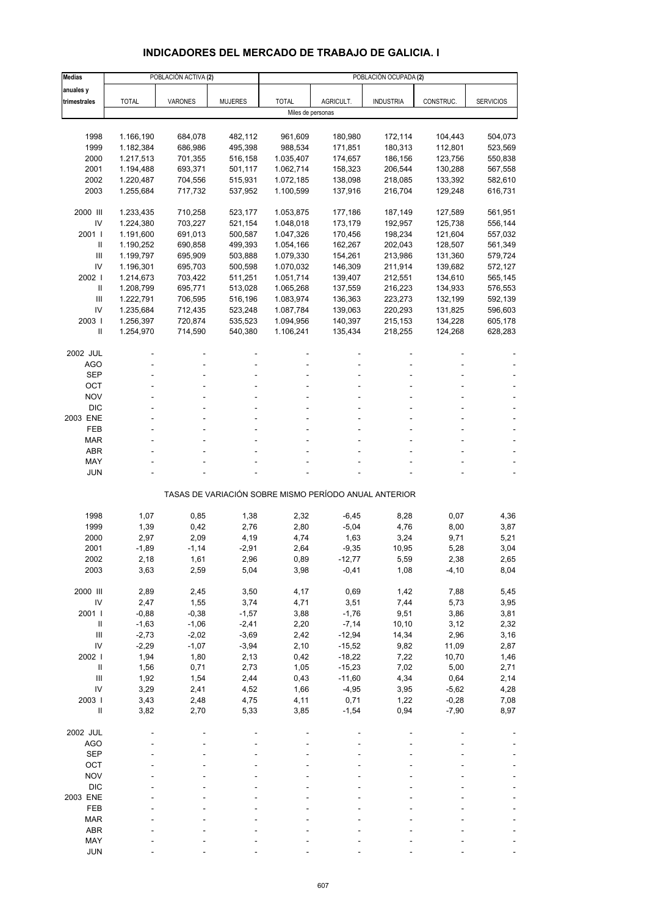## **INDICADORES DEL MERCADO DE TRABAJO DE GALICIA. I**

| <b>Medias</b>       |              | POBLACIÓN ACTIVA (2) |                |                   |                      | POBLACIÓN OCUPADA (2)                                 |              |                  |
|---------------------|--------------|----------------------|----------------|-------------------|----------------------|-------------------------------------------------------|--------------|------------------|
| anuales y           |              |                      |                |                   |                      |                                                       |              |                  |
| trimestrales        | <b>TOTAL</b> | VARONES              | <b>MUJERES</b> | <b>TOTAL</b>      | AGRICULT.            | <b>INDUSTRIA</b>                                      | CONSTRUC.    | <b>SERVICIOS</b> |
|                     |              |                      |                | Miles de personas |                      |                                                       |              |                  |
|                     |              |                      |                |                   |                      |                                                       |              |                  |
| 1998                | 1.166,190    | 684,078              | 482,112        | 961,609           | 180,980              | 172,114                                               | 104,443      | 504,073          |
| 1999                | 1.182,384    | 686,986              | 495,398        | 988,534           | 171,851              | 180,313                                               | 112,801      | 523,569          |
| 2000                | 1.217,513    | 701,355              | 516,158        | 1.035,407         | 174,657              | 186,156                                               | 123,756      | 550,838          |
| 2001                | 1.194,488    | 693,371              | 501,117        | 1.062,714         | 158,323              | 206,544                                               | 130,288      | 567,558          |
| 2002                | 1.220,487    | 704,556              | 515,931        | 1.072,185         | 138,098              | 218,085                                               | 133,392      | 582,610          |
| 2003                | 1.255,684    | 717,732              | 537,952        | 1.100,599         | 137,916              | 216,704                                               | 129,248      | 616,731          |
| 2000 III            | 1.233,435    | 710,258              | 523,177        | 1.053,875         | 177,186              | 187,149                                               | 127,589      | 561,951          |
| IV                  | 1.224,380    | 703,227              | 521,154        | 1.048,018         | 173,179              | 192,957                                               | 125,738      | 556,144          |
| 2001 l              | 1.191,600    | 691,013              | 500,587        | 1.047,326         | 170,456              | 198,234                                               | 121,604      | 557,032          |
| Ш                   | 1.190,252    | 690,858              | 499,393        | 1.054,166         | 162,267              | 202,043                                               | 128,507      | 561,349          |
| Ш                   | 1.199,797    | 695,909              | 503,888        | 1.079,330         | 154,261              | 213,986                                               | 131,360      | 579,724          |
| IV                  | 1.196,301    | 695,703              | 500,598        | 1.070,032         | 146,309              | 211,914                                               | 139,682      | 572,127          |
| 2002                | 1.214,673    | 703,422              | 511,251        | 1.051,714         | 139,407              | 212,551                                               | 134,610      | 565,145          |
| $\mathbf{II}$       | 1.208,799    | 695,771              | 513,028        | 1.065,268         | 137,559              | 216,223                                               | 134,933      | 576,553          |
| Ш                   | 1.222,791    | 706,595              | 516,196        | 1.083,974         | 136,363              | 223,273                                               | 132,199      | 592,139          |
| IV                  | 1.235,684    | 712,435              | 523,248        | 1.087,784         | 139,063              | 220,293                                               | 131,825      | 596,603          |
| 2003                | 1.256,397    | 720,874              | 535,523        | 1.094,956         | 140,397              | 215,153                                               | 134,228      | 605,178          |
| Ш                   | 1.254,970    | 714,590              | 540,380        | 1.106,241         | 135,434              | 218,255                                               | 124,268      | 628,283          |
|                     |              |                      |                |                   |                      |                                                       |              |                  |
| 2002 JUL<br>AGO     |              |                      |                |                   |                      |                                                       |              |                  |
| <b>SEP</b>          |              |                      |                |                   |                      |                                                       |              |                  |
| OCT                 |              |                      |                |                   |                      |                                                       |              |                  |
| <b>NOV</b>          |              |                      |                |                   |                      |                                                       |              |                  |
| <b>DIC</b>          |              |                      |                |                   |                      |                                                       |              |                  |
| 2003 ENE            |              |                      |                |                   |                      |                                                       |              |                  |
| FEB                 |              |                      |                |                   |                      |                                                       |              |                  |
| <b>MAR</b>          |              |                      |                |                   |                      |                                                       |              |                  |
| <b>ABR</b>          |              |                      |                |                   |                      |                                                       |              |                  |
| MAY                 |              |                      |                |                   |                      |                                                       |              |                  |
| <b>JUN</b>          |              |                      |                |                   |                      |                                                       |              |                  |
|                     |              |                      |                |                   |                      | TASAS DE VARIACIÓN SOBRE MISMO PERÍODO ANUAL ANTERIOR |              |                  |
| 1998                | 1,07         | 0,85                 | 1,38           | 2,32              | $-6,45$              | 8,28                                                  | 0,07         | 4,36             |
| 1999                | 1,39         | 0,42                 | 2,76           | 2,80              | $-5,04$              | 4,76                                                  | 8,00         | 3,87             |
| 2000                | 2,97         | 2,09                 | 4,19           | 4,74              | 1,63                 | 3,24                                                  | 9,71         | 5,21             |
| 2001                | -1,89        | $-1,14$              | $-2,91$        | 2,64              | $-9,35$              | 10,95                                                 | 5,28         | 3,04             |
| 2002                | 2,18         | 1,61                 | 2,96           | 0,89              | $-12,77$             | 5,59                                                  | 2,38         | 2,65             |
| 2003                | 3,63         | 2,59                 | 5,04           | 3,98              | $-0,41$              | 1,08                                                  | $-4,10$      | 8,04             |
|                     |              |                      |                |                   |                      |                                                       |              |                  |
| 2000 III            | 2,89         | 2,45                 | 3,50           | 4,17              | 0,69                 | 1,42                                                  | 7,88         | 5,45             |
| IV                  | 2,47         | 1,55                 | 3,74           | 4,71              | 3,51                 | 7,44                                                  | 5,73         | 3,95             |
| 2001 l              | $-0,88$      | $-0,38$              | $-1,57$        | 3,88              | $-1,76$              | 9,51                                                  | 3,86         | 3,81             |
| $\, \parallel$      | $-1,63$      | $-1,06$              | $-2,41$        | 2,20              | $-7,14$              | 10, 10                                                | 3,12         | 2,32             |
| Ш                   | $-2,73$      | $-2,02$              | $-3,69$        | 2,42              | $-12,94$             | 14,34                                                 | 2,96         | 3,16             |
| IV                  | $-2,29$      | $-1,07$              | $-3,94$        | 2,10              | $-15,52$             | 9,82                                                  | 11,09        | 2,87             |
| 2002                | 1,94         | 1,80                 | 2,13           | 0,42              | $-18,22$             | 7,22                                                  | 10,70        | 1,46             |
| $\, \parallel$<br>Ш | 1,56<br>1,92 | 0,71<br>1,54         | 2,73<br>2,44   | 1,05              | $-15,23$<br>$-11,60$ | 7,02<br>4,34                                          | 5,00<br>0,64 | 2,71<br>2,14     |
| IV                  | 3,29         | 2,41                 | 4,52           | 0,43<br>1,66      | $-4,95$              | 3,95                                                  | $-5,62$      | 4,28             |
| 2003                | 3,43         | 2,48                 | 4,75           | 4,11              | 0,71                 | 1,22                                                  | $-0,28$      | 7,08             |
| $\sf II$            | 3,82         | 2,70                 | 5,33           | 3,85              | $-1,54$              | 0,94                                                  | $-7,90$      | 8,97             |
|                     |              |                      |                |                   |                      |                                                       |              |                  |
| 2002 JUL            |              |                      |                |                   |                      |                                                       |              |                  |
| <b>AGO</b>          |              |                      |                |                   |                      |                                                       |              |                  |
| <b>SEP</b>          |              |                      |                |                   |                      |                                                       |              |                  |
| OCT                 |              |                      |                |                   |                      |                                                       |              |                  |
| <b>NOV</b>          |              |                      |                |                   |                      |                                                       |              |                  |
| <b>DIC</b>          |              |                      |                |                   |                      |                                                       |              |                  |
| 2003 ENE            |              |                      |                |                   |                      |                                                       |              |                  |
| FEB                 |              |                      |                |                   |                      |                                                       |              |                  |
| <b>MAR</b>          |              |                      |                |                   |                      |                                                       |              |                  |
| <b>ABR</b>          |              |                      |                |                   |                      |                                                       |              |                  |
| MAY                 |              |                      |                |                   |                      |                                                       |              |                  |
| <b>JUN</b>          |              |                      |                |                   |                      |                                                       |              |                  |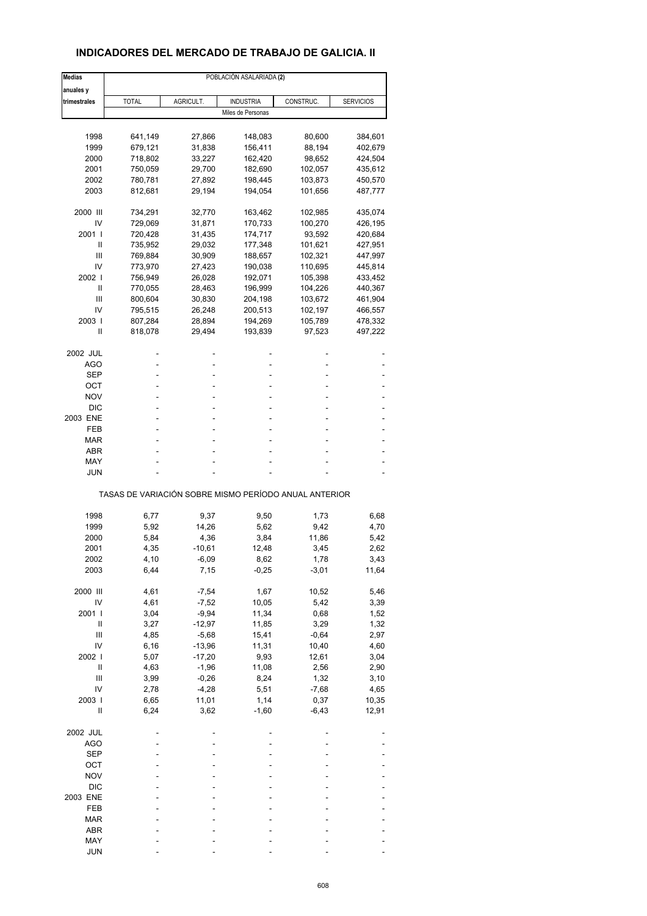### **INDICADORES DEL MERCADO DE TRABAJO DE GALICIA. II**

| <b>Medias</b> | POBLACIÓN ASALARIADA (2)                              |               |                   |                 |                  |  |  |  |  |
|---------------|-------------------------------------------------------|---------------|-------------------|-----------------|------------------|--|--|--|--|
| anuales y     |                                                       |               |                   |                 |                  |  |  |  |  |
| trimestrales  | <b>TOTAL</b>                                          | AGRICULT.     | <b>INDUSTRIA</b>  | CONSTRUC.       | <b>SERVICIOS</b> |  |  |  |  |
|               |                                                       |               | Miles de Personas |                 |                  |  |  |  |  |
|               |                                                       |               |                   |                 |                  |  |  |  |  |
| 1998          | 641,149                                               | 27,866        | 148,083           | 80,600          | 384,601          |  |  |  |  |
| 1999          | 679,121                                               | 31,838        | 156,411           | 88,194          | 402,679          |  |  |  |  |
| 2000          | 718,802                                               | 33,227        | 162,420           | 98,652          | 424,504          |  |  |  |  |
| 2001          | 750,059                                               | 29,700        | 182,690           | 102,057         | 435,612          |  |  |  |  |
| 2002          | 780,781                                               | 27,892        | 198,445           | 103,873         | 450,570          |  |  |  |  |
| 2003          | 812,681                                               | 29,194        | 194,054           | 101,656         | 487,777          |  |  |  |  |
| 2000 III      | 734,291                                               | 32,770        | 163,462           | 102,985         | 435,074          |  |  |  |  |
| IV            | 729,069                                               | 31,871        | 170,733           | 100,270         | 426,195          |  |  |  |  |
| 2001 l        | 720,428                                               | 31,435        | 174,717           | 93,592          | 420,684          |  |  |  |  |
| Ш             | 735,952                                               | 29,032        | 177,348           | 101,621         | 427,951          |  |  |  |  |
| Ш             | 769,884                                               | 30,909        | 188,657           | 102,321         | 447,997          |  |  |  |  |
| IV            | 773,970                                               | 27,423        | 190,038           | 110,695         | 445,814          |  |  |  |  |
| 2002 l        | 756,949                                               | 26,028        | 192,071           | 105,398         | 433,452          |  |  |  |  |
| Ш             | 770,055                                               | 28,463        | 196,999           | 104,226         | 440,367          |  |  |  |  |
| Ш             | 800,604                                               | 30,830        | 204,198           | 103,672         | 461,904          |  |  |  |  |
| IV            | 795,515                                               | 26,248        | 200,513           | 102,197         | 466,557          |  |  |  |  |
| 2003          | 807,284                                               | 28,894        | 194,269           | 105,789         | 478,332          |  |  |  |  |
| Ш             | 818,078                                               | 29,494        | 193,839           | 97,523          | 497,222          |  |  |  |  |
| 2002 JUL      |                                                       |               |                   |                 |                  |  |  |  |  |
| AGO           |                                                       |               | ٠                 |                 |                  |  |  |  |  |
| SEP           |                                                       |               |                   |                 |                  |  |  |  |  |
| OCT           |                                                       |               | ٠                 |                 |                  |  |  |  |  |
| NOV           |                                                       |               |                   |                 |                  |  |  |  |  |
| <b>DIC</b>    |                                                       |               |                   |                 |                  |  |  |  |  |
| 2003 ENE      | ä,                                                    | ۰             | ٠                 |                 |                  |  |  |  |  |
| FEB           |                                                       |               | ٠                 |                 |                  |  |  |  |  |
| MAR           |                                                       |               |                   |                 |                  |  |  |  |  |
| ABR           |                                                       |               | ٠                 |                 |                  |  |  |  |  |
| MAY           |                                                       |               |                   |                 |                  |  |  |  |  |
| JUN           |                                                       |               |                   |                 |                  |  |  |  |  |
|               | TASAS DE VARIACIÓN SOBRE MISMO PERÍODO ANUAL ANTERIOR |               |                   |                 |                  |  |  |  |  |
|               |                                                       |               |                   |                 |                  |  |  |  |  |
| 1998<br>1999  | 6,77<br>5,92                                          | 9,37<br>14,26 | 9,50<br>5,62      | 1,73<br>9,42    | 6,68<br>4,70     |  |  |  |  |
| 2000          | 5,84                                                  | 4,36          |                   | 11,86           |                  |  |  |  |  |
| 2001          |                                                       | $-10,61$      | 3,84<br>12,48     |                 | 5,42             |  |  |  |  |
|               | 4,35                                                  |               |                   | 3,45            | 2,62             |  |  |  |  |
| 2002<br>2003  | 4,10<br>6,44                                          | -6,09<br>7,15 | 8,62<br>$-0,25$   | 1,78<br>$-3,01$ | 3,43<br>11,64    |  |  |  |  |
|               |                                                       |               |                   |                 |                  |  |  |  |  |
| 2000 III      | 4,61                                                  | $-7,54$       | 1,67              | 10,52           | 5,46             |  |  |  |  |
| IV            | 4,61                                                  | $-7,52$       | 10,05             | 5,42            | 3,39             |  |  |  |  |
| 2001 l        | 3,04                                                  | $-9,94$       | 11,34             | 0,68            | 1,52             |  |  |  |  |
| Ш             | 3,27                                                  | $-12,97$      | 11,85             | 3,29            | 1,32             |  |  |  |  |
| Ш             | 4,85                                                  | $-5,68$       | 15,41             | $-0,64$         | 2,97             |  |  |  |  |
| IV            | 6, 16                                                 | $-13,96$      | 11,31             | 10,40           | 4,60             |  |  |  |  |
| 2002          | 5,07                                                  | $-17,20$      | 9,93              | 12,61           | 3,04             |  |  |  |  |
| $\sf II$      | 4,63                                                  | $-1,96$       | 11,08             | 2,56            | 2,90             |  |  |  |  |
| Ш             | 3,99                                                  | $-0,26$       | 8,24              | 1,32            | 3,10             |  |  |  |  |
| IV            | 2,78                                                  | $-4,28$       | 5,51              | $-7,68$         | 4,65             |  |  |  |  |
| 2003          | 6,65                                                  | 11,01         | 1,14              | 0,37            | 10,35            |  |  |  |  |
| Ш             | 6,24                                                  | 3,62          | $-1,60$           | $-6,43$         | 12,91            |  |  |  |  |
| 2002 JUL      |                                                       |               |                   |                 |                  |  |  |  |  |
| AGO           |                                                       |               |                   |                 |                  |  |  |  |  |
| <b>SEP</b>    |                                                       |               |                   |                 |                  |  |  |  |  |
| OCT           |                                                       |               |                   |                 |                  |  |  |  |  |
| <b>NOV</b>    |                                                       |               |                   |                 |                  |  |  |  |  |
| <b>DIC</b>    |                                                       |               |                   |                 |                  |  |  |  |  |
| 2003 ENE      |                                                       |               |                   |                 |                  |  |  |  |  |
| FEB           |                                                       |               |                   |                 |                  |  |  |  |  |
| MAR           |                                                       |               |                   |                 |                  |  |  |  |  |
| ABR           |                                                       |               |                   |                 |                  |  |  |  |  |
| MAY           |                                                       |               |                   |                 |                  |  |  |  |  |
| <b>JUN</b>    |                                                       |               |                   |                 |                  |  |  |  |  |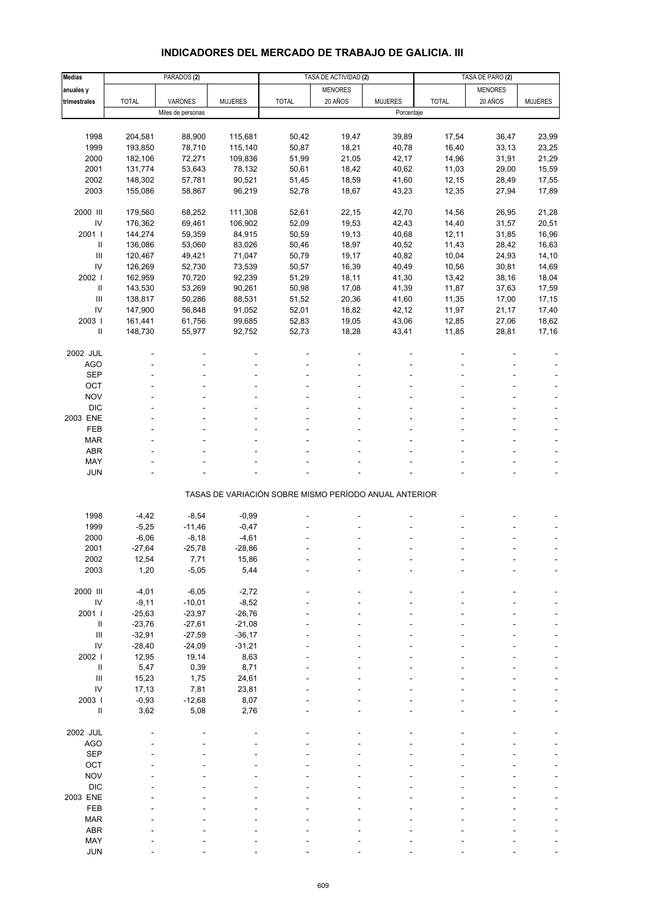## **INDICADORES DEL MERCADO DE TRABAJO DE GALICIA. III**

| <b>Medias</b>              |              | PARADOS <sub>(2)</sub> |                |                                                       | TASA DE ACTIVIDAD (2) |                |              | TASA DE PARO (2) |                |
|----------------------------|--------------|------------------------|----------------|-------------------------------------------------------|-----------------------|----------------|--------------|------------------|----------------|
| anuales y                  |              |                        |                |                                                       | <b>MENORES</b>        |                |              | <b>MENORES</b>   |                |
| trimestrales               | <b>TOTAL</b> | VARONES                | <b>MUJERES</b> | <b>TOTAL</b>                                          | 20 AÑOS               | <b>MUJERES</b> | <b>TOTAL</b> | 20 AÑOS          | <b>MUJERES</b> |
|                            |              | Miles de personas      |                |                                                       |                       | Porcentaje     |              |                  |                |
|                            |              |                        |                |                                                       |                       |                |              |                  |                |
| 1998                       | 204,581      | 88,900                 | 115,681        | 50,42                                                 | 19,47                 | 39,89          | 17,54        | 36,47            | 23,99          |
| 1999                       |              | 78,710                 |                |                                                       |                       |                |              |                  |                |
|                            | 193,850      |                        | 115,140        | 50,87                                                 | 18,21                 | 40,78          | 16,40        | 33,13            | 23,25          |
| 2000                       | 182,106      | 72,271                 | 109,836        | 51,99                                                 | 21,05                 | 42,17          | 14,96        | 31,91            | 21,29          |
| 2001                       | 131,774      | 53,643                 | 78,132         | 50,61                                                 | 18,42                 | 40,62          | 11,03        | 29,00            | 15,59          |
| 2002                       | 148,302      | 57,781                 | 90,521         | 51,45                                                 | 18,59                 | 41,60          | 12, 15       | 28,49            | 17,55          |
| 2003                       | 155,086      | 58,867                 | 96,219         | 52,78                                                 | 18,67                 | 43,23          | 12,35        | 27,94            | 17,89          |
|                            |              |                        |                |                                                       |                       |                |              |                  |                |
| 2000 III                   | 179,560      | 68,252                 | 111,308        | 52,61                                                 | 22,15                 | 42,70          | 14,56        | 26,95            | 21,28          |
| IV                         | 176,362      | 69,461                 | 106,902        | 52,09                                                 | 19,53                 | 42,43          | 14,40        | 31,57            | 20,51          |
| 2001 l                     | 144,274      | 59,359                 | 84,915         | 50,59                                                 | 19,13                 | 40,68          | 12,11        | 31,85            | 16,96          |
| $\ensuremath{\mathsf{II}}$ | 136,086      | 53,060                 | 83,026         | 50,46                                                 | 18,97                 | 40,52          | 11,43        | 28,42            | 16,63          |
| $\mathsf{III}$             | 120,467      | 49,421                 | 71,047         | 50,79                                                 | 19,17                 | 40,82          | 10,04        | 24,93            | 14,10          |
| IV                         | 126,269      | 52,730                 | 73,539         | 50,57                                                 | 16,39                 | 40,49          | 10,56        | 30,81            | 14,69          |
| 2002                       | 162,959      | 70,720                 | 92,239         | 51,29                                                 | 18,11                 | 41,30          | 13,42        | 38,16            | 18,04          |
| $\ensuremath{\mathsf{II}}$ | 143,530      | 53,269                 | 90,261         | 50,98                                                 | 17,08                 | 41,39          | 11,87        | 37,63            | 17,59          |
| $\mathbf{III}$             | 138,817      | 50,286                 | 88,531         | 51,52                                                 | 20,36                 | 41,60          | 11,35        | 17,00            | 17,15          |
| IV                         | 147,900      | 56,848                 | 91,052         | 52,01                                                 | 18,82                 | 42,12          | 11,97        | 21,17            | 17,40          |
| 2003                       | 161,441      | 61,756                 | 99,685         | 52,83                                                 | 19,05                 | 43,06          | 12,85        | 27,06            | 18,62          |
| $\ensuremath{\mathsf{II}}$ | 148,730      | 55,977                 | 92,752         | 52,73                                                 | 18,28                 | 43,41          | 11,85        | 28,81            | 17,16          |
|                            |              |                        |                |                                                       |                       |                |              |                  |                |
| 2002 JUL                   |              |                        |                |                                                       |                       |                |              |                  |                |
| <b>AGO</b>                 |              |                        |                |                                                       |                       |                |              |                  |                |
| <b>SEP</b>                 |              |                        |                |                                                       |                       |                |              |                  |                |
| OCT                        |              |                        |                |                                                       |                       |                |              |                  |                |
| <b>NOV</b>                 |              |                        |                |                                                       |                       |                |              |                  |                |
| <b>DIC</b>                 |              |                        |                |                                                       |                       |                |              |                  |                |
| 2003 ENE                   |              |                        |                |                                                       |                       |                |              |                  |                |
|                            |              |                        |                |                                                       |                       |                |              |                  |                |
| FEB                        |              |                        |                |                                                       |                       |                |              |                  |                |
| <b>MAR</b>                 |              |                        |                |                                                       |                       |                |              |                  |                |
| <b>ABR</b>                 |              |                        |                |                                                       |                       |                |              |                  |                |
| MAY                        |              |                        |                |                                                       |                       |                |              |                  |                |
| <b>JUN</b>                 |              |                        |                |                                                       |                       |                |              |                  |                |
|                            |              |                        |                | TASAS DE VARIACIÓN SOBRE MISMO PERÍODO ANUAL ANTERIOR |                       |                |              |                  |                |
|                            |              |                        |                |                                                       |                       |                |              |                  |                |
| 1998                       | $-4,42$      | $-8,54$                | $-0,99$        |                                                       |                       |                |              |                  |                |
| 1999                       | $-5,25$      | $-11,46$               | $-0,47$        |                                                       |                       |                |              |                  |                |
| 2000                       | $-6,06$      | $-8,18$                | $-4,61$        |                                                       |                       |                |              |                  |                |
| 2001                       | $-27,64$     | $-25,78$               | $-28,86$       |                                                       |                       |                |              |                  |                |
| 2002                       | 12,54        | 7,71                   | 15,86          |                                                       |                       |                |              |                  |                |
| 2003                       | 1,20         | $-5,05$                | 5,44           |                                                       |                       |                |              |                  |                |
|                            |              |                        |                |                                                       |                       |                |              |                  |                |
| 2000 III                   | $-4,01$      | $-6,05$                | $-2,72$        |                                                       |                       |                |              |                  |                |
| ${\sf IV}$                 | $-9,11$      | $-10,01$               | $-8,52$        |                                                       |                       |                |              |                  |                |
| 2001 l                     | $-25,63$     | $-23,97$               | $-26,76$       |                                                       |                       |                |              |                  |                |
| Ш                          | $-23,76$     | $-27,61$               | $-21,08$       |                                                       |                       |                |              |                  |                |
| $\mathbf{III}$             | $-32,91$     | $-27,59$               | $-36,17$       |                                                       |                       |                |              |                  |                |
| IV                         | $-28,40$     | $-24,09$               | $-31,21$       |                                                       |                       |                |              |                  |                |
| 2002 l                     | 12,95        | 19,14                  | 8,63           |                                                       |                       |                |              |                  |                |
| $\ensuremath{\mathsf{II}}$ | 5,47         | 0,39                   | 8,71           |                                                       |                       |                |              |                  |                |
| III                        | 15,23        | 1,75                   | 24,61          |                                                       |                       |                |              |                  |                |
| IV                         | 17,13        | 7,81                   | 23,81          |                                                       |                       |                |              |                  |                |
| 2003                       | $-0,93$      | $-12,68$               | 8,07           |                                                       |                       |                |              |                  |                |
| $\ensuremath{\mathsf{II}}$ | 3,62         | 5,08                   | 2,76           |                                                       |                       |                |              |                  |                |
|                            |              |                        |                |                                                       |                       |                |              |                  |                |
| 2002 JUL                   |              |                        |                |                                                       |                       |                |              |                  |                |
| <b>AGO</b>                 |              |                        |                |                                                       |                       |                |              |                  |                |
| <b>SEP</b>                 |              |                        |                |                                                       |                       |                |              |                  |                |
| OCT                        |              |                        |                |                                                       |                       |                |              |                  |                |
| <b>NOV</b>                 |              |                        |                |                                                       |                       |                |              |                  |                |
| <b>DIC</b>                 |              |                        |                |                                                       |                       |                |              |                  |                |
| 2003 ENE                   |              |                        |                |                                                       |                       |                |              |                  |                |
| FEB                        |              |                        |                |                                                       |                       |                |              |                  |                |
|                            |              |                        |                |                                                       |                       |                |              |                  |                |
| <b>MAR</b><br><b>ABR</b>   |              |                        |                |                                                       |                       |                |              |                  |                |
|                            |              |                        |                |                                                       |                       |                |              |                  |                |
| MAY                        |              |                        |                |                                                       |                       |                |              |                  |                |
| <b>JUN</b>                 |              |                        |                |                                                       |                       |                |              |                  |                |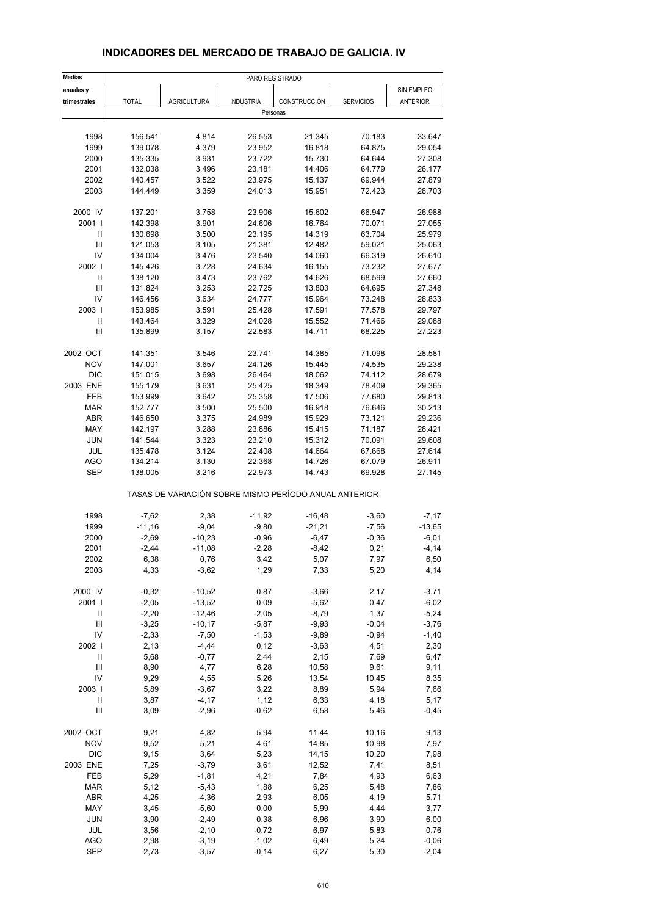| <b>Medias</b>                      |              |                    |                                                       | PARO REGISTRADO     |                  |            |
|------------------------------------|--------------|--------------------|-------------------------------------------------------|---------------------|------------------|------------|
| anuales y                          |              |                    |                                                       |                     |                  | SIN EMPLEO |
| trimestrales                       | <b>TOTAL</b> | <b>AGRICULTURA</b> | <b>INDUSTRIA</b>                                      | <b>CONSTRUCCIÓN</b> | <b>SERVICIOS</b> | ANTERIOR   |
|                                    |              |                    |                                                       | Personas            |                  |            |
|                                    |              |                    |                                                       |                     |                  |            |
| 1998                               | 156.541      | 4.814              | 26.553                                                | 21.345              | 70.183           | 33.647     |
| 1999                               | 139.078      | 4.379              | 23.952                                                | 16.818              | 64.875           | 29.054     |
| 2000                               | 135.335      | 3.931              | 23.722                                                | 15.730              | 64.644           | 27.308     |
| 2001                               | 132.038      | 3.496              | 23.181                                                | 14.406              | 64.779           | 26.177     |
| 2002                               | 140.457      | 3.522              | 23.975                                                | 15.137              | 69.944           | 27.879     |
| 2003                               | 144.449      | 3.359              | 24.013                                                | 15.951              | 72.423           | 28.703     |
|                                    |              |                    |                                                       |                     |                  |            |
| 2000 IV                            | 137.201      | 3.758              | 23.906                                                | 15.602              | 66.947           | 26.988     |
| 2001 l                             | 142.398      | 3.901              | 24.606                                                | 16.764              | 70.071           | 27.055     |
| Ш                                  | 130.698      | 3.500              | 23.195                                                | 14.319              | 63.704           | 25.979     |
| $\mathbf{III}$                     | 121.053      | 3.105              | 21.381                                                | 12.482              | 59.021           | 25.063     |
| IV                                 | 134.004      | 3.476              | 23.540                                                | 14.060              | 66.319           | 26.610     |
| 2002                               | 145.426      | 3.728              | 24.634                                                | 16.155              | 73.232           | 27.677     |
| $\mathbf{II}$                      | 138.120      | 3.473              | 23.762                                                | 14.626              | 68.599           | 27.660     |
| Ш                                  | 131.824      | 3.253              | 22.725                                                | 13.803              | 64.695           | 27.348     |
| IV                                 | 146.456      | 3.634              | 24.777                                                | 15.964              | 73.248           | 28.833     |
| 2003                               | 153.985      | 3.591              | 25.428                                                | 17.591              | 77.578           | 29.797     |
| $\sf II$                           | 143.464      | 3.329              | 24.028                                                | 15.552              | 71.466           | 29.088     |
| Ш                                  | 135.899      | 3.157              | 22.583                                                | 14.711              | 68.225           | 27.223     |
| 2002 OCT                           | 141.351      | 3.546              | 23.741                                                | 14.385              | 71.098           | 28.581     |
| <b>NOV</b>                         | 147.001      | 3.657              | 24.126                                                | 15.445              | 74.535           | 29.238     |
| <b>DIC</b>                         | 151.015      | 3.698              | 26.464                                                | 18.062              | 74.112           | 28.679     |
| 2003 ENE                           | 155.179      | 3.631              | 25.425                                                | 18.349              | 78.409           | 29.365     |
| FEB                                | 153.999      | 3.642              | 25.358                                                | 17.506              | 77.680           | 29.813     |
| <b>MAR</b>                         | 152.777      | 3.500              | 25.500                                                | 16.918              | 76.646           | 30.213     |
| <b>ABR</b>                         | 146.650      | 3.375              | 24.989                                                | 15.929              | 73.121           | 29.236     |
| MAY                                | 142.197      | 3.288              | 23.886                                                | 15.415              | 71.187           | 28.421     |
| <b>JUN</b>                         | 141.544      | 3.323              | 23.210                                                | 15.312              | 70.091           | 29.608     |
| <b>JUL</b>                         | 135.478      | 3.124              | 22.408                                                | 14.664              | 67.668           | 27.614     |
| AGO                                | 134.214      | 3.130              | 22.368                                                | 14.726              | 67.079           | 26.911     |
| <b>SEP</b>                         | 138.005      | 3.216              | 22.973                                                | 14.743              | 69.928           | 27.145     |
|                                    |              |                    |                                                       |                     |                  |            |
|                                    |              |                    | TASAS DE VARIACIÓN SOBRE MISMO PERÍODO ANUAL ANTERIOR |                     |                  |            |
| 1998                               | $-7,62$      | 2,38               | $-11,92$                                              | $-16,48$            | $-3,60$          | $-7,17$    |
| 1999                               | $-11,16$     | $-9,04$            | $-9,80$                                               | $-21,21$            | $-7,56$          | $-13,65$   |
| 2000                               | $-2,69$      | $-10,23$           | $-0,96$                                               | $-6,47$             | $-0,36$          | $-6,01$    |
| 2001                               | $-2,44$      | $-11,08$           | $-2,28$                                               | $-8,42$             | 0,21             | $-4, 14$   |
| 2002                               | 6,38         | 0,76               | 3,42                                                  | 5,07                | 7,97             | 6,50       |
| 2003                               | 4,33         | $-3,62$            | 1,29                                                  | 7,33                | 5,20             | 4,14       |
|                                    |              |                    |                                                       |                     |                  |            |
| 2000 IV                            | $-0,32$      | $-10,52$           | 0,87                                                  | $-3,66$             | 2,17             | $-3,71$    |
| 2001 l                             | $-2,05$      | $-13,52$           | 0,09                                                  | $-5,62$             | 0,47             | $-6,02$    |
| Ш                                  | $-2,20$      | $-12,46$           | $-2,05$                                               | $-8,79$             | 1,37             | $-5,24$    |
| $\ensuremath{\mathsf{III}}\xspace$ | $-3,25$      | $-10,17$           | $-5,87$                                               | $-9,93$             | $-0,04$          | $-3,76$    |
| IV                                 | $-2,33$      | $-7,50$            | $-1,53$                                               | $-9,89$             | $-0,94$          | $-1,40$    |
| 2002                               | 2,13         | $-4,44$            | 0,12                                                  | $-3,63$             | 4,51             | 2,30       |
| $\sf II$                           | 5,68         | $-0,77$            | 2,44                                                  | 2,15                | 7,69             | 6,47       |
| $\mathsf{III}$                     | 8,90         | 4,77               | 6,28                                                  | 10,58               | 9,61             | 9,11       |
| IV                                 | 9,29         | 4,55               | 5,26                                                  | 13,54               | 10,45            | 8,35       |
| 2003                               | 5,89         | $-3,67$            | 3,22                                                  | 8,89                | 5,94             | 7,66       |
| $\ensuremath{\mathsf{II}}$         | 3,87         | $-4, 17$           | 1,12                                                  | 6,33                | 4,18             | 5,17       |
| Ш                                  | 3,09         | $-2,96$            | $-0,62$                                               | 6,58                | 5,46             | $-0,45$    |
| 2002 OCT                           | 9,21         | 4,82               | 5,94                                                  | 11,44               | 10,16            | 9,13       |
| <b>NOV</b>                         | 9,52         | 5,21               | 4,61                                                  | 14,85               | 10,98            | 7,97       |
| <b>DIC</b>                         | 9,15         | 3,64               | 5,23                                                  | 14,15               | 10,20            | 7,98       |
| 2003 ENE                           | 7,25         | $-3,79$            | 3,61                                                  | 12,52               | 7,41             | 8,51       |
| FEB                                | 5,29         | $-1,81$            | 4,21                                                  | 7,84                | 4,93             | 6,63       |
| <b>MAR</b>                         | 5,12         | $-5,43$            | 1,88                                                  | 6,25                | 5,48             | 7,86       |
| ABR                                | 4,25         | $-4,36$            | 2,93                                                  | 6,05                | 4,19             | 5,71       |
| MAY                                | 3,45         | $-5,60$            | 0,00                                                  | 5,99                | 4,44             | 3,77       |
| <b>JUN</b>                         | 3,90         | $-2,49$            | 0,38                                                  | 6,96                | 3,90             | 6,00       |
| JUL                                | 3,56         | $-2,10$            | $-0,72$                                               | 6,97                | 5,83             | 0,76       |
| <b>AGO</b>                         | 2,98         | $-3,19$            | $-1,02$                                               | 6,49                | 5,24             | $-0,06$    |

#### **INDICADORES DEL MERCADO DE TRABAJO DE GALICIA. IV**

SEP 2,73 -3,57 -0,14 6,27 5,30 -2,04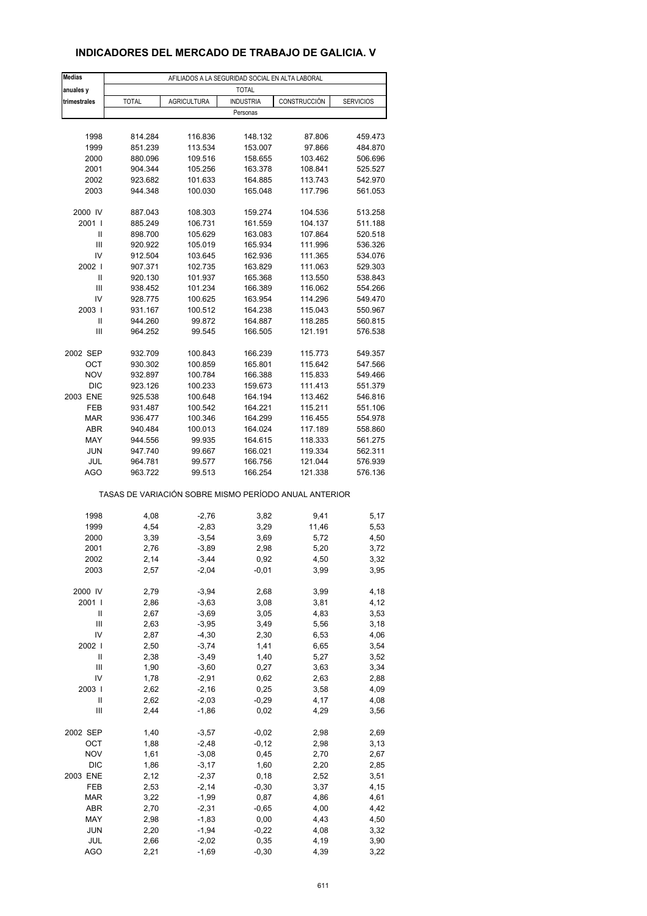### **INDICADORES DEL MERCADO DE TRABAJO DE GALICIA. V**

| <b>Medias</b>                      |              |                    | AFILIADOS A LA SEGURIDAD SOCIAL EN ALTA LABORAL       |              |                  |
|------------------------------------|--------------|--------------------|-------------------------------------------------------|--------------|------------------|
| anuales y                          |              |                    | <b>TOTAL</b>                                          |              |                  |
| trimestrales                       | <b>TOTAL</b> | <b>AGRICULTURA</b> | <b>INDUSTRIA</b>                                      | CONSTRUCCIÓN | <b>SERVICIOS</b> |
|                                    |              |                    | Personas                                              |              |                  |
|                                    |              |                    |                                                       |              |                  |
| 1998                               | 814.284      | 116.836            | 148.132                                               | 87.806       | 459.473          |
| 1999                               | 851.239      | 113.534            | 153.007                                               | 97.866       | 484.870          |
| 2000                               | 880.096      | 109.516            | 158.655                                               | 103.462      | 506.696          |
| 2001                               | 904.344      | 105.256            | 163.378                                               | 108.841      | 525.527          |
| 2002                               | 923.682      | 101.633            | 164.885                                               | 113.743      | 542.970          |
| 2003                               | 944.348      | 100.030            | 165.048                                               | 117.796      | 561.053          |
|                                    |              |                    |                                                       |              |                  |
| 2000 IV                            | 887.043      | 108.303            | 159.274                                               | 104.536      | 513.258          |
| 2001 l                             | 885.249      | 106.731            | 161.559                                               | 104.137      | 511.188          |
| Ш                                  | 898.700      | 105.629            | 163.083                                               | 107.864      | 520.518          |
| $\ensuremath{\mathsf{III}}\xspace$ | 920.922      | 105.019            | 165.934                                               | 111.996      | 536.326          |
| IV                                 | 912.504      | 103.645            | 162.936                                               | 111.365      | 534.076          |
| 2002                               | 907.371      | 102.735            | 163.829                                               | 111.063      | 529.303          |
| Ш                                  | 920.130      | 101.937            | 165.368                                               | 113.550      | 538.843          |
| Ш                                  | 938.452      | 101.234            | 166.389                                               | 116.062      | 554.266          |
| IV                                 | 928.775      | 100.625            | 163.954                                               | 114.296      | 549.470          |
| 2003                               | 931.167      | 100.512            | 164.238                                               | 115.043      | 550.967          |
| Ш                                  | 944.260      | 99.872             | 164.887                                               | 118.285      | 560.815          |
| Ш                                  | 964.252      | 99.545             | 166.505                                               | 121.191      | 576.538          |
|                                    |              |                    |                                                       |              |                  |
| 2002 SEP                           | 932.709      | 100.843            | 166.239                                               | 115.773      | 549.357          |
| OCT                                | 930.302      | 100.859            | 165.801                                               | 115.642      | 547.566          |
| <b>NOV</b>                         | 932.897      | 100.784            | 166.388                                               | 115.833      | 549.466          |
| <b>DIC</b>                         | 923.126      | 100.233            | 159.673                                               | 111.413      | 551.379          |
| 2003 ENE                           | 925.538      | 100.648            | 164.194                                               | 113.462      | 546.816          |
| <b>FEB</b>                         | 931.487      | 100.542            | 164.221                                               | 115.211      | 551.106          |
| <b>MAR</b>                         | 936.477      | 100.346            | 164.299                                               | 116.455      | 554.978          |
| ABR                                | 940.484      | 100.013            | 164.024                                               | 117.189      | 558.860          |
| MAY                                | 944.556      | 99.935             | 164.615                                               | 118.333      | 561.275          |
| <b>JUN</b>                         | 947.740      | 99.667             | 166.021                                               | 119.334      | 562.311          |
| JUL                                | 964.781      | 99.577             | 166.756                                               | 121.044      | 576.939          |
| <b>AGO</b>                         | 963.722      | 99.513             | 166.254                                               | 121.338      | 576.136          |
|                                    |              |                    | TASAS DE VARIACIÓN SOBRE MISMO PERÍODO ANUAL ANTERIOR |              |                  |
|                                    |              |                    |                                                       |              |                  |
| 1998                               | 4,08         | $-2,76$            | 3,82                                                  | 9,41         | 5,17             |
| 1999                               | 4,54         | $-2,83$            | 3,29                                                  | 11,46        | 5,53             |
| 2000                               | 3,39         | $-3,54$            | 3,69                                                  | 5,72         | 4,50             |
| 2001                               | 2,76         | $-3,89$            | 2,98                                                  | 5,20         | 3,72             |
| 2002                               | 2,14         | -3,44              | 0,92                                                  | 4,50         | 3,32             |
| 2003                               | 2,57         | $-2,04$            | $-0,01$                                               | 3,99         | 3,95             |
| 2000 IV                            | 2,79         | $-3,94$            | 2,68                                                  | 3,99         | 4,18             |
| 2001 l                             | 2,86         | $-3,63$            | 3,08                                                  | 3,81         | 4,12             |
| Ш                                  | 2,67         | $-3,69$            | 3,05                                                  | 4,83         | 3,53             |
| Ш                                  | 2,63         | $-3,95$            | 3,49                                                  | 5,56         | 3,18             |
| IV                                 | 2,87         | $-4,30$            | 2,30                                                  | 6,53         | 4,06             |
| 2002                               | 2,50         | $-3,74$            | 1,41                                                  | 6,65         | 3,54             |
| Ш                                  | 2,38         | $-3,49$            | 1,40                                                  | 5,27         | 3,52             |
| $\ensuremath{\mathsf{III}}\xspace$ | 1,90         | $-3,60$            | 0,27                                                  | 3,63         | 3,34             |
|                                    |              |                    |                                                       |              |                  |
| IV<br>2003                         | 1,78<br>2,62 | $-2,91$<br>$-2,16$ | 0,62<br>0,25                                          | 2,63<br>3,58 | 2,88<br>4,09     |
| Ш                                  |              |                    |                                                       |              |                  |
| Ш                                  | 2,62<br>2,44 | $-2,03$<br>$-1,86$ | $-0,29$<br>0,02                                       | 4,17<br>4,29 | 4,08<br>3,56     |
|                                    |              |                    |                                                       |              |                  |
| 2002 SEP                           | 1,40         | $-3,57$            | $-0,02$                                               | 2,98         | 2,69             |
| OCT                                | 1,88         | $-2,48$            | $-0,12$                                               | 2,98         | 3,13             |
| <b>NOV</b>                         | 1,61         | $-3,08$            | 0,45                                                  | 2,70         | 2,67             |
| DIC                                | 1,86         | $-3,17$            | 1,60                                                  | 2,20         | 2,85             |
| 2003 ENE                           | 2,12         | $-2,37$            | 0, 18                                                 | 2,52         | 3,51             |
| FEB                                | 2,53         | $-2,14$            | $-0,30$                                               | 3,37         | 4,15             |
| <b>MAR</b>                         | 3,22         | $-1,99$            | 0,87                                                  | 4,86         | 4,61             |
| ABR                                | 2,70         | $-2,31$            | $-0,65$                                               | 4,00         | 4,42             |
| MAY                                | 2,98         | $-1,83$            | 0,00                                                  | 4,43         | 4,50             |
| <b>JUN</b>                         | 2,20         | $-1,94$            | $-0,22$                                               | 4,08         | 3,32             |
| JUL                                | 2,66         | $-2,02$            | 0,35                                                  | 4,19         | 3,90             |
| <b>AGO</b>                         | 2,21         | $-1,69$            | $-0,30$                                               | 4,39         | 3,22             |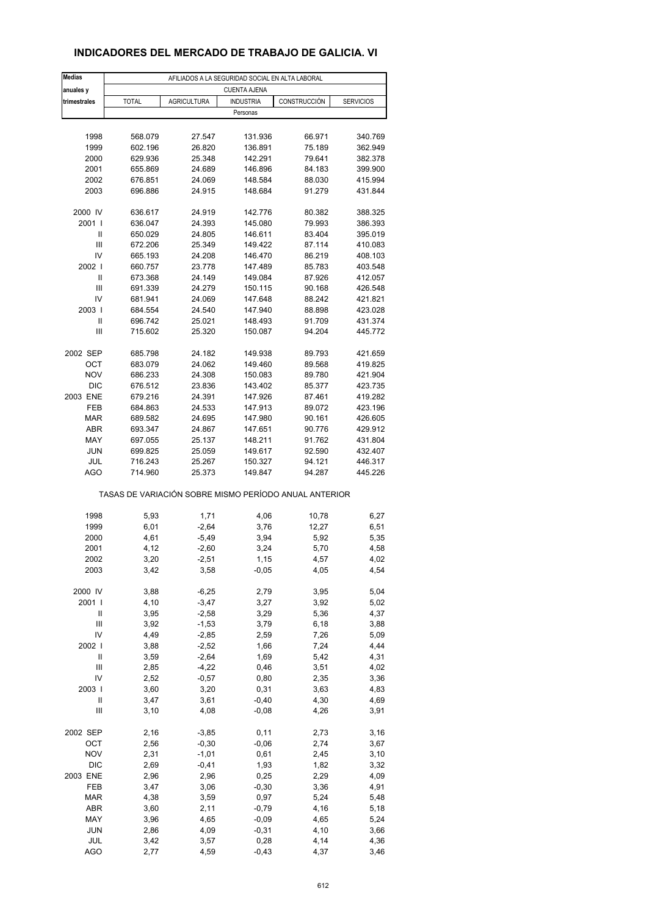#### **INDICADORES DEL MERCADO DE TRABAJO DE GALICIA. VI**

| <b>Medias</b>                      |              |                    | AFILIADOS A LA SEGURIDAD SOCIAL EN ALTA LABORAL       |               |                  |
|------------------------------------|--------------|--------------------|-------------------------------------------------------|---------------|------------------|
| anuales y                          |              |                    | <b>CUENTA AJENA</b>                                   |               |                  |
| trimestrales                       | <b>TOTAL</b> | <b>AGRICULTURA</b> | <b>INDUSTRIA</b>                                      | CONSTRUCCIÓN  | <b>SERVICIOS</b> |
|                                    |              |                    | Personas                                              |               |                  |
|                                    |              |                    |                                                       |               |                  |
| 1998                               | 568.079      | 27.547             | 131.936                                               | 66.971        | 340.769          |
| 1999                               | 602.196      | 26.820             | 136.891                                               | 75.189        | 362.949          |
| 2000                               | 629.936      | 25.348             | 142.291                                               | 79.641        | 382.378          |
| 2001                               | 655.869      | 24.689             | 146.896                                               | 84.183        | 399.900          |
| 2002                               | 676.851      | 24.069             | 148.584                                               | 88.030        | 415.994          |
| 2003                               | 696.886      | 24.915             | 148.684                                               | 91.279        | 431.844          |
|                                    |              |                    |                                                       |               |                  |
| 2000 IV                            | 636.617      | 24.919             | 142.776                                               | 80.382        | 388.325          |
| 2001 l                             | 636.047      | 24.393             | 145.080                                               | 79.993        | 386.393          |
| Ш                                  | 650.029      | 24.805             | 146.611                                               | 83.404        | 395.019          |
| $\ensuremath{\mathsf{III}}\xspace$ | 672.206      | 25.349             | 149.422                                               | 87.114        | 410.083          |
| IV                                 | 665.193      | 24.208             | 146.470                                               | 86.219        | 408.103          |
| 2002                               | 660.757      | 23.778             | 147.489                                               | 85.783        | 403.548          |
| Ш                                  | 673.368      | 24.149             | 149.084                                               | 87.926        | 412.057          |
| Ш                                  | 691.339      | 24.279             | 150.115                                               | 90.168        | 426.548          |
| IV                                 | 681.941      | 24.069             | 147.648                                               | 88.242        | 421.821          |
| 2003                               | 684.554      | 24.540             | 147.940                                               | 88.898        | 423.028          |
| Ш                                  | 696.742      | 25.021             | 148.493                                               | 91.709        | 431.374          |
| Ш                                  | 715.602      | 25.320             | 150.087                                               | 94.204        | 445.772          |
|                                    |              |                    |                                                       |               |                  |
| 2002 SEP                           | 685.798      | 24.182             | 149.938                                               | 89.793        | 421.659          |
| OCT                                | 683.079      | 24.062             | 149.460                                               | 89.568        | 419.825          |
| <b>NOV</b>                         | 686.233      | 24.308             | 150.083                                               | 89.780        | 421.904          |
| <b>DIC</b>                         | 676.512      | 23.836             | 143.402                                               | 85.377        | 423.735          |
| 2003 ENE                           | 679.216      | 24.391             | 147.926                                               | 87.461        | 419.282          |
| <b>FEB</b>                         | 684.863      | 24.533             | 147.913                                               | 89.072        | 423.196          |
| <b>MAR</b>                         | 689.582      | 24.695             | 147.980                                               | 90.161        | 426.605          |
| <b>ABR</b>                         | 693.347      | 24.867             | 147.651                                               | 90.776        | 429.912          |
| MAY                                | 697.055      | 25.137             | 148.211                                               | 91.762        | 431.804          |
| <b>JUN</b>                         | 699.825      | 25.059             | 149.617                                               | 92.590        | 432.407          |
| JUL                                | 716.243      | 25.267             | 150.327                                               | 94.121        | 446.317          |
| <b>AGO</b>                         | 714.960      | 25.373             | 149.847                                               | 94.287        | 445.226          |
|                                    |              |                    | TASAS DE VARIACIÓN SOBRE MISMO PERÍODO ANUAL ANTERIOR |               |                  |
|                                    |              |                    |                                                       |               |                  |
| 1998                               | 5,93         | 1,71               | 4,06<br>3,76                                          | 10,78         | 6,27             |
| 1999                               | 6,01         | $-2,64$            |                                                       | 12,27<br>5,92 | 6,51             |
| 2000<br>2001                       | 4,61<br>4,12 | $-5,49$            | 3,94                                                  | 5,70          | 5,35<br>4,58     |
|                                    |              | $-2,60$            | 3,24                                                  |               |                  |
| 2002<br>2003                       | 3,20<br>3,42 | -2,51<br>3,58      | 1,15<br>$-0,05$                                       | 4,57<br>4,05  | 4,02<br>4,54     |
|                                    |              |                    |                                                       |               |                  |
| 2000 IV                            | 3,88         | $-6,25$            | 2,79                                                  | 3,95          | 5,04             |
| 2001 l                             | 4,10         | $-3,47$            | 3,27                                                  | 3,92          | 5,02             |
| Ш                                  | 3,95         | $-2,58$            | 3,29                                                  | 5,36          | 4,37             |
| Ш                                  | 3,92         | $-1,53$            | 3,79                                                  | 6,18          | 3,88             |
| IV                                 | 4,49         | $-2,85$            | 2,59                                                  | 7,26          | 5,09             |
| 2002                               | 3,88         | $-2,52$            | 1,66                                                  | 7,24          | 4,44             |
| Ш                                  | 3,59         | $-2,64$            | 1,69                                                  | 5,42          | 4,31             |
| $\ensuremath{\mathsf{III}}\xspace$ | 2,85         | $-4,22$            | 0,46                                                  | 3,51          | 4,02             |
| IV                                 | 2,52         | $-0,57$            | 0,80                                                  | 2,35          | 3,36             |
| 2003                               | 3,60         | 3,20               | 0,31                                                  | 3,63          | 4,83             |
| Ш                                  | 3,47         | 3,61               | $-0,40$                                               | 4,30          | 4,69             |
| Ш                                  | 3,10         | 4,08               | $-0,08$                                               | 4,26          | 3,91             |
|                                    |              |                    |                                                       |               |                  |
| 2002 SEP                           | 2,16         | $-3,85$            | 0,11                                                  | 2,73          | 3,16             |
| OCT                                | 2,56         | $-0,30$            | $-0,06$                                               | 2,74          | 3,67             |
| <b>NOV</b>                         | 2,31         | $-1,01$            | 0,61                                                  | 2,45          | 3,10             |
| DIC                                | 2,69         | $-0,41$            | 1,93                                                  | 1,82          | 3,32             |
| 2003 ENE                           | 2,96         | 2,96               | 0,25                                                  | 2,29          | 4,09             |
| FEB                                | 3,47         | 3,06               | $-0,30$                                               | 3,36          | 4,91             |
| <b>MAR</b>                         | 4,38         | 3,59               | 0,97                                                  | 5,24          | 5,48             |
| ABR                                | 3,60         | 2,11               | $-0,79$                                               | 4,16          | 5,18             |
| MAY                                | 3,96         | 4,65               | $-0,09$                                               | 4,65          | 5,24             |
| <b>JUN</b>                         | 2,86         | 4,09               | $-0,31$                                               | 4,10          | 3,66             |
| JUL                                | 3,42         | 3,57               | 0,28                                                  | 4,14          | 4,36             |
| <b>AGO</b>                         | 2,77         | 4,59               | $-0,43$                                               | 4,37          | 3,46             |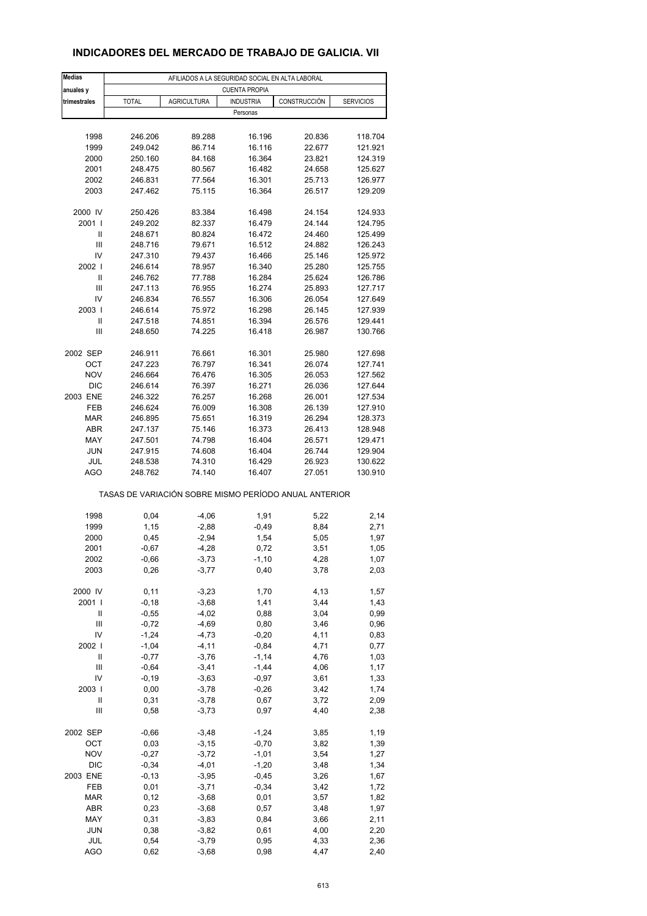#### **INDICADORES DEL MERCADO DE TRABAJO DE GALICIA. VII**

| <b>Medias</b>                      |              |                    | AFILIADOS A LA SEGURIDAD SOCIAL EN ALTA LABORAL       |              |                  |
|------------------------------------|--------------|--------------------|-------------------------------------------------------|--------------|------------------|
| anuales y                          |              |                    | <b>CUENTA PROPIA</b>                                  |              |                  |
| trimestrales                       | <b>TOTAL</b> | <b>AGRICULTURA</b> | <b>INDUSTRIA</b><br>Personas                          | CONSTRUCCIÓN | <b>SERVICIOS</b> |
|                                    |              |                    |                                                       |              |                  |
| 1998                               | 246.206      | 89.288             | 16.196                                                | 20.836       | 118.704          |
| 1999                               | 249.042      | 86.714             | 16.116                                                | 22.677       | 121.921          |
| 2000                               | 250.160      | 84.168             | 16.364                                                | 23.821       | 124.319          |
| 2001                               | 248.475      | 80.567             | 16.482                                                | 24.658       | 125.627          |
| 2002                               | 246.831      | 77.564             | 16.301                                                | 25.713       | 126.977          |
| 2003                               | 247.462      | 75.115             | 16.364                                                | 26.517       | 129.209          |
| 2000 IV                            | 250.426      | 83.384             | 16.498                                                | 24.154       | 124.933          |
| 2001 l                             | 249.202      | 82.337             | 16.479                                                | 24.144       | 124.795          |
| Ш                                  | 248.671      | 80.824             | 16.472                                                | 24.460       | 125.499          |
| Ш                                  | 248.716      |                    | 16.512                                                |              |                  |
| IV                                 |              | 79.671             |                                                       | 24.882       | 126.243          |
|                                    | 247.310      | 79.437             | 16.466                                                | 25.146       | 125.972          |
| 2002                               | 246.614      | 78.957             | 16.340                                                | 25.280       | 125.755          |
| Ш                                  | 246.762      | 77.788             | 16.284                                                | 25.624       | 126.786          |
| Ш                                  | 247.113      | 76.955             | 16.274                                                | 25.893       | 127.717          |
| IV                                 | 246.834      | 76.557             | 16.306                                                | 26.054       | 127.649          |
| 2003                               | 246.614      | 75.972             | 16.298                                                | 26.145       | 127.939          |
| Ш                                  | 247.518      | 74.851             | 16.394                                                | 26.576       | 129.441          |
| Ш                                  | 248.650      | 74.225             | 16.418                                                | 26.987       | 130.766          |
| 2002 SEP                           | 246.911      | 76.661             | 16.301                                                | 25.980       | 127.698          |
| ОСТ                                | 247.223      | 76.797             | 16.341                                                | 26.074       | 127.741          |
| <b>NOV</b>                         | 246.664      | 76.476             | 16.305                                                |              | 127.562          |
|                                    |              |                    |                                                       | 26.053       |                  |
| <b>DIC</b>                         | 246.614      | 76.397             | 16.271                                                | 26.036       | 127.644          |
| 2003 ENE                           | 246.322      | 76.257             | 16.268                                                | 26.001       | 127.534          |
| FEB                                | 246.624      | 76.009             | 16.308                                                | 26.139       | 127.910          |
| <b>MAR</b>                         | 246.895      | 75.651             | 16.319                                                | 26.294       | 128.373          |
| <b>ABR</b>                         | 247.137      | 75.146             | 16.373                                                | 26.413       | 128.948          |
| MAY                                | 247.501      | 74.798             | 16.404                                                | 26.571       | 129.471          |
| <b>JUN</b>                         | 247.915      | 74.608             | 16.404                                                | 26.744       | 129.904          |
| JUL                                | 248.538      | 74.310             | 16.429                                                | 26.923       | 130.622          |
| AGO                                | 248.762      | 74.140             | 16.407                                                | 27.051       | 130.910          |
|                                    |              |                    | TASAS DE VARIACIÓN SOBRE MISMO PERÍODO ANUAL ANTERIOR |              |                  |
| 1998                               |              |                    |                                                       |              |                  |
|                                    | 0,04         | $-4,06$            | 1,91                                                  | 5,22         | 2,14             |
| 1999                               | 1,15         | $-2,88$            | $-0,49$                                               | 8,84         | 2,71             |
| 2000                               | 0,45         | $-2,94$            | 1,54                                                  | 5,05         | 1,97             |
| 2001                               | $-0,67$      | $-4,28$            | 0,72                                                  | 3,51         | 1,05             |
| 2002                               | $-0,66$      | $-3,73$            | $-1, 10$                                              | 4,28         | 1,07             |
| 2003                               | 0,26         | $-3,77$            | 0,40                                                  | 3,78         | 2,03             |
| 2000 IV                            | 0,11         | $-3,23$            | 1,70                                                  | 4,13         | 1,57             |
| 2001 l                             | $-0,18$      | $-3,68$            | 1,41                                                  | 3,44         | 1,43             |
| Ш                                  | $-0,55$      | $-4,02$            | 0,88                                                  | 3,04         | 0,99             |
| Ш                                  | $-0,72$      | $-4,69$            | 0,80                                                  | 3,46         | 0,96             |
| IV                                 | $-1,24$      | $-4,73$            | $-0,20$                                               | 4,11         | 0,83             |
| 2002                               | $-1,04$      | $-4, 11$           | $-0,84$                                               | 4,71         | 0,77             |
| $\ensuremath{\mathsf{II}}$         | $-0,77$      | $-3,76$            | $-1, 14$                                              | 4,76         | 1,03             |
| $\ensuremath{\mathsf{III}}\xspace$ |              |                    |                                                       |              |                  |
|                                    | $-0,64$      | $-3,41$            | $-1,44$                                               | 4,06         | 1,17             |
| IV                                 | $-0,19$      | $-3,63$            | $-0,97$                                               | 3,61         | 1,33             |
| 2003                               | 0,00         | $-3,78$            | $-0,26$                                               | 3,42         | 1,74             |
| Ш                                  | 0,31         | $-3,78$            | 0,67                                                  | 3,72         | 2,09             |
| $\ensuremath{\mathsf{III}}\xspace$ | 0,58         | $-3,73$            | 0,97                                                  | 4,40         | 2,38             |
| 2002 SEP                           | $-0,66$      | $-3,48$            | $-1,24$                                               | 3,85         | 1,19             |
| OCT                                | 0,03         | $-3,15$            | $-0,70$                                               | 3,82         | 1,39             |
| <b>NOV</b>                         | $-0,27$      | $-3,72$            | $-1,01$                                               | 3,54         | 1,27             |
|                                    |              |                    |                                                       |              |                  |
| DIC                                | $-0,34$      | $-4,01$            | $-1,20$                                               | 3,48         | 1,34             |
| 2003 ENE                           | $-0,13$      | $-3,95$            | $-0,45$                                               | 3,26         | 1,67             |
| FEB                                | 0,01         | $-3,71$            | $-0,34$                                               | 3,42         | 1,72             |
| <b>MAR</b>                         | 0,12         | $-3,68$            | 0,01                                                  | 3,57         | 1,82             |
| ABR                                | 0,23         | $-3,68$            | 0,57                                                  | 3,48         | 1,97             |
| MAY                                | 0,31         | $-3,83$            | 0,84                                                  | 3,66         | 2,11             |
| <b>JUN</b>                         | 0,38         | $-3,82$            | 0,61                                                  | 4,00         | 2,20             |
| JUL                                | 0,54         | $-3,79$            | 0,95                                                  | 4,33         | 2,36             |
| <b>AGO</b>                         | 0,62         | $-3,68$            | 0,98                                                  | 4,47         | 2,40             |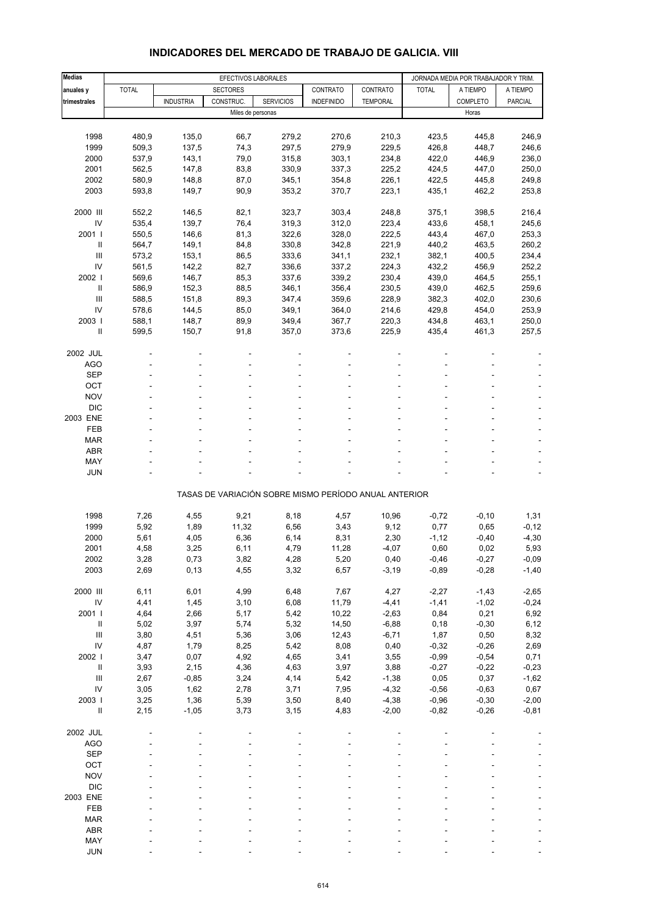| <b>Medias</b>                      |              | EFECTIVOS LABORALES |                   |                  |                                                       |                 |              | JORNADA MEDIA POR TRABAJADOR Y TRIM. |          |
|------------------------------------|--------------|---------------------|-------------------|------------------|-------------------------------------------------------|-----------------|--------------|--------------------------------------|----------|
| anuales y                          | <b>TOTAL</b> |                     | <b>SECTORES</b>   |                  | CONTRATO                                              | CONTRATO        | <b>TOTAL</b> | A TIEMPO                             | A TIEMPO |
| trimestrales                       |              | <b>INDUSTRIA</b>    | CONSTRUC.         | <b>SERVICIOS</b> | <b>INDEFINIDO</b>                                     | <b>TEMPORAL</b> |              | COMPLETO                             | PARCIAL  |
|                                    |              |                     | Miles de personas |                  |                                                       |                 |              | Horas                                |          |
|                                    |              |                     |                   |                  |                                                       |                 |              |                                      |          |
| 1998                               | 480,9        | 135,0               | 66,7              | 279,2            | 270,6                                                 | 210,3           | 423,5        | 445,8                                | 246,9    |
| 1999                               | 509,3        | 137,5               | 74,3              | 297,5            | 279,9                                                 | 229,5           | 426,8        | 448,7                                | 246,6    |
| 2000                               | 537,9        | 143,1               | 79,0              | 315,8            | 303,1                                                 | 234,8           | 422,0        | 446,9                                | 236,0    |
| 2001                               | 562,5        | 147,8               | 83,8              | 330,9            | 337,3                                                 | 225,2           | 424,5        | 447,0                                | 250,0    |
| 2002                               | 580,9        | 148,8               | 87,0              | 345,1            | 354,8                                                 | 226,1           | 422,5        | 445,8                                | 249,8    |
| 2003                               | 593,8        | 149,7               | 90,9              | 353,2            | 370,7                                                 | 223,1           | 435,1        | 462,2                                | 253,8    |
| 2000 III                           | 552,2        | 146,5               | 82,1              | 323,7            | 303,4                                                 | 248,8           | 375,1        | 398,5                                | 216,4    |
| IV                                 | 535,4        | 139,7               | 76,4              | 319,3            | 312,0                                                 | 223,4           | 433,6        | 458,1                                | 245,6    |
| 2001 l                             | 550,5        | 146,6               | 81,3              | 322,6            | 328,0                                                 | 222,5           | 443,4        | 467,0                                | 253,3    |
| Ш                                  | 564,7        | 149,1               | 84,8              | 330,8            | 342,8                                                 | 221,9           | 440,2        | 463,5                                | 260,2    |
| Ш                                  | 573,2        | 153,1               | 86,5              | 333,6            | 341,1                                                 | 232,1           | 382,1        | 400,5                                | 234,4    |
| IV                                 | 561,5        | 142,2               | 82,7              | 336,6            | 337,2                                                 | 224,3           | 432,2        | 456,9                                | 252,2    |
| 2002 l                             | 569,6        | 146,7               | 85,3              | 337,6            | 339,2                                                 | 230,4           | 439,0        | 464,5                                | 255,1    |
| $\mathbf{II}$                      | 586,9        | 152,3               | 88,5              | 346,1            | 356,4                                                 | 230,5           | 439,0        | 462,5                                | 259,6    |
| III                                | 588,5        | 151,8               | 89,3              | 347,4            | 359,6                                                 | 228,9           | 382,3        | 402,0                                | 230,6    |
| IV                                 | 578,6        | 144,5               | 85,0              | 349,1            | 364,0                                                 | 214,6           | 429,8        | 454,0                                | 253,9    |
| 2003                               | 588,1        | 148,7               | 89,9              | 349,4            | 367,7                                                 | 220,3           | 434,8        | 463,1                                | 250,0    |
| Ш                                  | 599,5        | 150,7               | 91,8              | 357,0            | 373,6                                                 | 225,9           | 435,4        | 461,3                                | 257,5    |
|                                    |              |                     |                   |                  |                                                       |                 |              |                                      |          |
| 2002 JUL                           |              |                     |                   |                  |                                                       |                 |              |                                      |          |
| AGO                                |              |                     |                   |                  |                                                       |                 |              |                                      |          |
| <b>SEP</b>                         |              |                     |                   |                  |                                                       |                 |              |                                      |          |
| OCT                                |              |                     |                   |                  |                                                       |                 |              |                                      |          |
| <b>NOV</b><br><b>DIC</b>           |              |                     |                   |                  |                                                       |                 |              |                                      |          |
| 2003 ENE                           |              |                     |                   |                  |                                                       |                 |              |                                      |          |
| FEB                                |              |                     |                   |                  |                                                       |                 |              |                                      |          |
| <b>MAR</b>                         |              |                     |                   |                  |                                                       |                 |              |                                      |          |
| <b>ABR</b>                         |              |                     |                   |                  |                                                       |                 |              |                                      |          |
| MAY                                |              |                     |                   |                  |                                                       |                 |              |                                      |          |
| <b>JUN</b>                         |              |                     |                   |                  |                                                       |                 |              |                                      |          |
|                                    |              |                     |                   |                  |                                                       |                 |              |                                      |          |
|                                    |              |                     |                   |                  | TASAS DE VARIACIÓN SOBRE MISMO PERÍODO ANUAL ANTERIOR |                 |              |                                      |          |
|                                    |              |                     |                   |                  |                                                       |                 |              |                                      |          |
| 1998                               | 7,26         | 4,55                | 9,21              | 8,18             | 4,57                                                  | 10,96           | $-0,72$      | $-0, 10$                             | 1,31     |
| 1999                               | 5,92         | 1,89                | 11,32             | 6,56             | 3,43                                                  | 9,12            | 0,77         | 0,65                                 | $-0, 12$ |
| 2000                               | 5,61         | 4,05                | 6,36              | 6,14             | 8,31                                                  | 2,30            | $-1, 12$     | $-0,40$                              | $-4,30$  |
| 2001                               | 4,58         | 3,25                | 6,11              | 4,79             | 11,28                                                 | $-4,07$         | 0,60         | 0,02                                 | 5,93     |
| 2002                               | 3,28         | 0,73                | 3,82              | 4,28             | 5,20                                                  | 0,40            | -0,46        | $-0,27$                              | $-0,09$  |
| 2003                               | 2,69         | 0, 13               | 4,55              | 3,32             | 6,57                                                  | $-3,19$         | $-0,89$      | $-0,28$                              | $-1,40$  |
| 2000 III                           | 6, 11        | 6,01                | 4,99              | 6,48             | 7,67                                                  | 4,27            | $-2,27$      | $-1,43$                              | $-2,65$  |
| ${\sf IV}$                         | 4,41         | 1,45                | 3,10              | 6,08             | 11,79                                                 | $-4,41$         | $-1,41$      | $-1,02$                              | $-0,24$  |
| 2001 l                             | 4,64         | 2,66                | 5,17              | 5,42             | 10,22                                                 | $-2,63$         | 0,84         | 0,21                                 | 6,92     |
| $\ensuremath{\mathsf{II}}$         | 5,02         | 3,97                | 5,74              | 5,32             | 14,50                                                 | $-6,88$         | 0,18         | $-0,30$                              | 6,12     |
| Ш                                  | 3,80         | 4,51                | 5,36              | 3,06             | 12,43                                                 | $-6,71$         | 1,87         | 0,50                                 | 8,32     |
| IV                                 | 4,87         | 1,79                | 8,25              | 5,42             | 8,08                                                  | 0,40            | $-0,32$      | $-0,26$                              | 2,69     |
| 2002 l                             | 3,47         | 0,07                | 4,92              | 4,65             | 3,41                                                  | 3,55            | $-0,99$      | $-0,54$                              | 0,71     |
| $\ensuremath{\mathsf{II}}$         | 3,93         | 2,15                | 4,36              | 4,63             | 3,97                                                  | 3,88            | $-0,27$      | $-0,22$                              | $-0,23$  |
| $\ensuremath{\mathsf{III}}\xspace$ | 2,67         | $-0,85$             | 3,24              | 4,14             | 5,42                                                  | $-1,38$         | 0,05         | 0,37                                 | $-1,62$  |
| IV                                 | 3,05         | 1,62                | 2,78              | 3,71             | 7,95                                                  | $-4,32$         | $-0,56$      | $-0,63$                              | 0,67     |
| 2003 l                             | 3,25         | 1,36                | 5,39              | 3,50             | 8,40                                                  | $-4,38$         | $-0,96$      | $-0,30$                              | $-2,00$  |
| $\rm{II}$                          | 2,15         | $-1,05$             | 3,73              | 3,15             | 4,83                                                  | $-2,00$         | $-0,82$      | $-0,26$                              | $-0,81$  |
|                                    |              |                     |                   |                  |                                                       |                 |              |                                      |          |
| 2002 JUL                           |              |                     |                   |                  |                                                       |                 |              |                                      |          |
| <b>AGO</b>                         |              |                     |                   |                  |                                                       |                 |              |                                      |          |
| <b>SEP</b>                         |              |                     |                   |                  |                                                       |                 |              |                                      |          |
| OCT                                |              |                     |                   |                  |                                                       |                 |              |                                      |          |
| <b>NOV</b>                         |              |                     |                   |                  |                                                       |                 |              |                                      |          |
| <b>DIC</b>                         |              |                     |                   |                  |                                                       |                 |              |                                      |          |
| 2003 ENE<br>FEB                    |              |                     |                   |                  |                                                       |                 |              |                                      |          |
| MAR                                |              |                     |                   |                  |                                                       |                 |              |                                      |          |
| <b>ABR</b>                         |              |                     |                   |                  |                                                       |                 |              |                                      |          |
| MAY                                |              |                     |                   |                  |                                                       |                 |              |                                      |          |

#### **INDICADORES DEL MERCADO DE TRABAJO DE GALICIA. VIII**

JUN - - - - - ----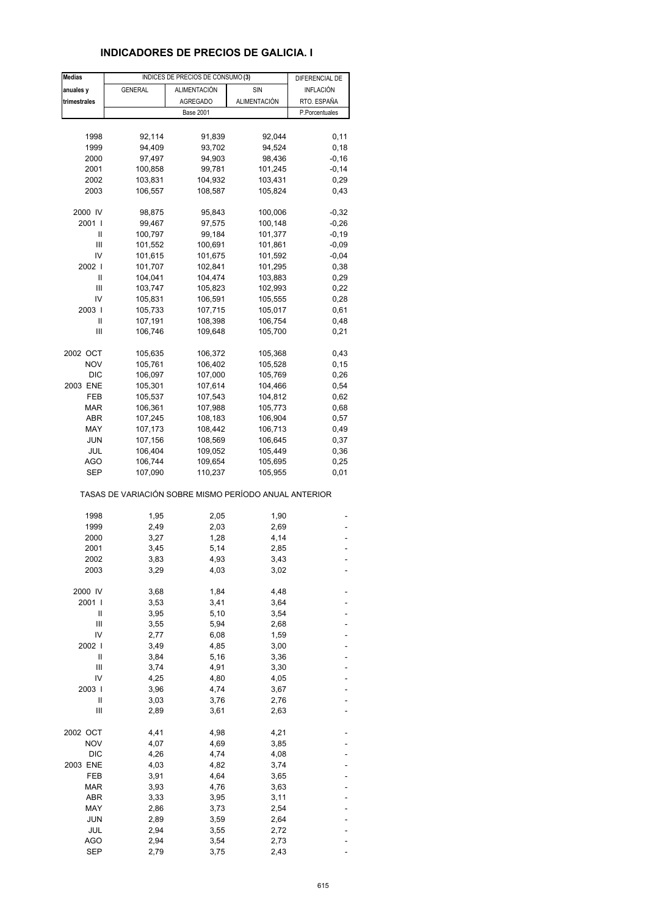## **INDICADORES DE PRECIOS DE GALICIA. I**

| <b>Medias</b> |                                                       | INDICES DE PRECIOS DE CONSUMO (3) |              | DIFERENCIAL DE   |
|---------------|-------------------------------------------------------|-----------------------------------|--------------|------------------|
| anuales y     | <b>GENERAL</b>                                        | <b>ALIMENTACIÓN</b>               | SIN          | <b>INFLACIÓN</b> |
| trimestrales  |                                                       | <b>AGREGADO</b>                   | ALIMENTACIÓN | RTO. ESPAÑA      |
|               |                                                       |                                   |              |                  |
|               |                                                       | <b>Base 2001</b>                  |              | P.Porcentuales   |
|               |                                                       |                                   |              |                  |
| 1998          | 92,114                                                | 91,839                            | 92,044       | 0,11             |
| 1999          | 94,409                                                | 93,702                            | 94,524       | 0, 18            |
| 2000          | 97,497                                                | 94,903                            | 98,436       | $-0,16$          |
| 2001          | 100,858                                               | 99,781                            | 101,245      | $-0,14$          |
| 2002          | 103,831                                               | 104,932                           | 103,431      | 0,29             |
| 2003          | 106,557                                               | 108,587                           | 105,824      | 0,43             |
|               |                                                       |                                   |              |                  |
| 2000 IV       | 98,875                                                | 95,843                            | 100,006      | $-0,32$          |
| 2001 l        | 99,467                                                | 97,575                            | 100,148      | $-0,26$          |
| Ш             | 100,797                                               | 99,184                            | 101,377      | $-0,19$          |
| Ш             | 101,552                                               | 100,691                           | 101,861      | $-0,09$          |
| IV            | 101,615                                               | 101,675                           | 101,592      | $-0,04$          |
| 2002          | 101,707                                               | 102,841                           | 101,295      | 0,38             |
|               |                                                       |                                   |              |                  |
| $\mathsf{I}$  | 104,041                                               | 104,474                           | 103,883      | 0,29             |
| Ш             | 103,747                                               | 105,823                           | 102,993      | 0,22             |
| IV            | 105,831                                               | 106,591                           | 105,555      | 0,28             |
| 2003          | 105,733                                               | 107,715                           | 105,017      | 0,61             |
| Ш             | 107,191                                               | 108,398                           | 106,754      | 0,48             |
| Ш             | 106,746                                               | 109,648                           | 105,700      | 0,21             |
|               |                                                       |                                   |              |                  |
| 2002 OCT      | 105,635                                               | 106,372                           | 105,368      | 0,43             |
| <b>NOV</b>    | 105,761                                               | 106,402                           | 105,528      | 0, 15            |
| <b>DIC</b>    | 106,097                                               | 107,000                           | 105,769      | 0,26             |
| 2003 ENE      | 105,301                                               | 107,614                           | 104,466      | 0,54             |
| FEB           | 105,537                                               | 107,543                           | 104,812      | 0,62             |
|               |                                                       |                                   |              |                  |
| <b>MAR</b>    | 106,361                                               | 107,988                           | 105,773      | 0,68             |
| ABR           | 107,245                                               | 108,183                           | 106,904      | 0,57             |
| MAY           | 107,173                                               | 108,442                           | 106,713      | 0,49             |
| <b>JUN</b>    | 107,156                                               | 108,569                           | 106,645      | 0,37             |
| JUL           | 106,404                                               | 109,052                           | 105,449      | 0,36             |
| AGO           | 106,744                                               | 109,654                           | 105,695      | 0,25             |
| SEP           | 107,090                                               | 110,237                           | 105,955      | 0,01             |
|               | TASAS DE VARIACIÓN SOBRE MISMO PERÍODO ANUAL ANTERIOR |                                   |              |                  |
| 1998          | 1,95                                                  | 2,05                              | 1,90         |                  |
| 1999          | 2,49                                                  | 2,03                              | 2,69         |                  |
| 2000          | 3,27                                                  | 1,28                              | 4,14         |                  |
| 2001          | 3,45                                                  | 5,14                              | 2,85         |                  |
| 2002          |                                                       | 4,93                              |              |                  |
|               | 3,83                                                  |                                   | 3,43         |                  |
| 2003          | 3,29                                                  | 4,03                              | 3,02         |                  |
| 2000 IV       | 3,68                                                  | 1,84                              | 4,48         |                  |
| 2001          | 3,53                                                  | 3,41                              | 3,64         |                  |
| Ш             | 3,95                                                  | 5,10                              | 3,54         |                  |
| Ш             | 3,55                                                  | 5,94                              | 2,68         |                  |
|               |                                                       |                                   |              |                  |
| IV            | 2,77                                                  | 6,08                              | 1,59         |                  |
| 2002          | 3,49                                                  | 4,85                              | 3,00         |                  |
| $\mathbf{II}$ | 3,84                                                  | 5,16                              | 3,36         |                  |
| Ш             | 3,74                                                  | 4,91                              | 3,30         |                  |
| IV            | 4,25                                                  | 4,80                              | 4,05         |                  |
| 2003          | 3,96                                                  | 4,74                              | 3,67         |                  |
| II            | 3,03                                                  | 3,76                              | 2,76         |                  |
| Ш             | 2,89                                                  | 3,61                              | 2,63         |                  |
|               |                                                       |                                   |              |                  |
| 2002 OCT      | 4,41                                                  | 4,98                              | 4,21         |                  |
| <b>NOV</b>    | 4,07                                                  | 4,69                              | 3,85         |                  |
| <b>DIC</b>    | 4,26                                                  | 4,74                              | 4,08         |                  |
| 2003 ENE      | 4,03                                                  | 4,82                              | 3,74         |                  |
|               |                                                       |                                   |              |                  |
| FEB           | 3,91                                                  | 4,64                              | 3,65         |                  |
| <b>MAR</b>    | 3,93                                                  | 4,76                              | 3,63         |                  |
| ABR           | 3,33                                                  | 3,95                              | 3,11         |                  |
| MAY           | 2,86                                                  | 3,73                              | 2,54         |                  |
| <b>JUN</b>    | 2,89                                                  | 3,59                              | 2,64         |                  |
| JUL           | 2,94                                                  | 3,55                              | 2,72         |                  |
| <b>AGO</b>    | 2,94                                                  | 3,54                              | 2,73         |                  |
|               |                                                       |                                   |              |                  |
| SEP           | 2,79                                                  | 3,75                              | 2,43         |                  |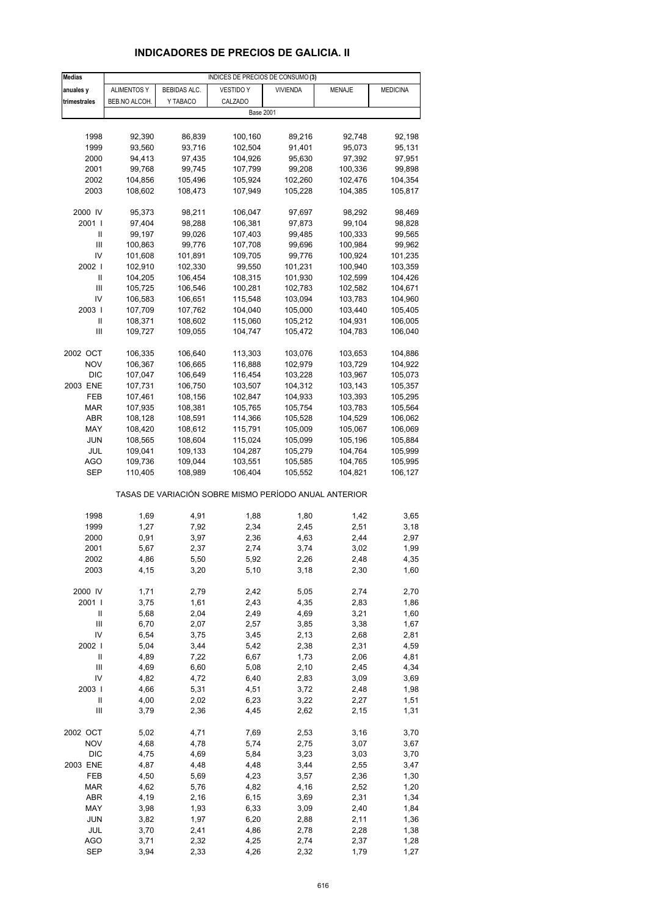## **INDICADORES DE PRECIOS DE GALICIA. II**

| <b>Medias</b>              |                    |                    | INDICES DE PRECIOS DE CONSUMO (3)                     |                 |                    |                    |
|----------------------------|--------------------|--------------------|-------------------------------------------------------|-----------------|--------------------|--------------------|
| anuales y                  | <b>ALIMENTOS Y</b> | BEBIDAS ALC.       | <b>VESTIDO Y</b>                                      | <b>VIVIENDA</b> | MENAJE             | <b>MEDICINA</b>    |
| trimestrales               | BEB.NO ALCOH.      | Y TABACO           | CALZADO                                               |                 |                    |                    |
|                            |                    |                    | <b>Base 2001</b>                                      |                 |                    |                    |
|                            |                    |                    |                                                       |                 |                    |                    |
| 1998                       | 92,390             | 86,839             | 100,160                                               | 89,216          | 92,748             | 92,198             |
| 1999                       | 93,560             | 93,716             | 102,504                                               | 91,401          | 95,073             | 95,131             |
| 2000                       | 94,413             | 97,435             | 104,926                                               | 95,630          | 97,392             | 97,951             |
| 2001                       | 99,768             | 99,745             | 107,799                                               | 99,208          | 100,336            | 99,898             |
| 2002                       | 104,856            | 105,496            | 105,924                                               | 102,260         | 102,476            | 104,354            |
| 2003                       | 108,602            | 108,473            | 107,949                                               | 105,228         | 104,385            | 105,817            |
|                            |                    |                    |                                                       |                 |                    |                    |
| 2000 IV                    | 95,373             | 98,211             | 106,047                                               | 97,697          | 98,292             | 98,469             |
| 2001 l                     | 97,404             | 98,288             | 106,381                                               | 97,873          | 99,104             | 98,828             |
| Ш                          | 99,197             | 99,026             | 107,403                                               | 99,485          | 100,333            | 99,565             |
| III                        | 100,863            | 99,776             | 107,708                                               | 99,696          | 100,984            | 99,962             |
| IV                         | 101,608            | 101,891            | 109,705                                               | 99,776          | 100,924            | 101,235            |
| 2002                       | 102,910            | 102,330            | 99,550                                                | 101,231         | 100,940            | 103,359            |
| Ш                          | 104,205            | 106,454            | 108,315                                               | 101,930         | 102,599            | 104,426            |
| Ш                          | 105,725            | 106,546            | 100,281                                               | 102,783         | 102,582            | 104,671            |
| IV                         | 106,583            | 106,651            | 115,548                                               | 103,094         | 103,783            | 104,960            |
| 2003                       | 107,709            | 107,762            | 104,040                                               | 105,000         | 103,440            | 105,405            |
| Ш                          | 108,371            | 108,602            | 115,060                                               | 105,212         | 104,931            | 106,005            |
| Ш                          | 109,727            | 109,055            | 104,747                                               | 105,472         | 104,783            | 106,040            |
| 2002 OCT                   | 106,335            |                    |                                                       | 103,076         |                    |                    |
| <b>NOV</b>                 | 106,367            | 106,640<br>106,665 | 113,303<br>116,888                                    | 102,979         | 103,653<br>103,729 | 104,886<br>104,922 |
| <b>DIC</b>                 | 107,047            | 106,649            | 116,454                                               | 103,228         | 103,967            | 105,073            |
| 2003 ENE                   | 107,731            | 106,750            | 103,507                                               | 104,312         | 103,143            | 105,357            |
| FEB                        | 107,461            | 108,156            | 102,847                                               | 104,933         | 103,393            | 105,295            |
| MAR                        | 107,935            | 108,381            | 105,765                                               | 105,754         | 103,783            | 105,564            |
| ABR                        | 108,128            | 108,591            | 114,366                                               | 105,528         | 104,529            | 106,062            |
| MAY                        | 108,420            | 108,612            | 115,791                                               | 105,009         | 105,067            | 106,069            |
| <b>JUN</b>                 | 108,565            | 108,604            | 115,024                                               | 105,099         | 105,196            | 105,884            |
| JUL                        | 109,041            | 109,133            | 104,287                                               | 105,279         | 104,764            | 105,999            |
| <b>AGO</b>                 | 109,736            | 109,044            | 103,551                                               | 105,585         | 104,765            | 105,995            |
| SEP                        | 110,405            | 108,989            | 106,404                                               | 105,552         | 104,821            | 106,127            |
|                            |                    |                    | TASAS DE VARIACIÓN SOBRE MISMO PERÍODO ANUAL ANTERIOR |                 |                    |                    |
|                            |                    |                    |                                                       |                 |                    |                    |
| 1998                       | 1,69               | 4,91               | 1,88                                                  | 1,80            | 1,42               | 3,65               |
| 1999                       | 1,27               | 7,92               | 2,34                                                  | 2,45            | 2,51               | 3,18               |
| 2000                       | 0,91               | 3,97               | 2,36                                                  | 4,63            | 2,44               | 2,97               |
| 2001                       | 5,67               | 2,37               | 2,74                                                  | 3,74            | 3,02               | 1,99               |
| 2002                       | 4,86               | 5,50               | 5,92                                                  | 2,26            | 2,48               | 4,35               |
| 2003                       | 4,15               | 3,20               | 5,10                                                  | 3,18            | 2,30               | 1,60               |
| 2000 IV                    | 1,71               | 2,79               | 2,42                                                  | 5,05            | 2,74               | 2,70               |
| 2001 l                     | 3,75               | 1,61               | 2,43                                                  | 4,35            | 2,83               | 1,86               |
| Ш                          | 5,68               | 2,04               | 2,49                                                  | 4,69            | 3,21               | 1,60               |
| $\mathsf{III}$             | 6,70               | 2,07               | 2,57                                                  | 3,85            | 3,38               | 1,67               |
| IV                         | 6,54               | 3,75               | 3,45                                                  | 2,13            | 2,68               | 2,81               |
| 2002                       | 5,04               | 3,44               | 5,42                                                  | 2,38            | 2,31               | 4,59               |
| $\ensuremath{\mathsf{II}}$ | 4,89               | 7,22               | 6,67                                                  | 1,73            | 2,06               | 4,81               |
| $\mathsf{III}$             | 4,69               | 6,60               | 5,08                                                  | 2,10            | 2,45               | 4,34               |
| IV                         | 4,82               | 4,72               | 6,40                                                  | 2,83            | 3,09               | 3,69               |
| 2003                       | 4,66               | 5,31               | 4,51                                                  | 3,72            | 2,48               | 1,98               |
| $\sf II$                   | 4,00               | 2,02               | 6,23                                                  | 3,22            | 2,27               | 1,51               |
| Ш                          | 3,79               | 2,36               | 4,45                                                  | 2,62            | 2,15               | 1,31               |
| 2002 OCT                   | 5,02               | 4,71               | 7,69                                                  | 2,53            | 3,16               | 3,70               |
| <b>NOV</b>                 | 4,68               | 4,78               | 5,74                                                  | 2,75            | 3,07               | 3,67               |
| <b>DIC</b>                 | 4,75               | 4,69               | 5,84                                                  | 3,23            | 3,03               | 3,70               |
| 2003 ENE                   | 4,87               | 4,48               | 4,48                                                  | 3,44            | 2,55               | 3,47               |
| FEB                        | 4,50               | 5,69               | 4,23                                                  | 3,57            | 2,36               | 1,30               |
| <b>MAR</b>                 | 4,62               | 5,76               | 4,82                                                  | 4,16            | 2,52               | 1,20               |
| ABR                        | 4,19               | 2,16               | 6, 15                                                 | 3,69            | 2,31               | 1,34               |
| MAY                        | 3,98               | 1,93               | 6,33                                                  | 3,09            | 2,40               | 1,84               |
| <b>JUN</b>                 | 3,82               | 1,97               | 6,20                                                  | 2,88            | 2,11               | 1,36               |
| JUL                        | 3,70               | 2,41               | 4,86                                                  | 2,78            | 2,28               | 1,38               |
| <b>AGO</b>                 | 3,71               | 2,32               | 4,25                                                  | 2,74            | 2,37               | 1,28               |
| <b>SEP</b>                 | 3,94               | 2,33               | 4,26                                                  | 2,32            | 1,79               | 1,27               |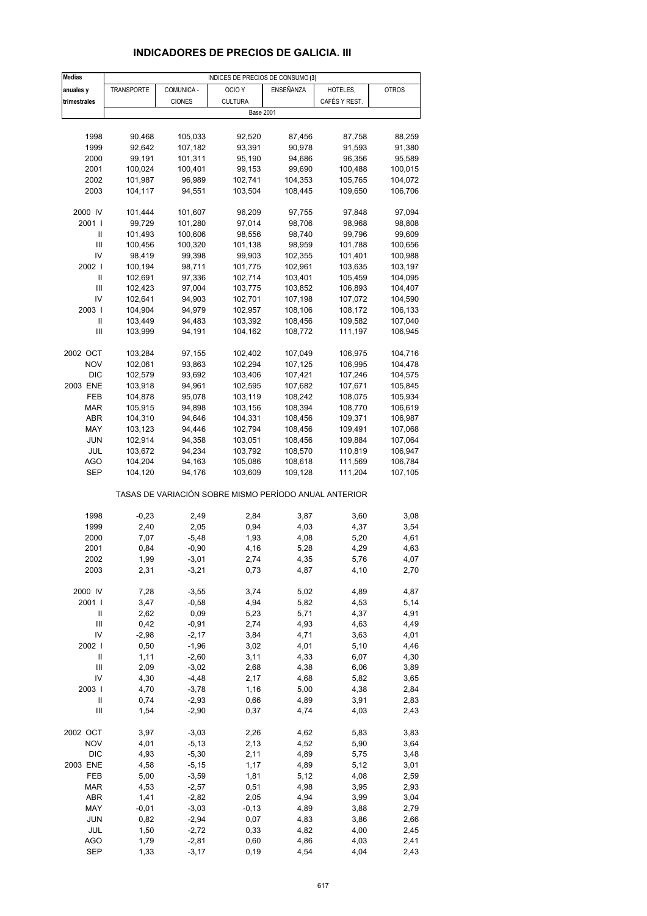# **INDICADORES DE PRECIOS DE GALICIA. III**

| <b>Medias</b>  |                   |               | INDICES DE PRECIOS DE CONSUMO (3)                     |           |               |              |
|----------------|-------------------|---------------|-------------------------------------------------------|-----------|---------------|--------------|
| anuales y      | <b>TRANSPORTE</b> | COMUNICA -    | OCIO <sub>Y</sub>                                     | ENSEÑANZA | HOTELES,      | <b>OTROS</b> |
| trimestrales   |                   | <b>CIONES</b> | <b>CULTURA</b>                                        |           | CAFÉS Y REST. |              |
|                |                   |               | <b>Base 2001</b>                                      |           |               |              |
|                |                   |               |                                                       |           |               |              |
| 1998           | 90,468            | 105,033       | 92,520                                                | 87,456    | 87,758        | 88,259       |
| 1999           | 92,642            | 107,182       | 93,391                                                | 90,978    | 91,593        | 91,380       |
| 2000           | 99,191            | 101,311       | 95,190                                                | 94,686    | 96,356        | 95,589       |
| 2001           | 100,024           | 100,401       | 99,153                                                | 99,690    | 100,488       | 100,015      |
| 2002           | 101,987           | 96,989        | 102,741                                               | 104,353   | 105,765       | 104,072      |
|                |                   |               |                                                       |           |               |              |
| 2003           | 104,117           | 94,551        | 103,504                                               | 108,445   | 109,650       | 106,706      |
| 2000 IV        | 101,444           | 101,607       | 96,209                                                | 97,755    | 97,848        | 97,094       |
| 2001 l         | 99,729            | 101,280       | 97,014                                                | 98,706    | 98,968        | 98,808       |
| Ш              | 101,493           | 100,606       | 98,556                                                | 98,740    | 99,796        | 99,609       |
| III            | 100,456           | 100,320       | 101,138                                               | 98,959    | 101,788       | 100,656      |
| IV             | 98,419            | 99,398        | 99,903                                                | 102,355   | 101,401       | 100,988      |
| 2002           |                   | 98,711        | 101,775                                               |           |               |              |
| Ш              | 100,194           |               |                                                       | 102,961   | 103,635       | 103,197      |
|                | 102,691           | 97,336        | 102,714                                               | 103,401   | 105,459       | 104,095      |
| Ш              | 102,423           | 97,004        | 103,775                                               | 103,852   | 106,893       | 104,407      |
| IV             | 102,641           | 94,903        | 102,701                                               | 107,198   | 107,072       | 104,590      |
| 2003           | 104,904           | 94,979        | 102,957                                               | 108,106   | 108,172       | 106,133      |
| Ш              | 103,449           | 94,483        | 103,392                                               | 108,456   | 109,582       | 107,040      |
| $\mathsf{III}$ | 103,999           | 94,191        | 104,162                                               | 108,772   | 111,197       | 106,945      |
|                |                   |               |                                                       |           |               |              |
| 2002 OCT       | 103,284           | 97,155        | 102,402                                               | 107,049   | 106,975       | 104,716      |
| <b>NOV</b>     | 102,061           | 93,863        | 102,294                                               | 107,125   | 106,995       | 104,478      |
| <b>DIC</b>     | 102,579           | 93,692        | 103,406                                               | 107,421   | 107,246       | 104,575      |
| 2003 ENE       | 103,918           | 94,961        | 102,595                                               | 107,682   | 107,671       | 105,845      |
| FEB            | 104,878           | 95,078        | 103,119                                               | 108,242   | 108,075       | 105,934      |
| <b>MAR</b>     | 105,915           | 94,898        | 103,156                                               | 108,394   | 108,770       | 106,619      |
| ABR            | 104,310           | 94,646        | 104,331                                               | 108,456   | 109,371       | 106,987      |
| MAY            | 103,123           | 94,446        | 102,794                                               | 108,456   | 109,491       | 107,068      |
| JUN            | 102,914           | 94,358        | 103,051                                               | 108,456   | 109,884       | 107,064      |
| JUL            | 103,672           | 94,234        | 103,792                                               | 108,570   | 110,819       | 106,947      |
| AGO            | 104,204           | 94,163        | 105,086                                               | 108,618   | 111,569       | 106,784      |
| SEP            | 104,120           | 94,176        | 103,609                                               | 109,128   | 111,204       | 107,105      |
|                |                   |               | TASAS DE VARIACIÓN SOBRE MISMO PERÍODO ANUAL ANTERIOR |           |               |              |
| 1998           | $-0,23$           | 2,49          | 2,84                                                  | 3,87      | 3,60          | 3,08         |
| 1999           | 2,40              | 2,05          | 0,94                                                  | 4,03      | 4,37          | 3,54         |
| 2000           | 7,07              | $-5,48$       | 1,93                                                  | 4,08      | 5,20          | 4,61         |
| 2001           | 0,84              | $-0,90$       | 4,16                                                  | 5,28      | 4,29          | 4,63         |
| 2002           | 1,99              | $-3,01$       | 2,74                                                  | 4,35      | 5,76          | 4,07         |
| 2003           | 2,31              | $-3,21$       | 0,73                                                  | 4,87      | 4,10          | 2,70         |
|                |                   |               |                                                       |           |               |              |
| 2000 IV        | 7,28              | $-3,55$       | 3,74                                                  | 5,02      | 4,89          | 4,87         |
| 2001 l         | 3,47              | $-0,58$       | 4,94                                                  | 5,82      | 4,53          | 5,14         |
| Ш              | 2,62              | 0,09          | 5,23                                                  | 5,71      | 4,37          | 4,91         |
| $\mathsf{III}$ | 0,42              | $-0,91$       | 2,74                                                  | 4,93      | 4,63          | 4,49         |
| IV             | $-2,98$           | $-2,17$       | 3,84                                                  | 4,71      | 3,63          | 4,01         |
| 2002 l         | 0,50              | $-1,96$       | 3,02                                                  | 4,01      | 5,10          | 4,46         |
| $\sf II$       | 1,11              | $-2,60$       | 3,11                                                  | 4,33      | 6,07          | 4,30         |
| $\mathsf{III}$ | 2,09              | $-3,02$       | 2,68                                                  | 4,38      | 6,06          | 3,89         |
| IV             | 4,30              | $-4,48$       | 2,17                                                  | 4,68      | 5,82          | 3,65         |
| 2003           | 4,70              | $-3,78$       | 1,16                                                  | 5,00      | 4,38          | 2,84         |
| $\sf II$       | 0,74              | $-2,93$       | 0,66                                                  | 4,89      | 3,91          | 2,83         |
| Ш              | 1,54              | $-2,90$       | 0,37                                                  | 4,74      | 4,03          | 2,43         |
|                |                   |               |                                                       |           |               |              |
| 2002 OCT       | 3,97              | $-3,03$       | 2,26                                                  | 4,62      | 5,83          | 3,83         |
| <b>NOV</b>     | 4,01              | $-5,13$       | 2,13                                                  | 4,52      | 5,90          | 3,64         |
| <b>DIC</b>     | 4,93              | $-5,30$       | 2,11                                                  | 4,89      | 5,75          | 3,48         |
| 2003 ENE       | 4,58              | $-5,15$       | 1,17                                                  | 4,89      | 5,12          | 3,01         |
| FEB            | 5,00              | $-3,59$       | 1,81                                                  | 5,12      | 4,08          | 2,59         |
| <b>MAR</b>     | 4,53              | $-2,57$       | 0,51                                                  | 4,98      | 3,95          | 2,93         |
| ABR            | 1,41              | $-2,82$       | 2,05                                                  | 4,94      | 3,99          | 3,04         |
| MAY            | $-0,01$           | $-3,03$       | $-0,13$                                               | 4,89      | 3,88          | 2,79         |
| <b>JUN</b>     | 0,82              | $-2,94$       | 0,07                                                  | 4,83      | 3,86          | 2,66         |
| JUL            | 1,50              | $-2,72$       | 0,33                                                  | 4,82      | 4,00          | 2,45         |
| AGO            | 1,79              | $-2,81$       | 0,60                                                  | 4,86      | 4,03          | 2,41         |
| <b>SEP</b>     | 1,33              | $-3,17$       | 0, 19                                                 | 4,54      | 4,04          | 2,43         |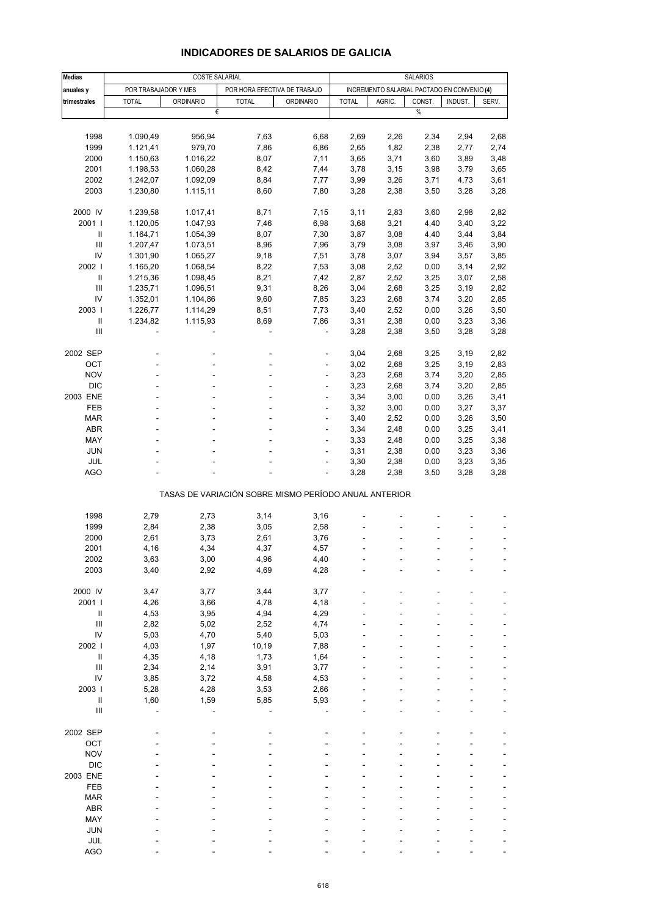| <b>COSTE SALARIAL</b><br>POR TRABAJADOR Y MES<br>POR HORA EFECTIVA DE TRABAJO<br>INCREMENTO SALARIAL PACTADO EN CONVENIO (4)<br>anuales y<br><b>ORDINARIO</b><br>CONST.<br>INDUST.<br>trimestrales<br><b>TOTAL</b><br><b>ORDINARIO</b><br><b>TOTAL</b><br><b>TOTAL</b><br>AGRIC.<br>SERV.<br>$\%$<br>€<br>1998<br>1.090,49<br>956,94<br>7,63<br>6,68<br>2,69<br>2,94<br>2,68<br>2,26<br>2,34<br>1999<br>979,70<br>1,82<br>1.121,41<br>7,86<br>6,86<br>2,65<br>2,38<br>2,77<br>2,74<br>2000<br>1.016,22<br>8,07<br>7,11<br>3,65<br>3,71<br>3,60<br>3,89<br>3,48<br>1.150,63<br>2001<br>1.198,53<br>1.060,28<br>8,42<br>7,44<br>3,78<br>3,15<br>3,79<br>3,65<br>3,98<br>2002<br>1.242,07<br>1.092,09<br>8,84<br>7,77<br>3,99<br>3,26<br>3,71<br>4,73<br>3,61<br>2003<br>1.230,80<br>1.115,11<br>8,60<br>7,80<br>3,28<br>2,38<br>3,50<br>3,28<br>3,28<br>2000 IV<br>1.239,58<br>1.017,41<br>8,71<br>7,15<br>3,11<br>2,83<br>3,60<br>2,98<br>2,82<br>2001 l<br>6,98<br>1.120,05<br>1.047,93<br>7,46<br>3,68<br>3,21<br>4,40<br>3,40<br>3,22<br>Ш<br>1.164,71<br>8,07<br>7,30<br>3,87<br>3,08<br>3,44<br>3,84<br>1.054,39<br>4,40<br>Ш<br>1.207,47<br>1.073,51<br>8,96<br>7,96<br>3,79<br>3,08<br>3,97<br>3,46<br>3,90<br>IV<br>1.301,90<br>1.065,27<br>7,51<br>3,78<br>3,07<br>3,57<br>3,85<br>9,18<br>3,94<br>2002  <br>1.165,20<br>1.068,54<br>8,22<br>7,53<br>3,08<br>2,52<br>3,14<br>2,92<br>0,00<br>Ш<br>8,21<br>2,58<br>1.215,36<br>1.098,45<br>7,42<br>2,87<br>2,52<br>3,25<br>3,07<br>Ш<br>1.235,71<br>1.096,51<br>9,31<br>8,26<br>3,04<br>2,68<br>3,19<br>2,82<br>3,25<br>IV<br>1.352,01<br>9,60<br>7,85<br>3,23<br>2,68<br>3,74<br>3,20<br>2,85<br>1.104,86<br>2003  <br>1.226,77<br>1.114,29<br>8,51<br>7,73<br>3,40<br>2,52<br>0,00<br>3,26<br>$\mathbf{II}$<br>1.234,82<br>1.115,93<br>8,69<br>7,86<br>3,31<br>2,38<br>3,23<br>0,00<br>III<br>3,28<br>2,38<br>3,50<br>3,28<br>3,28<br>2002 SEP<br>3,04<br>2,68<br>3,25<br>3,19<br>2,82<br>ä,<br>OCT<br>3,02<br>2,68<br>3,25<br>3,19<br><b>NOV</b><br>3,23<br>2,68<br>3,74<br>3,20<br>2,85<br>٠<br>$\overline{\phantom{a}}$<br><b>DIC</b><br>3,23<br>2,68<br>3,20<br>2,85<br>3,74<br>÷<br>3,34<br>3,41<br>2003 ENE<br>3,00<br>0,00<br>3,26<br>3,27<br>FEB<br>3,32<br>3,00<br>0,00<br>3,37<br>ä,<br>÷,<br><b>MAR</b><br>3,40<br>2,52<br>3,26<br>3,50<br>0,00<br>ä,<br>3,34<br>ABR<br>2,48<br>0,00<br>3,25<br>3,41<br>3,25<br>MAY<br>3,33<br>2,48<br>0,00<br>3,38<br>ä,<br>ä,<br>JUN<br>3,31<br>2,38<br>3,23<br>3,36<br>0,00<br>ä,<br>JUL<br>3,30<br>2,38<br>0,00<br>3,23<br>3,35<br>÷,<br><b>AGO</b><br>3,28<br>3,28<br>3,28<br>2,38<br>3,50<br>ä,<br>TASAS DE VARIACIÓN SOBRE MISMO PERÍODO ANUAL ANTERIOR<br>1998<br>2,79<br>2,73<br>3,14<br>3,16<br>1999<br>2,84<br>2,38<br>3,05<br>2,58<br>2000<br>2,61<br>3,73<br>3,76<br>2,61<br>2001<br>4,16<br>4,34<br>4,37<br>4,57<br>2002<br>3,63<br>3,00<br>4,96<br>4,40<br>2003<br>3,40<br>2,92<br>4,69<br>4,28<br>2000 IV<br>3,47<br>3,44<br>3,77<br>3,77<br>2001  <br>4,26<br>3,66<br>4,78<br>4,18<br>$\sf II$<br>4,53<br>3,95<br>4,94<br>4,29<br>$\ensuremath{\mathsf{III}}\xspace$<br>2,82<br>4,74<br>5,02<br>2,52<br>IV<br>5,03<br>5,03<br>4,70<br>5,40<br>2002  <br>4,03<br>1,97<br>10,19<br>7,88<br>$\ensuremath{\mathsf{II}}$<br>4,35<br>4,18<br>1,73<br>1,64<br>$\ensuremath{\mathsf{III}}\xspace$<br>2,34<br>2,14<br>3,91<br>3,77<br>IV<br>3,85<br>3,72<br>4,58<br>4,53<br>2003  <br>5,28<br>4,28<br>3,53<br>2,66<br>5,93<br>Ш<br>1,60<br>1,59<br>5,85<br>$\ensuremath{\mathsf{III}}\xspace$<br>2002 SEP<br>OCT<br><b>NOV</b><br><b>DIC</b><br>2003 ENE<br>FEB<br><b>MAR</b><br>ABR<br>MAY<br><b>JUN</b><br>JUL | <b>Medias</b> |  | <b>SALARIOS</b> |  |  |  |  |      |
|------------------------------------------------------------------------------------------------------------------------------------------------------------------------------------------------------------------------------------------------------------------------------------------------------------------------------------------------------------------------------------------------------------------------------------------------------------------------------------------------------------------------------------------------------------------------------------------------------------------------------------------------------------------------------------------------------------------------------------------------------------------------------------------------------------------------------------------------------------------------------------------------------------------------------------------------------------------------------------------------------------------------------------------------------------------------------------------------------------------------------------------------------------------------------------------------------------------------------------------------------------------------------------------------------------------------------------------------------------------------------------------------------------------------------------------------------------------------------------------------------------------------------------------------------------------------------------------------------------------------------------------------------------------------------------------------------------------------------------------------------------------------------------------------------------------------------------------------------------------------------------------------------------------------------------------------------------------------------------------------------------------------------------------------------------------------------------------------------------------------------------------------------------------------------------------------------------------------------------------------------------------------------------------------------------------------------------------------------------------------------------------------------------------------------------------------------------------------------------------------------------------------------------------------------------------------------------------------------------------------------------------------------------------------------------------------------------------------------------------------------------------------------------------------------------------------------------------------------------------------------------------------------------------------------------------------------------------------------------------------------------------------------------------------------------------------------------------------------------------------------------------------------------------------------------------------------------------------------------------------------------------------------------------------------------------------------------------------------------------------------------------------------------------------------------------------------------------------------------------------------------------------------------------------------------------------------------------------------------------------------|---------------|--|-----------------|--|--|--|--|------|
|                                                                                                                                                                                                                                                                                                                                                                                                                                                                                                                                                                                                                                                                                                                                                                                                                                                                                                                                                                                                                                                                                                                                                                                                                                                                                                                                                                                                                                                                                                                                                                                                                                                                                                                                                                                                                                                                                                                                                                                                                                                                                                                                                                                                                                                                                                                                                                                                                                                                                                                                                                                                                                                                                                                                                                                                                                                                                                                                                                                                                                                                                                                                                                                                                                                                                                                                                                                                                                                                                                                                                                                                                              |               |  |                 |  |  |  |  |      |
|                                                                                                                                                                                                                                                                                                                                                                                                                                                                                                                                                                                                                                                                                                                                                                                                                                                                                                                                                                                                                                                                                                                                                                                                                                                                                                                                                                                                                                                                                                                                                                                                                                                                                                                                                                                                                                                                                                                                                                                                                                                                                                                                                                                                                                                                                                                                                                                                                                                                                                                                                                                                                                                                                                                                                                                                                                                                                                                                                                                                                                                                                                                                                                                                                                                                                                                                                                                                                                                                                                                                                                                                                              |               |  |                 |  |  |  |  |      |
|                                                                                                                                                                                                                                                                                                                                                                                                                                                                                                                                                                                                                                                                                                                                                                                                                                                                                                                                                                                                                                                                                                                                                                                                                                                                                                                                                                                                                                                                                                                                                                                                                                                                                                                                                                                                                                                                                                                                                                                                                                                                                                                                                                                                                                                                                                                                                                                                                                                                                                                                                                                                                                                                                                                                                                                                                                                                                                                                                                                                                                                                                                                                                                                                                                                                                                                                                                                                                                                                                                                                                                                                                              |               |  |                 |  |  |  |  |      |
|                                                                                                                                                                                                                                                                                                                                                                                                                                                                                                                                                                                                                                                                                                                                                                                                                                                                                                                                                                                                                                                                                                                                                                                                                                                                                                                                                                                                                                                                                                                                                                                                                                                                                                                                                                                                                                                                                                                                                                                                                                                                                                                                                                                                                                                                                                                                                                                                                                                                                                                                                                                                                                                                                                                                                                                                                                                                                                                                                                                                                                                                                                                                                                                                                                                                                                                                                                                                                                                                                                                                                                                                                              |               |  |                 |  |  |  |  |      |
|                                                                                                                                                                                                                                                                                                                                                                                                                                                                                                                                                                                                                                                                                                                                                                                                                                                                                                                                                                                                                                                                                                                                                                                                                                                                                                                                                                                                                                                                                                                                                                                                                                                                                                                                                                                                                                                                                                                                                                                                                                                                                                                                                                                                                                                                                                                                                                                                                                                                                                                                                                                                                                                                                                                                                                                                                                                                                                                                                                                                                                                                                                                                                                                                                                                                                                                                                                                                                                                                                                                                                                                                                              |               |  |                 |  |  |  |  |      |
|                                                                                                                                                                                                                                                                                                                                                                                                                                                                                                                                                                                                                                                                                                                                                                                                                                                                                                                                                                                                                                                                                                                                                                                                                                                                                                                                                                                                                                                                                                                                                                                                                                                                                                                                                                                                                                                                                                                                                                                                                                                                                                                                                                                                                                                                                                                                                                                                                                                                                                                                                                                                                                                                                                                                                                                                                                                                                                                                                                                                                                                                                                                                                                                                                                                                                                                                                                                                                                                                                                                                                                                                                              |               |  |                 |  |  |  |  |      |
|                                                                                                                                                                                                                                                                                                                                                                                                                                                                                                                                                                                                                                                                                                                                                                                                                                                                                                                                                                                                                                                                                                                                                                                                                                                                                                                                                                                                                                                                                                                                                                                                                                                                                                                                                                                                                                                                                                                                                                                                                                                                                                                                                                                                                                                                                                                                                                                                                                                                                                                                                                                                                                                                                                                                                                                                                                                                                                                                                                                                                                                                                                                                                                                                                                                                                                                                                                                                                                                                                                                                                                                                                              |               |  |                 |  |  |  |  |      |
|                                                                                                                                                                                                                                                                                                                                                                                                                                                                                                                                                                                                                                                                                                                                                                                                                                                                                                                                                                                                                                                                                                                                                                                                                                                                                                                                                                                                                                                                                                                                                                                                                                                                                                                                                                                                                                                                                                                                                                                                                                                                                                                                                                                                                                                                                                                                                                                                                                                                                                                                                                                                                                                                                                                                                                                                                                                                                                                                                                                                                                                                                                                                                                                                                                                                                                                                                                                                                                                                                                                                                                                                                              |               |  |                 |  |  |  |  |      |
|                                                                                                                                                                                                                                                                                                                                                                                                                                                                                                                                                                                                                                                                                                                                                                                                                                                                                                                                                                                                                                                                                                                                                                                                                                                                                                                                                                                                                                                                                                                                                                                                                                                                                                                                                                                                                                                                                                                                                                                                                                                                                                                                                                                                                                                                                                                                                                                                                                                                                                                                                                                                                                                                                                                                                                                                                                                                                                                                                                                                                                                                                                                                                                                                                                                                                                                                                                                                                                                                                                                                                                                                                              |               |  |                 |  |  |  |  |      |
|                                                                                                                                                                                                                                                                                                                                                                                                                                                                                                                                                                                                                                                                                                                                                                                                                                                                                                                                                                                                                                                                                                                                                                                                                                                                                                                                                                                                                                                                                                                                                                                                                                                                                                                                                                                                                                                                                                                                                                                                                                                                                                                                                                                                                                                                                                                                                                                                                                                                                                                                                                                                                                                                                                                                                                                                                                                                                                                                                                                                                                                                                                                                                                                                                                                                                                                                                                                                                                                                                                                                                                                                                              |               |  |                 |  |  |  |  |      |
|                                                                                                                                                                                                                                                                                                                                                                                                                                                                                                                                                                                                                                                                                                                                                                                                                                                                                                                                                                                                                                                                                                                                                                                                                                                                                                                                                                                                                                                                                                                                                                                                                                                                                                                                                                                                                                                                                                                                                                                                                                                                                                                                                                                                                                                                                                                                                                                                                                                                                                                                                                                                                                                                                                                                                                                                                                                                                                                                                                                                                                                                                                                                                                                                                                                                                                                                                                                                                                                                                                                                                                                                                              |               |  |                 |  |  |  |  |      |
|                                                                                                                                                                                                                                                                                                                                                                                                                                                                                                                                                                                                                                                                                                                                                                                                                                                                                                                                                                                                                                                                                                                                                                                                                                                                                                                                                                                                                                                                                                                                                                                                                                                                                                                                                                                                                                                                                                                                                                                                                                                                                                                                                                                                                                                                                                                                                                                                                                                                                                                                                                                                                                                                                                                                                                                                                                                                                                                                                                                                                                                                                                                                                                                                                                                                                                                                                                                                                                                                                                                                                                                                                              |               |  |                 |  |  |  |  |      |
|                                                                                                                                                                                                                                                                                                                                                                                                                                                                                                                                                                                                                                                                                                                                                                                                                                                                                                                                                                                                                                                                                                                                                                                                                                                                                                                                                                                                                                                                                                                                                                                                                                                                                                                                                                                                                                                                                                                                                                                                                                                                                                                                                                                                                                                                                                                                                                                                                                                                                                                                                                                                                                                                                                                                                                                                                                                                                                                                                                                                                                                                                                                                                                                                                                                                                                                                                                                                                                                                                                                                                                                                                              |               |  |                 |  |  |  |  |      |
|                                                                                                                                                                                                                                                                                                                                                                                                                                                                                                                                                                                                                                                                                                                                                                                                                                                                                                                                                                                                                                                                                                                                                                                                                                                                                                                                                                                                                                                                                                                                                                                                                                                                                                                                                                                                                                                                                                                                                                                                                                                                                                                                                                                                                                                                                                                                                                                                                                                                                                                                                                                                                                                                                                                                                                                                                                                                                                                                                                                                                                                                                                                                                                                                                                                                                                                                                                                                                                                                                                                                                                                                                              |               |  |                 |  |  |  |  |      |
|                                                                                                                                                                                                                                                                                                                                                                                                                                                                                                                                                                                                                                                                                                                                                                                                                                                                                                                                                                                                                                                                                                                                                                                                                                                                                                                                                                                                                                                                                                                                                                                                                                                                                                                                                                                                                                                                                                                                                                                                                                                                                                                                                                                                                                                                                                                                                                                                                                                                                                                                                                                                                                                                                                                                                                                                                                                                                                                                                                                                                                                                                                                                                                                                                                                                                                                                                                                                                                                                                                                                                                                                                              |               |  |                 |  |  |  |  |      |
|                                                                                                                                                                                                                                                                                                                                                                                                                                                                                                                                                                                                                                                                                                                                                                                                                                                                                                                                                                                                                                                                                                                                                                                                                                                                                                                                                                                                                                                                                                                                                                                                                                                                                                                                                                                                                                                                                                                                                                                                                                                                                                                                                                                                                                                                                                                                                                                                                                                                                                                                                                                                                                                                                                                                                                                                                                                                                                                                                                                                                                                                                                                                                                                                                                                                                                                                                                                                                                                                                                                                                                                                                              |               |  |                 |  |  |  |  |      |
|                                                                                                                                                                                                                                                                                                                                                                                                                                                                                                                                                                                                                                                                                                                                                                                                                                                                                                                                                                                                                                                                                                                                                                                                                                                                                                                                                                                                                                                                                                                                                                                                                                                                                                                                                                                                                                                                                                                                                                                                                                                                                                                                                                                                                                                                                                                                                                                                                                                                                                                                                                                                                                                                                                                                                                                                                                                                                                                                                                                                                                                                                                                                                                                                                                                                                                                                                                                                                                                                                                                                                                                                                              |               |  |                 |  |  |  |  |      |
|                                                                                                                                                                                                                                                                                                                                                                                                                                                                                                                                                                                                                                                                                                                                                                                                                                                                                                                                                                                                                                                                                                                                                                                                                                                                                                                                                                                                                                                                                                                                                                                                                                                                                                                                                                                                                                                                                                                                                                                                                                                                                                                                                                                                                                                                                                                                                                                                                                                                                                                                                                                                                                                                                                                                                                                                                                                                                                                                                                                                                                                                                                                                                                                                                                                                                                                                                                                                                                                                                                                                                                                                                              |               |  |                 |  |  |  |  |      |
|                                                                                                                                                                                                                                                                                                                                                                                                                                                                                                                                                                                                                                                                                                                                                                                                                                                                                                                                                                                                                                                                                                                                                                                                                                                                                                                                                                                                                                                                                                                                                                                                                                                                                                                                                                                                                                                                                                                                                                                                                                                                                                                                                                                                                                                                                                                                                                                                                                                                                                                                                                                                                                                                                                                                                                                                                                                                                                                                                                                                                                                                                                                                                                                                                                                                                                                                                                                                                                                                                                                                                                                                                              |               |  |                 |  |  |  |  |      |
|                                                                                                                                                                                                                                                                                                                                                                                                                                                                                                                                                                                                                                                                                                                                                                                                                                                                                                                                                                                                                                                                                                                                                                                                                                                                                                                                                                                                                                                                                                                                                                                                                                                                                                                                                                                                                                                                                                                                                                                                                                                                                                                                                                                                                                                                                                                                                                                                                                                                                                                                                                                                                                                                                                                                                                                                                                                                                                                                                                                                                                                                                                                                                                                                                                                                                                                                                                                                                                                                                                                                                                                                                              |               |  |                 |  |  |  |  |      |
|                                                                                                                                                                                                                                                                                                                                                                                                                                                                                                                                                                                                                                                                                                                                                                                                                                                                                                                                                                                                                                                                                                                                                                                                                                                                                                                                                                                                                                                                                                                                                                                                                                                                                                                                                                                                                                                                                                                                                                                                                                                                                                                                                                                                                                                                                                                                                                                                                                                                                                                                                                                                                                                                                                                                                                                                                                                                                                                                                                                                                                                                                                                                                                                                                                                                                                                                                                                                                                                                                                                                                                                                                              |               |  |                 |  |  |  |  | 3,50 |
|                                                                                                                                                                                                                                                                                                                                                                                                                                                                                                                                                                                                                                                                                                                                                                                                                                                                                                                                                                                                                                                                                                                                                                                                                                                                                                                                                                                                                                                                                                                                                                                                                                                                                                                                                                                                                                                                                                                                                                                                                                                                                                                                                                                                                                                                                                                                                                                                                                                                                                                                                                                                                                                                                                                                                                                                                                                                                                                                                                                                                                                                                                                                                                                                                                                                                                                                                                                                                                                                                                                                                                                                                              |               |  |                 |  |  |  |  | 3,36 |
|                                                                                                                                                                                                                                                                                                                                                                                                                                                                                                                                                                                                                                                                                                                                                                                                                                                                                                                                                                                                                                                                                                                                                                                                                                                                                                                                                                                                                                                                                                                                                                                                                                                                                                                                                                                                                                                                                                                                                                                                                                                                                                                                                                                                                                                                                                                                                                                                                                                                                                                                                                                                                                                                                                                                                                                                                                                                                                                                                                                                                                                                                                                                                                                                                                                                                                                                                                                                                                                                                                                                                                                                                              |               |  |                 |  |  |  |  |      |
|                                                                                                                                                                                                                                                                                                                                                                                                                                                                                                                                                                                                                                                                                                                                                                                                                                                                                                                                                                                                                                                                                                                                                                                                                                                                                                                                                                                                                                                                                                                                                                                                                                                                                                                                                                                                                                                                                                                                                                                                                                                                                                                                                                                                                                                                                                                                                                                                                                                                                                                                                                                                                                                                                                                                                                                                                                                                                                                                                                                                                                                                                                                                                                                                                                                                                                                                                                                                                                                                                                                                                                                                                              |               |  |                 |  |  |  |  |      |
|                                                                                                                                                                                                                                                                                                                                                                                                                                                                                                                                                                                                                                                                                                                                                                                                                                                                                                                                                                                                                                                                                                                                                                                                                                                                                                                                                                                                                                                                                                                                                                                                                                                                                                                                                                                                                                                                                                                                                                                                                                                                                                                                                                                                                                                                                                                                                                                                                                                                                                                                                                                                                                                                                                                                                                                                                                                                                                                                                                                                                                                                                                                                                                                                                                                                                                                                                                                                                                                                                                                                                                                                                              |               |  |                 |  |  |  |  |      |
|                                                                                                                                                                                                                                                                                                                                                                                                                                                                                                                                                                                                                                                                                                                                                                                                                                                                                                                                                                                                                                                                                                                                                                                                                                                                                                                                                                                                                                                                                                                                                                                                                                                                                                                                                                                                                                                                                                                                                                                                                                                                                                                                                                                                                                                                                                                                                                                                                                                                                                                                                                                                                                                                                                                                                                                                                                                                                                                                                                                                                                                                                                                                                                                                                                                                                                                                                                                                                                                                                                                                                                                                                              |               |  |                 |  |  |  |  | 2,83 |
|                                                                                                                                                                                                                                                                                                                                                                                                                                                                                                                                                                                                                                                                                                                                                                                                                                                                                                                                                                                                                                                                                                                                                                                                                                                                                                                                                                                                                                                                                                                                                                                                                                                                                                                                                                                                                                                                                                                                                                                                                                                                                                                                                                                                                                                                                                                                                                                                                                                                                                                                                                                                                                                                                                                                                                                                                                                                                                                                                                                                                                                                                                                                                                                                                                                                                                                                                                                                                                                                                                                                                                                                                              |               |  |                 |  |  |  |  |      |
|                                                                                                                                                                                                                                                                                                                                                                                                                                                                                                                                                                                                                                                                                                                                                                                                                                                                                                                                                                                                                                                                                                                                                                                                                                                                                                                                                                                                                                                                                                                                                                                                                                                                                                                                                                                                                                                                                                                                                                                                                                                                                                                                                                                                                                                                                                                                                                                                                                                                                                                                                                                                                                                                                                                                                                                                                                                                                                                                                                                                                                                                                                                                                                                                                                                                                                                                                                                                                                                                                                                                                                                                                              |               |  |                 |  |  |  |  |      |
|                                                                                                                                                                                                                                                                                                                                                                                                                                                                                                                                                                                                                                                                                                                                                                                                                                                                                                                                                                                                                                                                                                                                                                                                                                                                                                                                                                                                                                                                                                                                                                                                                                                                                                                                                                                                                                                                                                                                                                                                                                                                                                                                                                                                                                                                                                                                                                                                                                                                                                                                                                                                                                                                                                                                                                                                                                                                                                                                                                                                                                                                                                                                                                                                                                                                                                                                                                                                                                                                                                                                                                                                                              |               |  |                 |  |  |  |  |      |
|                                                                                                                                                                                                                                                                                                                                                                                                                                                                                                                                                                                                                                                                                                                                                                                                                                                                                                                                                                                                                                                                                                                                                                                                                                                                                                                                                                                                                                                                                                                                                                                                                                                                                                                                                                                                                                                                                                                                                                                                                                                                                                                                                                                                                                                                                                                                                                                                                                                                                                                                                                                                                                                                                                                                                                                                                                                                                                                                                                                                                                                                                                                                                                                                                                                                                                                                                                                                                                                                                                                                                                                                                              |               |  |                 |  |  |  |  |      |
|                                                                                                                                                                                                                                                                                                                                                                                                                                                                                                                                                                                                                                                                                                                                                                                                                                                                                                                                                                                                                                                                                                                                                                                                                                                                                                                                                                                                                                                                                                                                                                                                                                                                                                                                                                                                                                                                                                                                                                                                                                                                                                                                                                                                                                                                                                                                                                                                                                                                                                                                                                                                                                                                                                                                                                                                                                                                                                                                                                                                                                                                                                                                                                                                                                                                                                                                                                                                                                                                                                                                                                                                                              |               |  |                 |  |  |  |  |      |
|                                                                                                                                                                                                                                                                                                                                                                                                                                                                                                                                                                                                                                                                                                                                                                                                                                                                                                                                                                                                                                                                                                                                                                                                                                                                                                                                                                                                                                                                                                                                                                                                                                                                                                                                                                                                                                                                                                                                                                                                                                                                                                                                                                                                                                                                                                                                                                                                                                                                                                                                                                                                                                                                                                                                                                                                                                                                                                                                                                                                                                                                                                                                                                                                                                                                                                                                                                                                                                                                                                                                                                                                                              |               |  |                 |  |  |  |  |      |
|                                                                                                                                                                                                                                                                                                                                                                                                                                                                                                                                                                                                                                                                                                                                                                                                                                                                                                                                                                                                                                                                                                                                                                                                                                                                                                                                                                                                                                                                                                                                                                                                                                                                                                                                                                                                                                                                                                                                                                                                                                                                                                                                                                                                                                                                                                                                                                                                                                                                                                                                                                                                                                                                                                                                                                                                                                                                                                                                                                                                                                                                                                                                                                                                                                                                                                                                                                                                                                                                                                                                                                                                                              |               |  |                 |  |  |  |  |      |
|                                                                                                                                                                                                                                                                                                                                                                                                                                                                                                                                                                                                                                                                                                                                                                                                                                                                                                                                                                                                                                                                                                                                                                                                                                                                                                                                                                                                                                                                                                                                                                                                                                                                                                                                                                                                                                                                                                                                                                                                                                                                                                                                                                                                                                                                                                                                                                                                                                                                                                                                                                                                                                                                                                                                                                                                                                                                                                                                                                                                                                                                                                                                                                                                                                                                                                                                                                                                                                                                                                                                                                                                                              |               |  |                 |  |  |  |  |      |
|                                                                                                                                                                                                                                                                                                                                                                                                                                                                                                                                                                                                                                                                                                                                                                                                                                                                                                                                                                                                                                                                                                                                                                                                                                                                                                                                                                                                                                                                                                                                                                                                                                                                                                                                                                                                                                                                                                                                                                                                                                                                                                                                                                                                                                                                                                                                                                                                                                                                                                                                                                                                                                                                                                                                                                                                                                                                                                                                                                                                                                                                                                                                                                                                                                                                                                                                                                                                                                                                                                                                                                                                                              |               |  |                 |  |  |  |  |      |
|                                                                                                                                                                                                                                                                                                                                                                                                                                                                                                                                                                                                                                                                                                                                                                                                                                                                                                                                                                                                                                                                                                                                                                                                                                                                                                                                                                                                                                                                                                                                                                                                                                                                                                                                                                                                                                                                                                                                                                                                                                                                                                                                                                                                                                                                                                                                                                                                                                                                                                                                                                                                                                                                                                                                                                                                                                                                                                                                                                                                                                                                                                                                                                                                                                                                                                                                                                                                                                                                                                                                                                                                                              |               |  |                 |  |  |  |  |      |
|                                                                                                                                                                                                                                                                                                                                                                                                                                                                                                                                                                                                                                                                                                                                                                                                                                                                                                                                                                                                                                                                                                                                                                                                                                                                                                                                                                                                                                                                                                                                                                                                                                                                                                                                                                                                                                                                                                                                                                                                                                                                                                                                                                                                                                                                                                                                                                                                                                                                                                                                                                                                                                                                                                                                                                                                                                                                                                                                                                                                                                                                                                                                                                                                                                                                                                                                                                                                                                                                                                                                                                                                                              |               |  |                 |  |  |  |  |      |
|                                                                                                                                                                                                                                                                                                                                                                                                                                                                                                                                                                                                                                                                                                                                                                                                                                                                                                                                                                                                                                                                                                                                                                                                                                                                                                                                                                                                                                                                                                                                                                                                                                                                                                                                                                                                                                                                                                                                                                                                                                                                                                                                                                                                                                                                                                                                                                                                                                                                                                                                                                                                                                                                                                                                                                                                                                                                                                                                                                                                                                                                                                                                                                                                                                                                                                                                                                                                                                                                                                                                                                                                                              |               |  |                 |  |  |  |  |      |
|                                                                                                                                                                                                                                                                                                                                                                                                                                                                                                                                                                                                                                                                                                                                                                                                                                                                                                                                                                                                                                                                                                                                                                                                                                                                                                                                                                                                                                                                                                                                                                                                                                                                                                                                                                                                                                                                                                                                                                                                                                                                                                                                                                                                                                                                                                                                                                                                                                                                                                                                                                                                                                                                                                                                                                                                                                                                                                                                                                                                                                                                                                                                                                                                                                                                                                                                                                                                                                                                                                                                                                                                                              |               |  |                 |  |  |  |  |      |
|                                                                                                                                                                                                                                                                                                                                                                                                                                                                                                                                                                                                                                                                                                                                                                                                                                                                                                                                                                                                                                                                                                                                                                                                                                                                                                                                                                                                                                                                                                                                                                                                                                                                                                                                                                                                                                                                                                                                                                                                                                                                                                                                                                                                                                                                                                                                                                                                                                                                                                                                                                                                                                                                                                                                                                                                                                                                                                                                                                                                                                                                                                                                                                                                                                                                                                                                                                                                                                                                                                                                                                                                                              |               |  |                 |  |  |  |  |      |
|                                                                                                                                                                                                                                                                                                                                                                                                                                                                                                                                                                                                                                                                                                                                                                                                                                                                                                                                                                                                                                                                                                                                                                                                                                                                                                                                                                                                                                                                                                                                                                                                                                                                                                                                                                                                                                                                                                                                                                                                                                                                                                                                                                                                                                                                                                                                                                                                                                                                                                                                                                                                                                                                                                                                                                                                                                                                                                                                                                                                                                                                                                                                                                                                                                                                                                                                                                                                                                                                                                                                                                                                                              |               |  |                 |  |  |  |  |      |
|                                                                                                                                                                                                                                                                                                                                                                                                                                                                                                                                                                                                                                                                                                                                                                                                                                                                                                                                                                                                                                                                                                                                                                                                                                                                                                                                                                                                                                                                                                                                                                                                                                                                                                                                                                                                                                                                                                                                                                                                                                                                                                                                                                                                                                                                                                                                                                                                                                                                                                                                                                                                                                                                                                                                                                                                                                                                                                                                                                                                                                                                                                                                                                                                                                                                                                                                                                                                                                                                                                                                                                                                                              |               |  |                 |  |  |  |  |      |
|                                                                                                                                                                                                                                                                                                                                                                                                                                                                                                                                                                                                                                                                                                                                                                                                                                                                                                                                                                                                                                                                                                                                                                                                                                                                                                                                                                                                                                                                                                                                                                                                                                                                                                                                                                                                                                                                                                                                                                                                                                                                                                                                                                                                                                                                                                                                                                                                                                                                                                                                                                                                                                                                                                                                                                                                                                                                                                                                                                                                                                                                                                                                                                                                                                                                                                                                                                                                                                                                                                                                                                                                                              |               |  |                 |  |  |  |  |      |
|                                                                                                                                                                                                                                                                                                                                                                                                                                                                                                                                                                                                                                                                                                                                                                                                                                                                                                                                                                                                                                                                                                                                                                                                                                                                                                                                                                                                                                                                                                                                                                                                                                                                                                                                                                                                                                                                                                                                                                                                                                                                                                                                                                                                                                                                                                                                                                                                                                                                                                                                                                                                                                                                                                                                                                                                                                                                                                                                                                                                                                                                                                                                                                                                                                                                                                                                                                                                                                                                                                                                                                                                                              |               |  |                 |  |  |  |  |      |
|                                                                                                                                                                                                                                                                                                                                                                                                                                                                                                                                                                                                                                                                                                                                                                                                                                                                                                                                                                                                                                                                                                                                                                                                                                                                                                                                                                                                                                                                                                                                                                                                                                                                                                                                                                                                                                                                                                                                                                                                                                                                                                                                                                                                                                                                                                                                                                                                                                                                                                                                                                                                                                                                                                                                                                                                                                                                                                                                                                                                                                                                                                                                                                                                                                                                                                                                                                                                                                                                                                                                                                                                                              |               |  |                 |  |  |  |  |      |
|                                                                                                                                                                                                                                                                                                                                                                                                                                                                                                                                                                                                                                                                                                                                                                                                                                                                                                                                                                                                                                                                                                                                                                                                                                                                                                                                                                                                                                                                                                                                                                                                                                                                                                                                                                                                                                                                                                                                                                                                                                                                                                                                                                                                                                                                                                                                                                                                                                                                                                                                                                                                                                                                                                                                                                                                                                                                                                                                                                                                                                                                                                                                                                                                                                                                                                                                                                                                                                                                                                                                                                                                                              |               |  |                 |  |  |  |  |      |
|                                                                                                                                                                                                                                                                                                                                                                                                                                                                                                                                                                                                                                                                                                                                                                                                                                                                                                                                                                                                                                                                                                                                                                                                                                                                                                                                                                                                                                                                                                                                                                                                                                                                                                                                                                                                                                                                                                                                                                                                                                                                                                                                                                                                                                                                                                                                                                                                                                                                                                                                                                                                                                                                                                                                                                                                                                                                                                                                                                                                                                                                                                                                                                                                                                                                                                                                                                                                                                                                                                                                                                                                                              |               |  |                 |  |  |  |  |      |
|                                                                                                                                                                                                                                                                                                                                                                                                                                                                                                                                                                                                                                                                                                                                                                                                                                                                                                                                                                                                                                                                                                                                                                                                                                                                                                                                                                                                                                                                                                                                                                                                                                                                                                                                                                                                                                                                                                                                                                                                                                                                                                                                                                                                                                                                                                                                                                                                                                                                                                                                                                                                                                                                                                                                                                                                                                                                                                                                                                                                                                                                                                                                                                                                                                                                                                                                                                                                                                                                                                                                                                                                                              |               |  |                 |  |  |  |  |      |
|                                                                                                                                                                                                                                                                                                                                                                                                                                                                                                                                                                                                                                                                                                                                                                                                                                                                                                                                                                                                                                                                                                                                                                                                                                                                                                                                                                                                                                                                                                                                                                                                                                                                                                                                                                                                                                                                                                                                                                                                                                                                                                                                                                                                                                                                                                                                                                                                                                                                                                                                                                                                                                                                                                                                                                                                                                                                                                                                                                                                                                                                                                                                                                                                                                                                                                                                                                                                                                                                                                                                                                                                                              |               |  |                 |  |  |  |  |      |
|                                                                                                                                                                                                                                                                                                                                                                                                                                                                                                                                                                                                                                                                                                                                                                                                                                                                                                                                                                                                                                                                                                                                                                                                                                                                                                                                                                                                                                                                                                                                                                                                                                                                                                                                                                                                                                                                                                                                                                                                                                                                                                                                                                                                                                                                                                                                                                                                                                                                                                                                                                                                                                                                                                                                                                                                                                                                                                                                                                                                                                                                                                                                                                                                                                                                                                                                                                                                                                                                                                                                                                                                                              |               |  |                 |  |  |  |  |      |
|                                                                                                                                                                                                                                                                                                                                                                                                                                                                                                                                                                                                                                                                                                                                                                                                                                                                                                                                                                                                                                                                                                                                                                                                                                                                                                                                                                                                                                                                                                                                                                                                                                                                                                                                                                                                                                                                                                                                                                                                                                                                                                                                                                                                                                                                                                                                                                                                                                                                                                                                                                                                                                                                                                                                                                                                                                                                                                                                                                                                                                                                                                                                                                                                                                                                                                                                                                                                                                                                                                                                                                                                                              |               |  |                 |  |  |  |  |      |
|                                                                                                                                                                                                                                                                                                                                                                                                                                                                                                                                                                                                                                                                                                                                                                                                                                                                                                                                                                                                                                                                                                                                                                                                                                                                                                                                                                                                                                                                                                                                                                                                                                                                                                                                                                                                                                                                                                                                                                                                                                                                                                                                                                                                                                                                                                                                                                                                                                                                                                                                                                                                                                                                                                                                                                                                                                                                                                                                                                                                                                                                                                                                                                                                                                                                                                                                                                                                                                                                                                                                                                                                                              |               |  |                 |  |  |  |  |      |
|                                                                                                                                                                                                                                                                                                                                                                                                                                                                                                                                                                                                                                                                                                                                                                                                                                                                                                                                                                                                                                                                                                                                                                                                                                                                                                                                                                                                                                                                                                                                                                                                                                                                                                                                                                                                                                                                                                                                                                                                                                                                                                                                                                                                                                                                                                                                                                                                                                                                                                                                                                                                                                                                                                                                                                                                                                                                                                                                                                                                                                                                                                                                                                                                                                                                                                                                                                                                                                                                                                                                                                                                                              |               |  |                 |  |  |  |  |      |
|                                                                                                                                                                                                                                                                                                                                                                                                                                                                                                                                                                                                                                                                                                                                                                                                                                                                                                                                                                                                                                                                                                                                                                                                                                                                                                                                                                                                                                                                                                                                                                                                                                                                                                                                                                                                                                                                                                                                                                                                                                                                                                                                                                                                                                                                                                                                                                                                                                                                                                                                                                                                                                                                                                                                                                                                                                                                                                                                                                                                                                                                                                                                                                                                                                                                                                                                                                                                                                                                                                                                                                                                                              |               |  |                 |  |  |  |  |      |
|                                                                                                                                                                                                                                                                                                                                                                                                                                                                                                                                                                                                                                                                                                                                                                                                                                                                                                                                                                                                                                                                                                                                                                                                                                                                                                                                                                                                                                                                                                                                                                                                                                                                                                                                                                                                                                                                                                                                                                                                                                                                                                                                                                                                                                                                                                                                                                                                                                                                                                                                                                                                                                                                                                                                                                                                                                                                                                                                                                                                                                                                                                                                                                                                                                                                                                                                                                                                                                                                                                                                                                                                                              |               |  |                 |  |  |  |  |      |
|                                                                                                                                                                                                                                                                                                                                                                                                                                                                                                                                                                                                                                                                                                                                                                                                                                                                                                                                                                                                                                                                                                                                                                                                                                                                                                                                                                                                                                                                                                                                                                                                                                                                                                                                                                                                                                                                                                                                                                                                                                                                                                                                                                                                                                                                                                                                                                                                                                                                                                                                                                                                                                                                                                                                                                                                                                                                                                                                                                                                                                                                                                                                                                                                                                                                                                                                                                                                                                                                                                                                                                                                                              |               |  |                 |  |  |  |  |      |
|                                                                                                                                                                                                                                                                                                                                                                                                                                                                                                                                                                                                                                                                                                                                                                                                                                                                                                                                                                                                                                                                                                                                                                                                                                                                                                                                                                                                                                                                                                                                                                                                                                                                                                                                                                                                                                                                                                                                                                                                                                                                                                                                                                                                                                                                                                                                                                                                                                                                                                                                                                                                                                                                                                                                                                                                                                                                                                                                                                                                                                                                                                                                                                                                                                                                                                                                                                                                                                                                                                                                                                                                                              |               |  |                 |  |  |  |  |      |
|                                                                                                                                                                                                                                                                                                                                                                                                                                                                                                                                                                                                                                                                                                                                                                                                                                                                                                                                                                                                                                                                                                                                                                                                                                                                                                                                                                                                                                                                                                                                                                                                                                                                                                                                                                                                                                                                                                                                                                                                                                                                                                                                                                                                                                                                                                                                                                                                                                                                                                                                                                                                                                                                                                                                                                                                                                                                                                                                                                                                                                                                                                                                                                                                                                                                                                                                                                                                                                                                                                                                                                                                                              |               |  |                 |  |  |  |  |      |
|                                                                                                                                                                                                                                                                                                                                                                                                                                                                                                                                                                                                                                                                                                                                                                                                                                                                                                                                                                                                                                                                                                                                                                                                                                                                                                                                                                                                                                                                                                                                                                                                                                                                                                                                                                                                                                                                                                                                                                                                                                                                                                                                                                                                                                                                                                                                                                                                                                                                                                                                                                                                                                                                                                                                                                                                                                                                                                                                                                                                                                                                                                                                                                                                                                                                                                                                                                                                                                                                                                                                                                                                                              |               |  |                 |  |  |  |  |      |
|                                                                                                                                                                                                                                                                                                                                                                                                                                                                                                                                                                                                                                                                                                                                                                                                                                                                                                                                                                                                                                                                                                                                                                                                                                                                                                                                                                                                                                                                                                                                                                                                                                                                                                                                                                                                                                                                                                                                                                                                                                                                                                                                                                                                                                                                                                                                                                                                                                                                                                                                                                                                                                                                                                                                                                                                                                                                                                                                                                                                                                                                                                                                                                                                                                                                                                                                                                                                                                                                                                                                                                                                                              |               |  |                 |  |  |  |  |      |
|                                                                                                                                                                                                                                                                                                                                                                                                                                                                                                                                                                                                                                                                                                                                                                                                                                                                                                                                                                                                                                                                                                                                                                                                                                                                                                                                                                                                                                                                                                                                                                                                                                                                                                                                                                                                                                                                                                                                                                                                                                                                                                                                                                                                                                                                                                                                                                                                                                                                                                                                                                                                                                                                                                                                                                                                                                                                                                                                                                                                                                                                                                                                                                                                                                                                                                                                                                                                                                                                                                                                                                                                                              |               |  |                 |  |  |  |  |      |
|                                                                                                                                                                                                                                                                                                                                                                                                                                                                                                                                                                                                                                                                                                                                                                                                                                                                                                                                                                                                                                                                                                                                                                                                                                                                                                                                                                                                                                                                                                                                                                                                                                                                                                                                                                                                                                                                                                                                                                                                                                                                                                                                                                                                                                                                                                                                                                                                                                                                                                                                                                                                                                                                                                                                                                                                                                                                                                                                                                                                                                                                                                                                                                                                                                                                                                                                                                                                                                                                                                                                                                                                                              |               |  |                 |  |  |  |  |      |
|                                                                                                                                                                                                                                                                                                                                                                                                                                                                                                                                                                                                                                                                                                                                                                                                                                                                                                                                                                                                                                                                                                                                                                                                                                                                                                                                                                                                                                                                                                                                                                                                                                                                                                                                                                                                                                                                                                                                                                                                                                                                                                                                                                                                                                                                                                                                                                                                                                                                                                                                                                                                                                                                                                                                                                                                                                                                                                                                                                                                                                                                                                                                                                                                                                                                                                                                                                                                                                                                                                                                                                                                                              |               |  |                 |  |  |  |  |      |
|                                                                                                                                                                                                                                                                                                                                                                                                                                                                                                                                                                                                                                                                                                                                                                                                                                                                                                                                                                                                                                                                                                                                                                                                                                                                                                                                                                                                                                                                                                                                                                                                                                                                                                                                                                                                                                                                                                                                                                                                                                                                                                                                                                                                                                                                                                                                                                                                                                                                                                                                                                                                                                                                                                                                                                                                                                                                                                                                                                                                                                                                                                                                                                                                                                                                                                                                                                                                                                                                                                                                                                                                                              |               |  |                 |  |  |  |  |      |
|                                                                                                                                                                                                                                                                                                                                                                                                                                                                                                                                                                                                                                                                                                                                                                                                                                                                                                                                                                                                                                                                                                                                                                                                                                                                                                                                                                                                                                                                                                                                                                                                                                                                                                                                                                                                                                                                                                                                                                                                                                                                                                                                                                                                                                                                                                                                                                                                                                                                                                                                                                                                                                                                                                                                                                                                                                                                                                                                                                                                                                                                                                                                                                                                                                                                                                                                                                                                                                                                                                                                                                                                                              |               |  |                 |  |  |  |  |      |
|                                                                                                                                                                                                                                                                                                                                                                                                                                                                                                                                                                                                                                                                                                                                                                                                                                                                                                                                                                                                                                                                                                                                                                                                                                                                                                                                                                                                                                                                                                                                                                                                                                                                                                                                                                                                                                                                                                                                                                                                                                                                                                                                                                                                                                                                                                                                                                                                                                                                                                                                                                                                                                                                                                                                                                                                                                                                                                                                                                                                                                                                                                                                                                                                                                                                                                                                                                                                                                                                                                                                                                                                                              |               |  |                 |  |  |  |  |      |
|                                                                                                                                                                                                                                                                                                                                                                                                                                                                                                                                                                                                                                                                                                                                                                                                                                                                                                                                                                                                                                                                                                                                                                                                                                                                                                                                                                                                                                                                                                                                                                                                                                                                                                                                                                                                                                                                                                                                                                                                                                                                                                                                                                                                                                                                                                                                                                                                                                                                                                                                                                                                                                                                                                                                                                                                                                                                                                                                                                                                                                                                                                                                                                                                                                                                                                                                                                                                                                                                                                                                                                                                                              |               |  |                 |  |  |  |  |      |
|                                                                                                                                                                                                                                                                                                                                                                                                                                                                                                                                                                                                                                                                                                                                                                                                                                                                                                                                                                                                                                                                                                                                                                                                                                                                                                                                                                                                                                                                                                                                                                                                                                                                                                                                                                                                                                                                                                                                                                                                                                                                                                                                                                                                                                                                                                                                                                                                                                                                                                                                                                                                                                                                                                                                                                                                                                                                                                                                                                                                                                                                                                                                                                                                                                                                                                                                                                                                                                                                                                                                                                                                                              |               |  |                 |  |  |  |  |      |

#### **INDICADORES DE SALARIOS DE GALICIA**

AGO - - - - - - ---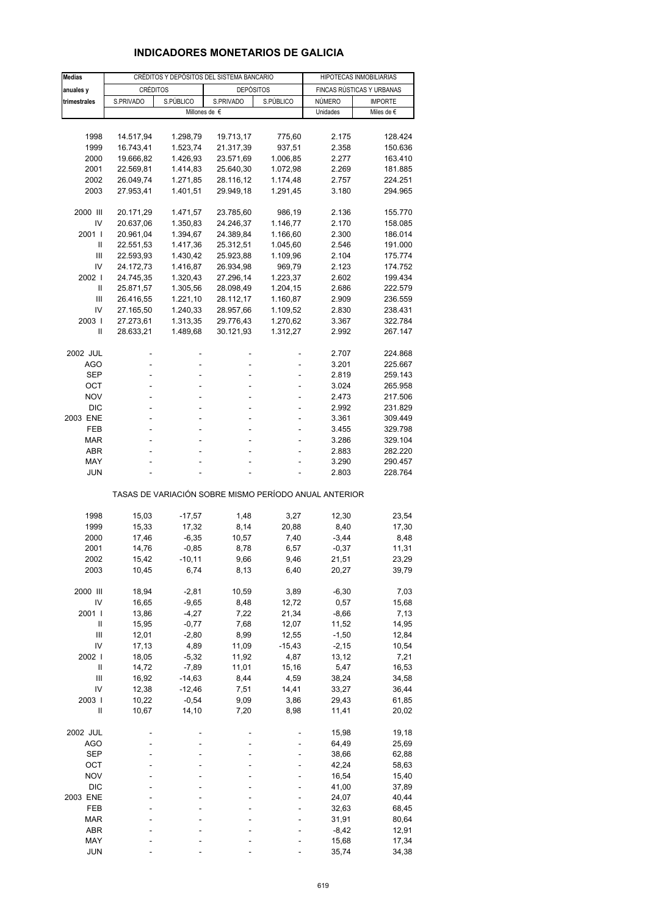## **INDICADORES MONETARIOS DE GALICIA**

| <b>Medias</b>          |           | CRÉDITOS Y DEPÓSITOS DEL SISTEMA BANCARIO |                                                       | HIPOTECAS INMOBILIARIAS |                |                           |
|------------------------|-----------|-------------------------------------------|-------------------------------------------------------|-------------------------|----------------|---------------------------|
| anuales y              | CRÉDITOS  |                                           | <b>DEPÓSITOS</b>                                      |                         |                | FINCAS RÚSTICAS Y URBANAS |
| trimestrales           | S.PRIVADO | S.PÚBLICO                                 | S.PRIVADO                                             | S.PÚBLICO               | NÚMERO         | <b>IMPORTE</b>            |
|                        |           | Millones de €                             |                                                       |                         | Unidades       | Miles de $\epsilon$       |
|                        |           |                                           |                                                       |                         |                |                           |
| 1998                   | 14.517,94 | 1.298,79                                  | 19.713,17                                             | 775,60                  | 2.175          | 128.424                   |
| 1999                   | 16.743,41 | 1.523,74                                  | 21.317,39                                             | 937,51                  | 2.358          | 150.636                   |
| 2000                   | 19.666,82 | 1.426,93                                  | 23.571,69                                             | 1.006,85                | 2.277          | 163.410                   |
| 2001                   | 22.569,81 | 1.414,83                                  | 25.640,30                                             | 1.072,98                | 2.269          | 181.885                   |
| 2002                   | 26.049,74 | 1.271,85                                  | 28.116,12                                             | 1.174,48                | 2.757          | 224.251                   |
| 2003                   | 27.953,41 | 1.401,51                                  | 29.949,18                                             | 1.291,45                | 3.180          | 294.965                   |
|                        |           |                                           |                                                       |                         |                |                           |
| 2000 III               | 20.171,29 | 1.471,57                                  | 23.785,60                                             | 986,19                  | 2.136          | 155.770                   |
| IV                     | 20.637,06 | 1.350,83                                  | 24.246,37                                             | 1.146,77                | 2.170          | 158.085                   |
| 2001 l                 | 20.961,04 | 1.394,67                                  | 24.389,84                                             | 1.166,60                | 2.300          | 186.014                   |
| Ш                      | 22.551,53 | 1.417,36                                  | 25.312,51                                             | 1.045,60                | 2.546          | 191.000                   |
| Ш                      | 22.593,93 | 1.430,42                                  | 25.923,88                                             | 1.109,96                | 2.104          | 175.774                   |
| IV                     | 24.172,73 | 1.416,87                                  | 26.934,98                                             | 969,79                  | 2.123          | 174.752                   |
| 2002                   | 24.745,35 | 1.320,43                                  | 27.296,14                                             | 1.223,37                | 2.602          | 199.434                   |
| Ш                      | 25.871,57 | 1.305,56                                  | 28.098,49                                             | 1.204,15                | 2.686          | 222.579                   |
| Ш                      | 26.416,55 | 1.221,10                                  | 28.112,17                                             | 1.160,87                | 2.909          | 236.559                   |
| IV                     | 27.165,50 | 1.240,33                                  | 28.957,66                                             | 1.109,52                | 2.830          | 238.431                   |
| 2003                   | 27.273,61 | 1.313,35                                  | 29.776,43                                             | 1.270,62                |                |                           |
| Ш                      | 28.633,21 |                                           |                                                       |                         | 3.367          | 322.784                   |
|                        |           | 1.489,68                                  | 30.121,93                                             | 1.312,27                | 2.992          | 267.147                   |
| 2002 JUL               |           |                                           |                                                       |                         | 2.707          | 224.868                   |
| <b>AGO</b>             |           | L,                                        |                                                       |                         | 3.201          | 225.667                   |
| SEP                    | L,        | ÷,                                        |                                                       |                         | 2.819          | 259.143                   |
| ОСТ                    | L,        |                                           |                                                       | ä,                      | 3.024          | 265.958                   |
| <b>NOV</b>             |           |                                           |                                                       |                         | 2.473          | 217.506                   |
| <b>DIC</b>             | ä,        | ä,                                        |                                                       | ٠                       | 2.992          | 231.829                   |
| 2003 ENE               | L,        |                                           |                                                       | L,                      | 3.361          | 309.449                   |
| FEB                    |           |                                           |                                                       |                         | 3.455          | 329.798                   |
| <b>MAR</b>             |           | ä,                                        |                                                       | ÷                       | 3.286          | 329.104                   |
| <b>ABR</b>             |           |                                           |                                                       |                         |                |                           |
| MAY                    |           |                                           |                                                       |                         | 2.883<br>3.290 | 282.220<br>290.457        |
| <b>JUN</b>             |           |                                           |                                                       |                         | 2.803          | 228.764                   |
|                        |           |                                           |                                                       |                         |                |                           |
|                        |           |                                           | TASAS DE VARIACIÓN SOBRE MISMO PERÍODO ANUAL ANTERIOR |                         |                |                           |
| 1998                   | 15,03     | $-17,57$                                  | 1,48                                                  | 3,27                    | 12,30          | 23,54                     |
| 1999                   | 15,33     | 17,32                                     | 8,14                                                  | 20,88                   | 8,40           | 17,30                     |
| 2000                   | 17,46     | $-6,35$                                   | 10,57                                                 | 7,40                    | $-3,44$        | 8,48                      |
| 2001                   | 14,76     | $-0,85$                                   | 8,78                                                  | 6,57                    | $-0,37$        | 11,31                     |
| 2002                   | 15,42     | $-10,11$                                  | 9,66                                                  | 9,46                    | 21,51          | 23,29                     |
| 2003                   | 10,45     | 6,74                                      | 8,13                                                  | 6,40                    | 20,27          | 39,79                     |
|                        |           |                                           |                                                       |                         |                |                           |
| 2000 III               | 18,94     | $-2,81$                                   | 10,59                                                 | 3,89                    | $-6,30$        | 7,03                      |
| IV                     | 16,65     | $-9,65$                                   | 8,48                                                  | 12,72                   | 0,57           | 15,68                     |
| 2001 l                 | 13,86     | $-4,27$                                   | 7,22                                                  | 21,34                   | $-8,66$        | 7,13                      |
| Ш                      | 15,95     | $-0,77$                                   | 7,68                                                  | 12,07                   | 11,52          | 14,95                     |
| $\mathbf{III}$         | 12,01     | $-2,80$                                   | 8,99                                                  | 12,55                   | $-1,50$        | 12,84                     |
| IV                     | 17,13     | 4,89                                      | 11,09                                                 | $-15,43$                | $-2,15$        | 10,54                     |
| 2002 l                 | 18,05     | $-5,32$                                   | 11,92                                                 | 4,87                    | 13,12          | 7,21                      |
| $\sf II$               | 14,72     | $-7,89$                                   | 11,01                                                 | 15,16                   | 5,47           | 16,53                     |
| Ш                      | 16,92     | $-14,63$                                  | 8,44                                                  | 4,59                    | 38,24          | 34,58                     |
| IV                     | 12,38     | $-12,46$                                  | 7,51                                                  | 14,41                   | 33,27          | 36,44                     |
| 2003                   | 10,22     | $-0,54$                                   | 9,09                                                  | 3,86                    | 29,43          | 61,85                     |
| $\sf II$               | 10,67     | 14,10                                     | 7,20                                                  | 8,98                    | 11,41          | 20,02                     |
|                        |           |                                           |                                                       |                         |                |                           |
| 2002 JUL<br><b>AGO</b> |           |                                           |                                                       |                         | 15,98<br>64,49 | 19,18<br>25,69            |
| <b>SEP</b>             |           |                                           |                                                       |                         |                |                           |
| OCT                    |           |                                           |                                                       |                         | 38,66<br>42,24 | 62,88                     |
|                        |           |                                           |                                                       |                         |                | 58,63                     |
| <b>NOV</b>             |           |                                           |                                                       |                         | 16,54          | 15,40                     |
| <b>DIC</b>             |           |                                           |                                                       |                         | 41,00          | 37,89                     |
| 2003 ENE               |           |                                           |                                                       |                         | 24,07          | 40,44                     |
| FEB                    |           |                                           |                                                       |                         | 32,63          | 68,45                     |
| <b>MAR</b>             |           |                                           |                                                       |                         | 31,91          | 80,64                     |
| ABR                    |           |                                           |                                                       |                         | $-8,42$        | 12,91                     |
| MAY                    |           |                                           |                                                       |                         | 15,68          | 17,34                     |
| <b>JUN</b>             |           |                                           |                                                       |                         | 35,74          | 34,38                     |